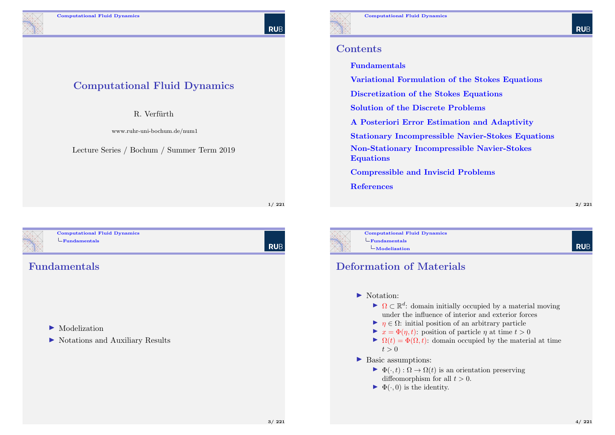Computational Fluid Dynamics

R. Verfürth

www.ruhr-uni-bochum.de/num1

Lecture Series / Bochum / Summer Term 2019

# **RUB**

#### **Contents**

#### Fundamentals

Variational Formulation of the Stokes Equations

Discretization of the Stokes Equations

Solution of the Discrete Problems

A Posteriori Error Estimation and Adaptivity

Stationary Incompressible Navier-Stokes Equations

Non-Stationary Incompressible Navier-Stokes Equations

Compressible and Inviscid Problems

References

2/ 221

**RUB** 

<span id="page-0-0"></span>

Computational Fluid Dynamics  $L$ [Fundamentals](#page-55-0)

#### Fundamentals

#### $\blacktriangleright$  [Modelization](#page-15-0)

 $\triangleright$  [Notations and Auxiliary Resu](#page-22-0)lts

| RUB

1/ 221



Computational Fluid Dynamics  $L$ Fundamentals Modelization

#### Deformation of Materials

- lacktrian: Notation:
	- $\blacktriangleright \Omega \subset \mathbb{R}^d$ : domain initially occupied by a material moving under the influence of interior and exterior forces
	- $\blacktriangleright$   $\eta \in \Omega$ : initial position of an arbitrary particle
	- $\blacktriangleright$   $x = \Phi(\eta, t)$ : position of particle  $\eta$  at time  $t > 0$
	- $\blacktriangleright \Omega(t) = \Phi(\Omega, t)$ : domain occupied by the material at time  $t > 0$
- ▶ Basic assumptions:
	- $\blacktriangleright \Phi(\cdot, t) : \Omega \to \Omega(t)$  is an orientation preserving diffeomorphism for all  $t > 0$ .
	- $\blacktriangleright \Phi(\cdot, 0)$  is the identity.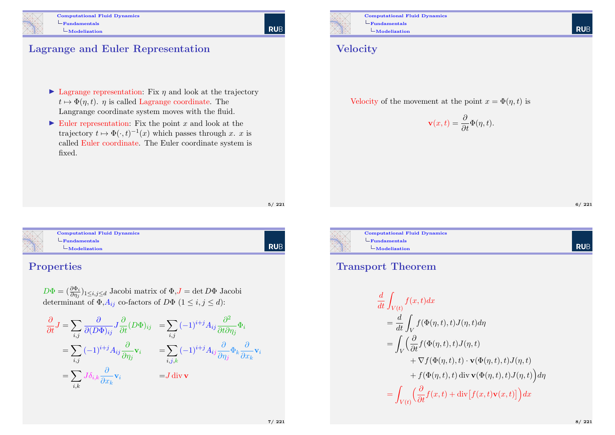

#### Lagrange and Euler Representation

- $\blacktriangleright$  Lagrange representation: Fix  $\eta$  and look at the trajectory  $t \mapsto \Phi(\eta, t)$ .  $\eta$  is called Lagrange coordinate. The Langrange coordinate system moves with the fluid.
- $\triangleright$  Euler representation: Fix the point x and look at the trajectory  $t \mapsto \Phi(\cdot, t)^{-1}(x)$  which passes through x. x is called Euler coordinate. The Euler coordinate system is fixed.

5/ 221

| Comp   |  |
|--------|--|
| $-Fun$ |  |
|        |  |
|        |  |

putational Fluid Dynamics damentals [Mod](#page-0-0)elization

# | Rub

#### Properties

 $D\Phi = (\frac{\partial \Phi_i}{\partial \eta_j})_{1 \leq i,j \leq d}$  Jacobi matrix of  $\Phi, J = \det D\Phi$  Jacobi determinant of  $\Phi$ ,  $A_{ij}$  co-factors of  $D\Phi$   $(1 \le i, j \le d)$ :

$$
\frac{\partial}{\partial t} J = \sum_{i,j} \frac{\partial}{\partial (D\Phi)_{ij}} J \frac{\partial}{\partial t} (D\Phi)_{ij} = \sum_{i,j} (-1)^{i+j} A_{ij} \frac{\partial^2}{\partial t \partial \eta_j} \Phi_i
$$
  
\n
$$
= \sum_{i,j} (-1)^{i+j} A_{ij} \frac{\partial}{\partial \eta_j} \mathbf{v}_i = \sum_{i,j,k} (-1)^{i+j} A_{ij} \frac{\partial}{\partial \eta_j} \Phi_k \frac{\partial}{\partial x_k} \mathbf{v}_i
$$
  
\n
$$
= \sum_{i,k} J \delta_{i,k} \frac{\partial}{\partial x_k} \mathbf{v}_i = J \operatorname{div} \mathbf{v}
$$



| RUB

Computational Fluid Dynamics  $L$ Fundamentals  $L_{\text{Modelization}}$ 

#### **Velocity**

Velocity of the movement at the point  $x = \Phi(\eta, t)$  is

$$
\mathbf{v}(x,t) = \frac{\partial}{\partial t} \Phi(\eta, t).
$$

6/ 221

**RUE** 



Computational Fluid Dynamics  $L$ Fundamentals  $L$ Modelization

#### Transport Theorem

$$
\frac{d}{dt} \int_{V(t)} f(x, t) dx
$$
\n
$$
= \frac{d}{dt} \int_{V} f(\Phi(\eta, t), t) J(\eta, t) d\eta
$$
\n
$$
= \int_{V} \left( \frac{\partial}{\partial t} f(\Phi(\eta, t), t) J(\eta, t) + \nabla f(\Phi(\eta, t), t) \cdot \mathbf{v}(\Phi(\eta, t), t) J(\eta, t) + f(\Phi(\eta, t), t) \operatorname{div} \mathbf{v}(\Phi(\eta, t), t) J(\eta, t) \right) d\eta
$$
\n
$$
= \int_{V(t)} \left( \frac{\partial}{\partial t} f(x, t) + \operatorname{div} [f(x, t) \mathbf{v}(x, t)] \right) dx
$$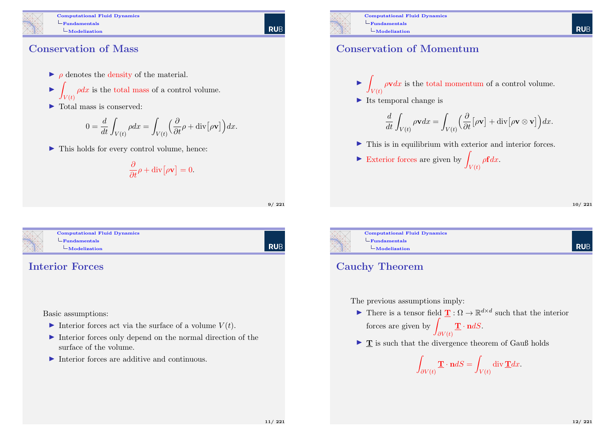Computational Fluid Dynamics  $L_{\text{Fundamentals}}$  $L$ Modelization

#### Conservation of Mass

- $\rho$  denotes the density of the material.
- $\blacktriangleright$  $V(t)$  $\rho dx$  is the total mass of a control volume.
- $\blacktriangleright$  Total mass is conserved:

$$
0 = \frac{d}{dt} \int_{V(t)} \rho dx = \int_{V(t)} \left(\frac{\partial}{\partial t} \rho + \text{div} \left[ \rho \mathbf{v} \right] \right) dx.
$$

 $\blacktriangleright$  This holds for every control volume, hence:

$$
\frac{\partial}{\partial t}\rho + \mathrm{div}\big[\rho \mathbf{v}\big] = 0.
$$

9/ 221

 $L_{\text{Fundamentals}}$  $L_{\text{Fundamentals}}$  $L_{\text{Fundamentals}}$  $L$ [Mod](#page-0-0)elization

# Computational Fluid Dynamics

l rub

#### Interior Forces

Basic assumptions:

- Interior forces act via the surface of a volume  $V(t)$ .
- $\blacktriangleright$  Interior forces only depend on the normal direction of the surface of the volume.
- $\blacktriangleright$  Interior forces are additive and continuous.



### Conservation of Momentum

- $\blacktriangleright$  $V(t)$  $\rho \mathbf{v} dx$  is the total momentum of a control volume.
- $\blacktriangleright$  Its temporal change is

$$
\frac{d}{dt} \int_{V(t)} \rho \mathbf{v} dx = \int_{V(t)} \left( \frac{\partial}{\partial t} [\rho \mathbf{v}] + \text{div} [\rho \mathbf{v} \otimes \mathbf{v}] \right) dx.
$$

 $\blacktriangleright$  This is in equilibrium with exterior and interior forces.

• **Exterior forces are given by** 
$$
\int_{V(t)} \rho \mathbf{f} dx.
$$

10/ 221

**RUE** 



#### Cauchy Theorem

The previous assumptions imply:

- There is a tensor field  $\mathbf{T}: \Omega \to \mathbb{R}^{d \times d}$  such that the interior forces are given by  $\mathbf{\underline{T}}\cdot \mathbf{n} dS.$ 
	- $\partial V(t)$
- $\blacktriangleright$  **T** is such that the divergence theorem of Gauß holds

$$
\int_{\partial V(t)} \mathbf{\underline{T}} \cdot \mathbf{n} dS = \int_{V(t)} \operatorname{div} \mathbf{\underline{T}} dx.
$$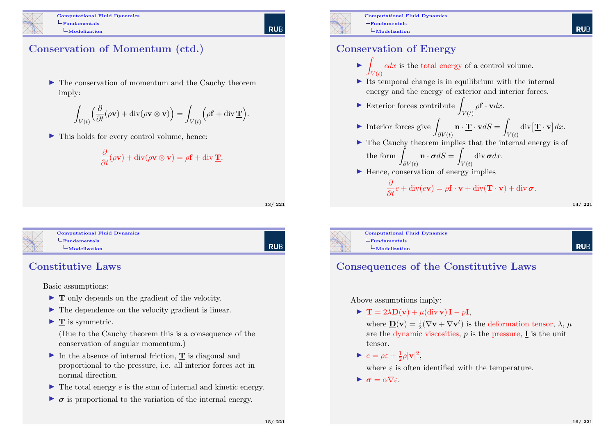

Computational Fluid Dynamics  $L_{\text{Fundamentals}}$ Modelization

## Conservation of Momentum (ctd.)

 $\blacktriangleright$  The conservation of momentum and the Cauchy theorem imply:

$$
\int_{V(t)} \left( \frac{\partial}{\partial t} (\rho \mathbf{v}) + \mathrm{div}(\rho \mathbf{v} \otimes \mathbf{v}) \right) = \int_{V(t)} \left( \rho \mathbf{f} + \mathrm{div} \, \mathbf{\underline{T}} \right).
$$

 $\blacktriangleright$  This holds for every control volume, hence:

$$
\frac{\partial}{\partial t}(\rho \mathbf{v}) + \mathrm{div}(\rho \mathbf{v} \otimes \mathbf{v}) = \rho \mathbf{f} + \mathrm{div} \, \mathbf{\underline{T}}.
$$

13/ 221

#### Computational Fluid Dynamics  $L$ [Fundamentals](#page-0-0) [Mod](#page-0-0)elization

**RUB** 

#### Constitutive Laws

Basic assumptions:

- $\blacktriangleright$  **T** only depends on the gradient of the velocity.
- $\blacktriangleright$  The dependence on the velocity gradient is linear.
- $\blacktriangleright$  **T** is symmetric.

(Due to the Cauchy theorem this is a consequence of the conservation of angular momentum.)

- $\triangleright$  In the absence of internal friction, **T** is diagonal and proportional to the pressure, i.e. all interior forces act in normal direction.
- $\blacktriangleright$  The total energy e is the sum of internal and kinetic energy.
- $\triangleright$   $\sigma$  is proportional to the variation of the internal energy.



Computational Fluid Dynamics  $L_{\text{Fundamentals}}$ Modelization

#### Conservation of Energy

- $\blacktriangleright$  $V(t)$  $edx$  is the total energy of a control volume.
- $\triangleright$  Its temporal change is in equilibrium with the internal energy and the energy of exterior and interior forces.

$$
\blacktriangleright
$$
 **Exterior forces contribute**  $\int_{V(t)} \rho \mathbf{f} \cdot \mathbf{v} dx$ .

- Interior forces give  $\overline{\phantom{a}}$  $\partial V(t)$  $\mathbf{n} \cdot \underline{\mathbf{T}} \cdot \mathbf{v} dS =$  $V(t)$  $\operatorname{div}[\mathbf{\underline{T}}\cdot\mathbf{v}]dx$ .
- $\blacktriangleright$  The Cauchy theorem implies that the internal energy is of the form  $\int$  $\partial V(t)$  $\mathbf{n} \cdot \boldsymbol{\sigma} dS =$  $V(t)$ div  $\sigma dx$ .
- $\blacktriangleright$  Hence, conservation of energy implies

$$
\frac{\partial}{\partial t}e + \operatorname{div}(e\mathbf{v}) = \rho \mathbf{f} \cdot \mathbf{v} + \operatorname{div}(\mathbf{\underline{T}} \cdot \mathbf{v}) + \operatorname{div} \boldsymbol{\sigma}.
$$

14/ 221

 $L$ Fundamentals

Computational Fluid Dynamics Modelization

# **RUF**

## Consequences of the Constitutive Laws

Above assumptions imply:

 $\blacktriangleright \mathbf{T} = 2\lambda \mathbf{D}(\mathbf{v}) + \mu(\text{div }\mathbf{v})\mathbf{I} - p\mathbf{I},$ 

where  $\underline{\mathbf{D}}(\mathbf{v}) = \frac{1}{2}(\nabla \mathbf{v} + \nabla \mathbf{v}^t)$  is the deformation tensor,  $\lambda$ ,  $\mu$ are the dynamic viscosities,  $p$  is the pressure,  $\bf{I}$  is the unit tensor.

$$
\blacktriangleright e = \rho \varepsilon + \frac{1}{2}\rho |\mathbf{v}|^2,
$$

where  $\varepsilon$  is often identified with the temperature.

 $\mathbf{r} = \alpha \nabla \varepsilon$ 

15/ 221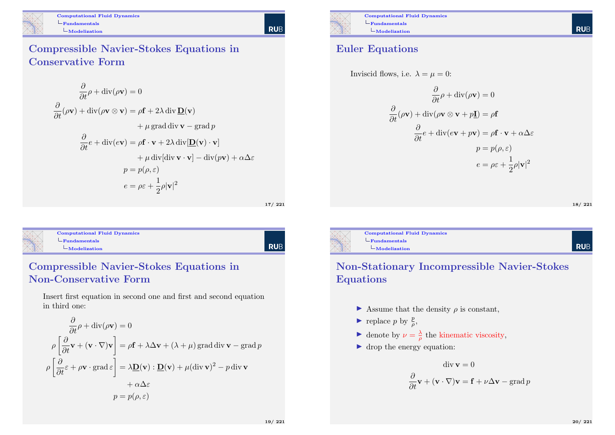

Computational Fluid Dynamics  $L$ Fundamentals  $L$ Modelization

Compressible Navier-Stokes Equations in Conservative Form

$$
\frac{\partial}{\partial t}\rho + \text{div}(\rho \mathbf{v}) = 0
$$
  

$$
\frac{\partial}{\partial t}(\rho \mathbf{v}) + \text{div}(\rho \mathbf{v} \otimes \mathbf{v}) = \rho \mathbf{f} + 2\lambda \text{ div } \mathbf{D}(\mathbf{v})
$$

$$
+ \mu \text{ grad } \text{div } \mathbf{v} - \text{grad } p
$$

$$
\frac{\partial}{\partial t}e + \text{div}(e\mathbf{v}) = \rho \mathbf{f} \cdot \mathbf{v} + 2\lambda \text{ div}[\mathbf{D}(\mathbf{v}) \cdot \mathbf{v}]
$$

$$
+ \mu \text{ div}[\text{div } \mathbf{v} \cdot \mathbf{v}] - \text{div}(p\mathbf{v}) + \alpha \Delta \varepsilon
$$

$$
p = p(\rho, \varepsilon)
$$

$$
e = \rho \varepsilon + \frac{1}{2}\rho |\mathbf{v}|^2
$$

Computational Fluid Dynamics  $L$ [Fundamentals](#page-0-0)  $L$ [Mod](#page-0-0)elization

# | Rub

17/ 221

#### Compressible Navier-Stokes Equations in Non-Conservative Form

Insert first equation in second one and first and second equation in third one:

$$
\frac{\partial}{\partial t} \rho + \text{div}(\rho \mathbf{v}) = 0
$$

$$
\rho \left[ \frac{\partial}{\partial t} \mathbf{v} + (\mathbf{v} \cdot \nabla) \mathbf{v} \right] = \rho \mathbf{f} + \lambda \Delta \mathbf{v} + (\lambda + \mu) \text{ grad div } \mathbf{v} - \text{grad } p
$$

$$
\rho \left[ \frac{\partial}{\partial t} \varepsilon + \rho \mathbf{v} \cdot \text{grad } \varepsilon \right] = \lambda \mathbf{D}(\mathbf{v}) : \mathbf{D}(\mathbf{v}) + \mu (\text{div } \mathbf{v})^2 - p \text{ div } \mathbf{v}
$$

$$
+ \alpha \Delta \varepsilon
$$

$$
p = p(\rho, \varepsilon)
$$



#### Euler Equations



$$
\frac{\partial}{\partial t} \rho + \text{div}(\rho \mathbf{v}) = 0
$$

$$
\frac{\partial}{\partial t} (\rho \mathbf{v}) + \text{div}(\rho \mathbf{v} \otimes \mathbf{v} + p\mathbf{I}) = \rho \mathbf{f}
$$

$$
\frac{\partial}{\partial t} e + \text{div}(e\mathbf{v} + p\mathbf{v}) = \rho \mathbf{f} \cdot \mathbf{v} + \alpha \Delta \varepsilon
$$

$$
p = p(\rho, \varepsilon)
$$

$$
e = \rho \varepsilon + \frac{1}{2} \rho |\mathbf{v}|^2
$$

18/ 221



#### Non-Stationary Incompressible Navier-Stokes Equations

- $\triangleright$  Assume that the density  $\rho$  is constant,
- replace p by  $\frac{p}{\rho}$ ,
- denote by  $\nu = \frac{\lambda}{\rho}$  the kinematic viscosity,
- $\blacktriangleright$  drop the energy equation:

$$
\operatorname{div} \mathbf{v} = 0
$$

$$
\frac{\partial}{\partial t} \mathbf{v} + (\mathbf{v} \cdot \nabla) \mathbf{v} = \mathbf{f} + \nu \Delta \mathbf{v} - \operatorname{grad} p
$$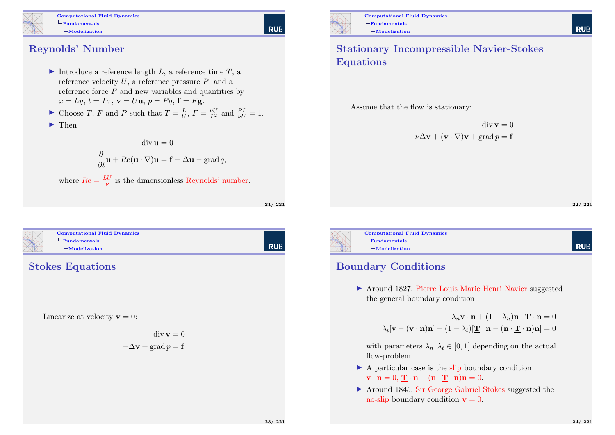

Computational Fluid Dynamics  $L_{\text{Fundamentals}}$  $L$ Modelization

# **RUB**

Reynolds' Number

- Introduce a reference length  $L$ , a reference time  $T$ , a reference velocity  $U$ , a reference pressure  $P$ , and a reference force  $F$  and new variables and quantities by  $x = Lu, t = T\tau, \mathbf{v} = U\mathbf{u}, v = Pa, \mathbf{f} = F\mathbf{g}.$
- Choose T, F and P such that  $T = \frac{L}{U}$ ,  $F = \frac{\nu U}{L^2}$  and  $\frac{PL}{\nu U} = 1$ .
- $\blacktriangleright$  Then

 $\text{div}\,\mathbf{u}=0$  $\frac{\partial}{\partial t}\mathbf{u} + Re(\mathbf{u} \cdot \nabla)\mathbf{u} = \mathbf{f} + \Delta \mathbf{u} - \mathrm{grad}\,q,$ 

where  $Re = \frac{LU}{\nu}$  is the dimensionless Reynolds' number.

21/ 221



# | Rub

Stokes Equations

Linearize at velocity  $\mathbf{v} = 0$ :

$$
\operatorname{div} \mathbf{v} = 0
$$

$$
-\Delta \mathbf{v} + \operatorname{grad} p = \mathbf{f}
$$



Computational Fluid Dynamics  $L_{\text{Fundamentals}}$  $L$ Modelization

#### Stationary Incompressible Navier-Stokes Equations

Assume that the flow is stationary:

 $\operatorname{div} \mathbf{v} = 0$  $-v\Delta v + (v \cdot \nabla)v + \text{grad } v = \mathbf{f}$ 

22/ 221

**RUE** 

**RUE** 



Computational Fluid Dynamics  $L$ Fundamentals  $L$ Modelization

#### Boundary Conditions

 $\blacktriangleright$  Around 1827, Pierre Louis Marie Henri Navier suggested the general boundary condition

$$
\lambda_n \mathbf{v} \cdot \mathbf{n} + (1 - \lambda_n) \mathbf{n} \cdot \underline{\mathbf{T}} \cdot \mathbf{n} = 0
$$

$$
\lambda_t [\mathbf{v} - (\mathbf{v} \cdot \mathbf{n}) \mathbf{n}] + (1 - \lambda_t) [\underline{\mathbf{T}} \cdot \mathbf{n} - (\mathbf{n} \cdot \underline{\mathbf{T}} \cdot \mathbf{n}) \mathbf{n}] = 0
$$

with parameters  $\lambda_n, \lambda_t \in [0, 1]$  depending on the actual flow-problem.

- $\triangleright$  A particular case is the slip boundary condition  $\mathbf{v} \cdot \mathbf{n} = 0$ ,  $\mathbf{T} \cdot \mathbf{n} - (\mathbf{n} \cdot \mathbf{T} \cdot \mathbf{n})\mathbf{n} = 0$ .
- ▶ Around 1845, Sir George Gabriel Stokes suggested the no-slip boundary condition  $\mathbf{v} = 0$ .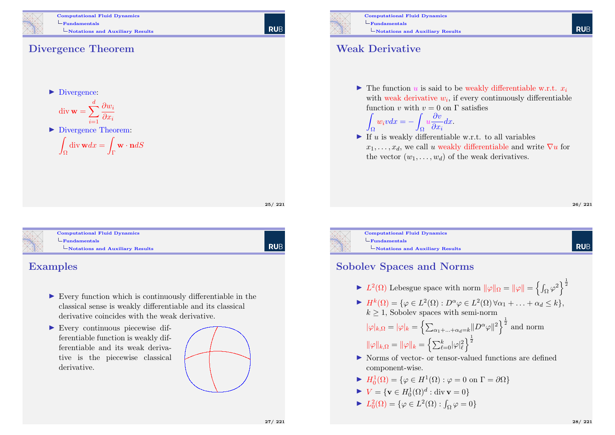

Computational Fluid Dynamics  $L_{\text{Fundamentals}}$ Notations and Auxiliary Results

#### Divergence Theorem

 $\blacktriangleright$  Divergence:

$$
\operatorname{div} \mathbf{w} = \sum_{i=1}^{d} \frac{\partial w_i}{\partial x_i}
$$

▶ Divergence Theorem:

$$
\int_{\Omega} \text{div } \mathbf{w} dx = \int_{\Gamma} \mathbf{w} \cdot \mathbf{n} dS
$$

25/ 221

RUB

**RUB** 

| <b>Computational Fluid Dynamics</b>         |
|---------------------------------------------|
| -Fundamentals                               |
| $\mathbf{-Notations}$ and Auxiliary Results |
|                                             |

#### Examples

- $\triangleright$  Every function which is continuously differentiable in the classical sense is weakly differentiable and its classical derivative coincides with the weak derivative.
- I Every continuous piecewise differentiable function is weakly differentiable and its weak derivative is the piecewise classical derivative.





Notations and Auxiliary Results

#### Weak Derivative

Z

 $\blacktriangleright$  The function u is said to be weakly differentiable w.r.t.  $x_i$ with weak derivative  $w_i$ , if every continuously differentiable function v with  $v = 0$  on  $\Gamma$  satisfies

$$
\int_{\Omega} w_i v dx = - \int_{\Omega} u \frac{\partial v}{\partial x_i} dx.
$$

If u is weakly differentiable w.r.t. to all variables  $x_1, \ldots, x_d$ , we call u weakly differentiable and write  $\nabla u$  for the vector  $(w_1, \ldots, w_d)$  of the weak derivatives.

**RUB** 

**RUE** 

Computational Fluid Dynamics  $L$ Fundamentals Notations and Auxiliary Results

#### Sobolev Spaces and Norms

 $\blacktriangleright$   $L^2(\Omega)$  Lebesgue space with norm  $\|\varphi\|_{\Omega} = \|\varphi\| = \left\{ \int_{\Omega} \varphi^2 \right\}^{\frac{1}{2}}$ 

 $\blacktriangleright H^k(\Omega) = \{ \varphi \in L^2(\Omega) : D^{\alpha} \varphi \in L^2(\Omega) \, \forall \alpha_1 + \ldots + \alpha_d \leq k \},\$  $k \geq 1$ , Sobolev spaces with semi-norm

 $|\varphi|_{k,\Omega}=|\varphi|_{k}=\left\{\sum_{\alpha_1+\ldots+\alpha_d=k}\lVert D^{\alpha}\varphi\rVert^2\right\}^{\frac{1}{2}}$  and norm  $\|\varphi\|_{k,\Omega}=\|\varphi\|_{k}=\left\{\sum_{\ell=0}^{k}|\varphi|_{\ell}^{2}\right\}^{\frac{1}{2}}$ 

- I Norms of vector- or tensor-valued functions are defined component-wise.
- $\blacktriangleright$   $H_0^1(\Omega) = {\varphi \in H^1(\Omega) : \varphi = 0 \text{ on } \Gamma = \partial \Omega}$
- $\blacktriangleright V = \{ \mathbf{v} \in H^1_0(\Omega)^d : \text{div } \mathbf{v} = 0 \}$
- $\blacktriangleright$   $L_0^2(\Omega) = \{ \varphi \in L^2(\Omega) : \int_{\Omega} \varphi = 0 \}$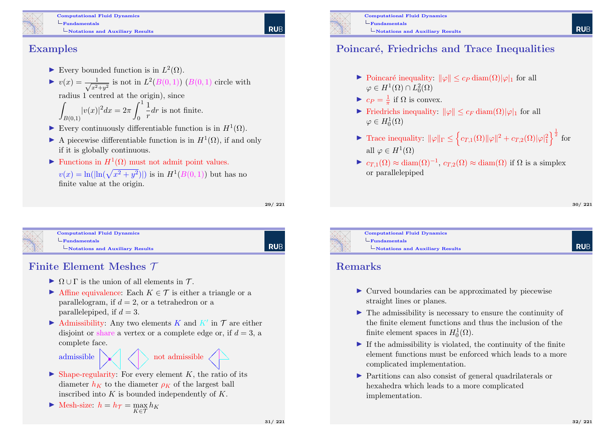

Computational Fluid Dynamics  $L_{\text{Fundamentals}}$ Notations and Auxiliary Results

#### Examples

- Every bounded function is in  $L^2(\Omega)$ .
- $\blacktriangleright v(x) = \frac{1}{\sqrt{2}}$  $\frac{1}{x^2+y^2}$  is not in  $L^2(B(0,1))$   $(B(0,1)$  circle with radius 1 centred at the origin), since

$$
\int_{B(0,1)} |v(x)|^2 dx = 2\pi \int_0^1 \frac{1}{r} dr
$$
 is not finite.

- Every continuously differentiable function is in  $H^1(\Omega)$ .
- A piecewise differentiable function is in  $H^1(\Omega)$ , if and only if it is globally continuous.
- ► Functions in  $H^1(\Omega)$  must not admit point values.  $v(x) = \ln(|\ln(\sqrt{x^2 + y^2})|)$  is in  $H^1(B(0, 1))$  but has no finite value at the origin.

29/ 221

RUB

**RUE** 

| <b>Computational Fluid Dynamics</b>   |  |
|---------------------------------------|--|
| - Fundamentals                        |  |
| $\n $ Notations and Auxiliary Results |  |
|                                       |  |
|                                       |  |

#### Finite Element Meshes T

- $\triangleright$   $\Omega \cup \Gamma$  is the union of all elements in T.
- Affine equivalence: Each  $K \in \mathcal{T}$  is either a triangle or a parallelogram, if  $d = 2$ , or a tetrahedron or a parallelepiped, if  $d = 3$ .
- Admissibility: Any two elements  $K$  and  $K'$  in  $\mathcal T$  are either disjoint or share a vertex or a complete edge or, if  $d = 3$ , a complete face.



- $\triangleright$  Shape-regularity: For every element K, the ratio of its diameter  $h_K$  to the diameter  $\rho_K$  of the largest ball inscribed into  $K$  is bounded independently of  $K$ .
- Mesh-size:  $h = h_{\mathcal{T}} = \max_{K \in \mathcal{T}} h_K$



#### Poincaré, Friedrichs and Trace Inequalities

- $\triangleright$  Poincaré inequality:  $\|\varphi\| \leq c_P \operatorname{diam}(\Omega)|\varphi|_1$  for all  $\varphi \in H^1(\Omega) \cap L_0^2(\Omega)$
- $\blacktriangleright$   $c_P = \frac{1}{\pi}$  if  $\Omega$  is convex.
- Friedrichs inequality:  $\|\varphi\| \leq c_F \operatorname{diam}(\Omega) |\varphi|_1$  for all  $\varphi \in H^1_0(\Omega)$
- ► Trace inequality:  $\|\varphi\|_{\Gamma} \leq \left\{ c_{T,1}(\Omega) \|\varphi\|^2 + c_{T,2}(\Omega) |\varphi|_1^2 \right\}^{\frac{1}{2}}$  for all  $\varphi \in H^1(\Omega)$
- $\triangleright$  c<sub>T,1</sub>( $\Omega$ )  $\approx$  diam( $\Omega$ )<sup>-1</sup>, c<sub>T,2</sub>( $\Omega$ )  $\approx$  diam( $\Omega$ ) if  $\Omega$  is a simplex or parallelepiped

30/ 221

**RUE** 



Computational Fluid Dynamics  $L$ Fundamentals  $\Box$  Notations and Auxiliary Results

#### Remarks

- $\triangleright$  Curved boundaries can be approximated by piecewise straight lines or planes.
- $\blacktriangleright$  The admissibility is necessary to ensure the continuity of the finite element functions and thus the inclusion of the finite element spaces in  $H_0^1(\Omega)$ .
- $\blacktriangleright$  If the admissibility is violated, the continuity of the finite element functions must be enforced which leads to a more complicated implementation.
- I Partitions can also consist of general quadrilaterals or hexahedra which leads to a more complicated implementation.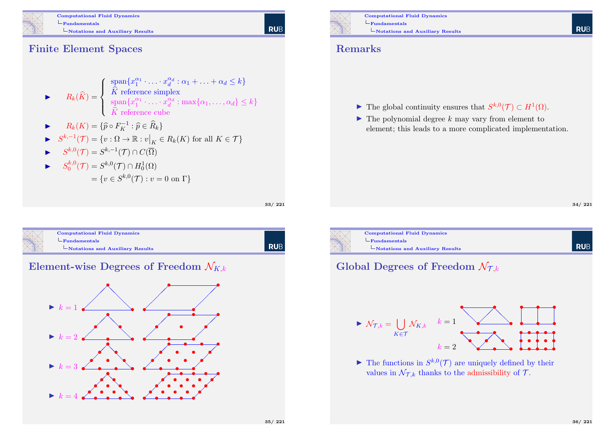

Computational Fluid Dynamics  $L_{\text{Fundamentals}}$  $\mathcal{L}_{\text{Notations and Auxiliary Results}}$ 

# **RUB**

Finite Element Spaces

$$
\blacktriangleright \qquad R_k(\widehat{K}) = \begin{cases} \text{span}\{x_1^{\alpha_1} \cdot \ldots \cdot x_d^{\alpha_d} : \alpha_1 + \ldots + \alpha_d \le k\} \\ \widehat{K} \text{ reference simplex} \\ \text{span}\{x_1^{\alpha_1} \cdot \ldots \cdot x_d^{\alpha_d} : \max\{\alpha_1, \ldots, \alpha_d\} \le k\} \\ \widehat{K} \text{ reference cube} \end{cases}
$$

$$
\blacktriangleright \qquad R_k(K) = \{ \widehat{p} \circ F_K^{-1} : \widehat{p} \in \widehat{R}_k \}
$$

$$
\blacktriangleright \quad S^{k,-1}(\mathcal{T}) = \{ v : \Omega \to \mathbb{R} : v \big|_K \in R_k(K) \text{ for all } K \in \mathcal{T} \}
$$

$$
\blacktriangleright \qquad S^{k,0}(\mathcal{T}) = S^{k,-1}(\mathcal{T}) \cap C(\overline{\Omega})
$$

$$
\blacktriangleright \qquad S_0^{k,0}(\mathcal{T}) = S^{k,0}(\mathcal{T}) \cap H_0^1(\Omega)
$$

$$
= \{ v \in S^{k,0}(\mathcal{T}) : v = 0 \text{ on } \Gamma \}
$$

33/ 221

| $\mathbf{-Notations}$ and Auxiliary Results |
|---------------------------------------------|
|                                             |







Computational Fluid Dynamics  $L_{\text{Fundamentals}}$  $\Box$  Notations and Auxiliary Results

#### Remarks

- **►** The global continuity ensures that  $S^{k,0}(\mathcal{T}) \subset H^1(\Omega)$ .
- $\blacktriangleright$  The polynomial degree k may vary from element to element; this leads to a more complicated implementation.

34/ 221



#### Global Degrees of Freedom  $\mathcal{N}_{\mathcal{I},k}$



 $\blacktriangleright$  The functions in  $S^{k,0}(\mathcal{T})$  are uniquely defined by their values in  $\mathcal{N}_{\mathcal{T},k}$  thanks to the admissibility of  $\mathcal{T}$ .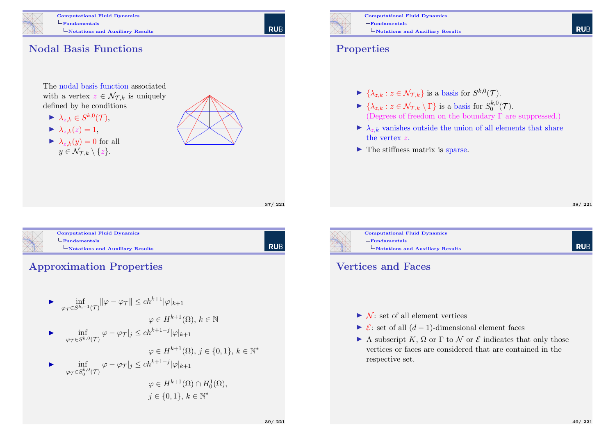

Computational Fluid Dynamics  $L_{\text{Fundamentals}}$ Notations and Auxiliary Results

**RUB** 

### Nodal Basis Functions

The nodal basis function associated with a vertex  $z \in \mathcal{N}_{\mathcal{L},k}$  is uniquely defined by he conditions

- $\blacktriangleright \ \lambda_{z,k} \in S^{k,0}(\mathcal{T}),$
- $\blacktriangleright \lambda_{z,k}(z) = 1$ ,
- $\blacktriangleright \lambda_{z,k}(y) = 0$  for all  $y \in \mathcal{N}_{\mathcal{T},k} \setminus \{z\}.$



37/ 221



| RUB

#### Approximation Properties

 $\blacktriangleright$  inf  $\inf_{\varphi_{\mathcal{T}} \in S^{k,-1}(\mathcal{T})} \lVert \varphi - \varphi_{\mathcal{T}} \rVert \le ch^{k+1} |\varphi|_{k+1}$  $\varphi \in H^{k+1}(\Omega)$ ,  $k \in \mathbb{N}$  $\blacktriangleright$  inf  $\inf_{\varphi_{\mathcal{T}} \in S^{k,0}(\mathcal{T})} |\varphi - \varphi_{\mathcal{T}}|_j \le ch^{k+1-j} |\varphi|_{k+1}$  $\varphi \in H^{k+1}(\Omega), j \in \{0,1\}, k \in \mathbb{N}^*$  $\blacktriangleright$  inf  $\varphi_{\mathcal{T}}{\in}S^{k,0}_0(\mathcal{T})$  $|\varphi - \varphi_{\mathcal{T}}|_j \le ch^{k+1-j} |\varphi|_{k+1}$  $\varphi \in H^{k+1}(\Omega) \cap H_0^1(\Omega),$ 

Computational Fluid Dynamics  $L$ Fundamentals Notations and Auxiliary Results

#### Properties

- $\blacktriangleright \{\lambda_{z,k} : z \in \mathcal{N}_{\mathcal{T},k}\}\$ is a basis for  $S^{k,0}(\mathcal{T})$ .
- $\blacktriangleright \{\lambda_{z,k} : z \in \mathcal{N}_{\mathcal{T},k} \setminus \Gamma\}$  is a basis for  $S_0^{k,0}$  $\int_0^{\kappa,\mathsf{U}}(\mathcal{T}).$ (Degrees of freedom on the boundary  $\Gamma$  are suppressed.)
- $\blacktriangleright \lambda_{z,k}$  vanishes outside the union of all elements that share the vertex z.
- $\blacktriangleright$  The stiffness matrix is sparse.

38/ 221

**RUE** 



Notations and Auxiliary Results

#### Vertices and Faces

- $\triangleright$  N  $\cdot$  set of all element vertices
- $\triangleright$  **E**: set of all  $(d-1)$ -dimensional element faces
- A subscript K,  $\Omega$  or  $\Gamma$  to N or  $\mathcal E$  indicates that only those vertices or faces are considered that are contained in the respective set.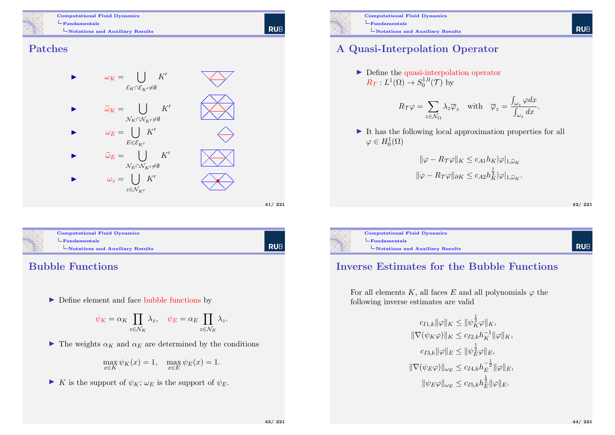Computational Fluid Dynamics  $L$ Fundamentals Notations and Auxiliary Results

**RUB** 

#### Patches



| <b>Computational Fluid Dynamics</b>                            |  |
|----------------------------------------------------------------|--|
| $-Fundamentals$<br>$\mathbf{-Notations}$ and Auxiliary Results |  |
|                                                                |  |

## Bubble Functions

 $\blacktriangleright$  Define element and face bubble functions by

$$
\psi_K = \alpha_K \prod_{z \in \mathcal{N}_K} \lambda_z, \quad \psi_E = \alpha_E \prod_{z \in \mathcal{N}_E} \lambda_z.
$$

 $\blacktriangleright$  The weights  $\alpha_K$  and  $\alpha_E$  are determined by the conditions

$$
\max_{x \in K} \psi_K(x) = 1, \quad \max_{x \in E} \psi_E(x) = 1.
$$

In K is the support of  $\psi_K$ ;  $\omega_E$  is the support of  $\psi_E$ .



Computational Fluid Dynamics  $L_{\text{Fundamentals}}$ Notations and Auxiliary Results

## A Quasi-Interpolation Operator

 $\blacktriangleright$  Define the quasi-interpolation operator  $R_{\mathcal{T}}: L^1(\Omega) \to S_0^{1,0}$  $_{0}^{1,0}(\mathcal{T})$  by

$$
R_{\mathcal{T}}\varphi = \sum_{z \in \mathcal{N}_{\Omega}} \lambda_z \overline{\varphi}_z \quad \text{with} \quad \overline{\varphi}_z = \frac{\int_{\omega_z} \varphi dx}{\int_{\omega_z} dx}.
$$

 $\blacktriangleright$  It has the following local approximation properties for all  $\varphi \in H_0^1(\Omega)$ 

$$
\|\varphi - R_{\mathcal{T}}\varphi\|_{K} \leq c_{A1}h_{K}|\varphi|_{1,\widetilde{\omega}_{K}}
$$

$$
\|\varphi - R_{\mathcal{T}}\varphi\|_{\partial K} \leq c_{A2}h_{K}^{\frac{1}{2}}|\varphi|_{1,\widetilde{\omega}_{K}}.
$$

42/ 221

**RUB** 



#### Inverse Estimates for the Bubble Functions

For all elements K, all faces E and all polynomials  $\varphi$  the following inverse estimates are valid

$$
c_{I1,k} \|\varphi\|_K \le \|\psi_K^{\frac{1}{2}}\varphi\|_K,
$$
  

$$
\|\nabla(\psi_K\varphi)\|_K \le c_{I2,k}h_K^{-1}\|\varphi\|_K,
$$
  

$$
c_{I3,k}\|\varphi\|_E \le \|\psi_E^{\frac{1}{2}}\varphi\|_E,
$$
  

$$
\|\nabla(\psi_E\varphi)\|_{\omega_E} \le c_{I4,k}h_E^{-\frac{1}{2}}\|\varphi\|_E,
$$
  

$$
\|\psi_E\varphi\|_{\omega_E} \le c_{I5,k}h_E^{\frac{1}{2}}\|\varphi\|_E.
$$

**RUE**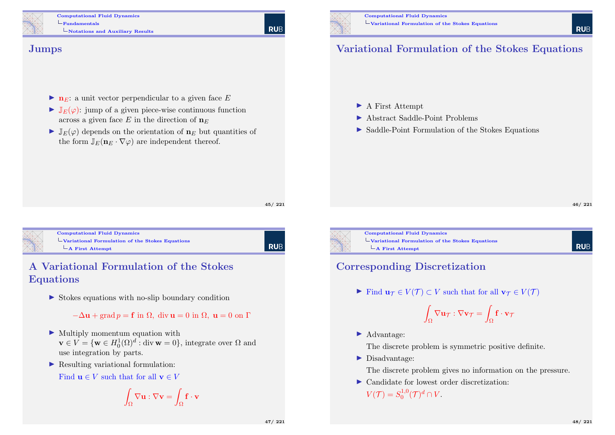Computational Fluid Dynamics Fundamentals Notations and Auxiliary Results

#### Jumps

- $\bullet$  **n**<sub>E</sub>: a unit vector perpendicular to a given face E
- $\blacktriangleright \mathbb{J}_E(\varphi)$ : jump of a given piece-wise continuous function across a given face E in the direction of  $n_E$
- $\blacktriangleright \mathbb{J}_E(\varphi)$  depends on the orientation of  $\mathbf{n}_E$  but quantities of the form  $\mathbb{J}_E(\mathbf{n}_E \cdot \nabla \varphi)$  are independent thereof.

45/ 221

**RUE** 

<span id="page-11-0"></span>

Computational Fluid Dynamics [Variational Formulati](#page-0-0)on of the Stokes Equations  $\mathsf{\mathsf{L}}$  [A](#page-0-0) [First Attempt](#page-11-0)

l rub

### A Variational Formulation of the Stokes Equations

 $\triangleright$  Stokes equations with no-slip boundary condition

 $-\Delta u$  + grad  $p = f$  in  $\Omega$ , div  $u = 0$  in  $\Omega$ ,  $u = 0$  on  $\Gamma$ 

- $\blacktriangleright$  Multiply momentum equation with  $\mathbf{v} \in V = \{\mathbf{w} \in H_0^1(\Omega)^d : \text{div } \mathbf{w} = 0\},\$  integrate over  $\Omega$  and use integration by parts.
- $\blacktriangleright$  Resulting variational formulation:

Find  $\mathbf{u} \in V$  such that for all  $\mathbf{v} \in V$ 

$$
\int_{\Omega} \nabla \mathbf{u} : \nabla \mathbf{v} = \int_{\Omega} \mathbf{f} \cdot \mathbf{v}
$$



# Variational Formulation of the Stokes Equations

- $\blacktriangleright$  A First Attempt
- ▶ Abstract Saddle-Point Problems
- $\triangleright$  Saddle-Point Formulation of the Stokes Equations

**RUF** 

**RUE** 

Computational Fluid Dynamics Variational Formulation of the Stokes Equations  $\mathsf{\mathsf{L}}$  A First Attempt

#### Corresponding Discretization

Find  $u_{\mathcal{T}} \in V(\mathcal{T}) \subset V$  such that for all  $v_{\mathcal{T}} \in V(\mathcal{T})$ 

$$
\int_{\Omega} \nabla \mathbf{u}_{\mathcal{T}} : \nabla \mathbf{v}_{\mathcal{T}} = \int_{\Omega} \mathbf{f} \cdot \mathbf{v}_{\mathcal{T}}
$$

▶ Advantage:

The discrete problem is symmetric positive definite.

 $\blacktriangleright$  Disadvantage:

The discrete problem gives no information on the pressure.

▶ Candidate for lowest order discretization:  $V(\mathcal{T}) = S_0^{1,0}$  $i^{1,0}_0(\mathcal{T})^d \cap V.$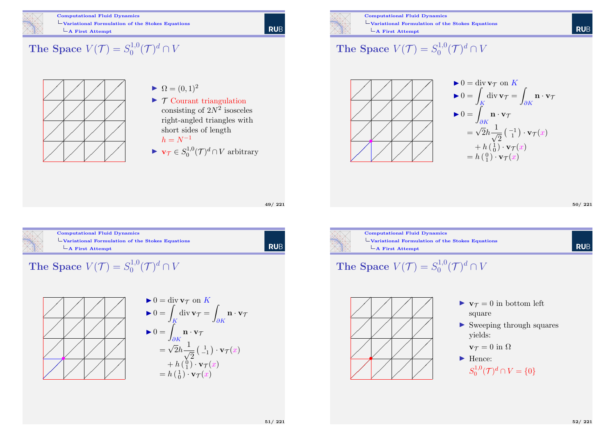

#### Computational Fluid Dynamics Variational Formulation of the Stokes Equations  $\overline{\phantom{a}}$ A First Attempt

#### The Space  $V(\mathcal{T}) = S_0^{1,0}$  $\mathcal{C}^{1,0}(\mathcal{T})^d \cap V$



- $\blacktriangleright \Omega = (0, 1)^2$
- $\triangleright$   $\tau$  Courant triangulation consisting of  $2N^2$  isosceles right-angled triangles with short sides of length  $h = N^{-1}$
- $\blacktriangleright \mathbf{v}_{\mathcal{T}} \in S^{1,0}_0$  $0^{d,1,0}$  $(\mathcal{T})^d \cap V$  arbitrary



Computational Fluid Dynamics Variational Formulation of the Stokes Equations  $\overline{\phantom{a}}$ A First Attempt

#### The Space  $V(\mathcal{T}) = S_0^{1,0}$  $\mathcal{C}^{1,0}(\mathcal{T})^d \cap V$



50/ 221

**RUB** 



Computational Fluid Dynamics [Variational Formulati](#page-0-0)on of the Stokes Equations  $\overline{\phantom{a}}$ [A First Attempt](#page-11-0)

49/ 221

| RUB



l rub

The Space  $V(\mathcal{T}) = S_0^{1,0}$  $\iota_{0}^{1,0}(\mathcal{T})^{d}\cap V$ 



$$
\mathbf{v} = \text{div } \mathbf{v}_{\mathcal{T}} \text{ on } K
$$
  
\n
$$
\mathbf{v} = \int_K \text{div } \mathbf{v}_{\mathcal{T}} = \int_{\partial K} \mathbf{n} \cdot \mathbf{v}_{\mathcal{T}}
$$
  
\n
$$
\mathbf{v} = \int_{\partial K} \mathbf{n} \cdot \mathbf{v}_{\mathcal{T}}
$$
  
\n
$$
= \sqrt{2}h \frac{1}{\sqrt{2}} \left( \frac{1}{-1} \right) \cdot \mathbf{v}_{\mathcal{T}}(x)
$$
  
\n
$$
= h \left( \frac{0}{1} \right) \cdot \mathbf{v}_{\mathcal{T}}(x)
$$
  
\n
$$
= h \left( \frac{1}{0} \right) \cdot \mathbf{v}_{\mathcal{T}}(x)
$$



Computational Fluid Dynamics Variational Formulation of the Stokes Equations  $\overline{\phantom{a}}$ A First Attempt

The Space 
$$
V(\mathcal{T}) = S_0^{1,0}(\mathcal{T})^d \cap V
$$



- $\blacktriangleright \mathbf{v}_{\mathcal{T}} = 0$  in bottom left square
- $\triangleright$  Sweeping through squares yields:

 $\mathbf{v}\tau = 0$  in  $\Omega$ 

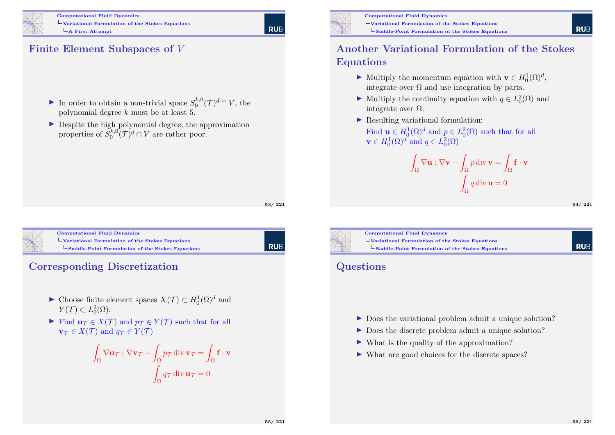

Computational Fluid Dynamics Variational Formulation of the Stokes Equations  $\mathsf{\mathsf{L}}$  **A** First Attempt

# **RUE**

#### Finite Element Subspaces of V

- In order to obtain a non-trivial space  $S_0^{k,0}$  $\int_0^{k,0} (\mathcal{T})^d \cap V$ , the polynomial degree k must be at least 5.
- $\triangleright$  Despite the high polynomial degree, the approximation properties of  $S_0^{k,0}$  $\binom{k,0}{0}$  $\mathcal{T}$  $\bigcap$  $\mathcal{U}$  are rather poor.

53/ 221

RUB



Computational Fluid Dynamics [Variational Formulati](#page-0-0)on of the Stokes Equations  $\mathsf{\mathsf{L}}$  [Saddle-Point Formulation of the Stokes](#page-11-0) Equations

Corresponding Discretization

- ► Choose finite element spaces  $X(\mathcal{T}) \subset H_0^1(\Omega)^d$  and  $Y(\mathcal{T}) \subset L_0^2(\Omega).$
- Find  $\mathbf{u}_{\mathcal{T}} \in X(\mathcal{T})$  and  $p_{\mathcal{T}} \in Y(\mathcal{T})$  such that for all  $\mathbf{v}_{\tau} \in X(\mathcal{T})$  and  $q_{\tau} \in Y(\mathcal{T})$

$$
\int_{\Omega} \nabla \mathbf{u}_{\mathcal{T}} : \nabla \mathbf{v}_{\mathcal{T}} - \int_{\Omega} p_{\mathcal{T}} \operatorname{div} \mathbf{v}_{\mathcal{T}} = \int_{\Omega} \mathbf{f} \cdot \mathbf{v}
$$

$$
\int_{\Omega} q_{\mathcal{T}} \operatorname{div} \mathbf{u}_{\mathcal{T}} = 0
$$



Computational Fluid Dynamics Variational Formulation of the Stokes Equations Saddle-Point Formulation of the Stokes Equations

#### Another Variational Formulation of the Stokes Equations

- ► Multiply the momentum equation with  $\mathbf{v} \in H_0^1(\Omega)^d$ , integrate over  $\Omega$  and use integration by parts.
- ► Multiply the continuity equation with  $q \in L_0^2(\Omega)$  and integrate over  $Ω$ .
- $\blacktriangleright$  Resulting variational formulation:

Find  $\mathbf{u} \in H_0^1(\Omega)^d$  and  $p \in L_0^2(\Omega)$  such that for all  $\mathbf{v} \in H_0^1(\Omega)^d$  and  $q \in L_0^2(\Omega)$ 

$$
\int_{\Omega} \nabla \mathbf{u} : \nabla \mathbf{v} - \int_{\Omega} p \operatorname{div} \mathbf{v} = \int_{\Omega} \mathbf{f} \cdot \mathbf{v}
$$

$$
\int_{\Omega} q \operatorname{div} \mathbf{u} = 0
$$

54/ 221

**RUE** 



Computational Fluid Dynamics  $\Box$  Variational Formulation of the Stokes Equations  $\mathsf{L}_{\mathbf{S}$ addle-Point Formulation of the Stokes Equations

#### **Questions**

- $\triangleright$  Does the variational problem admit a unique solution?
- ▶ Does the discrete problem admit a unique solution?
- $\triangleright$  What is the quality of the approximation?
- I What are good choices for the discrete spaces?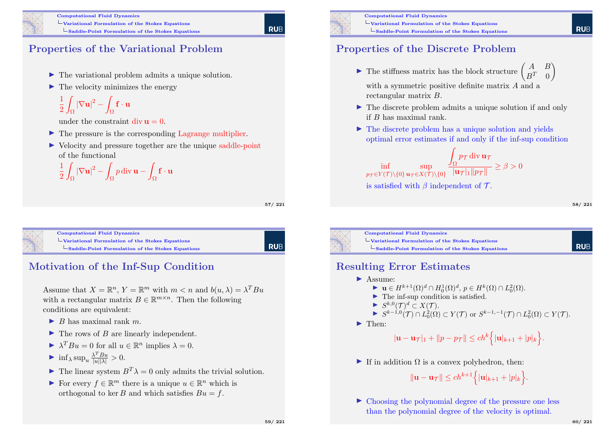

## Properties of the Variational Problem

- $\blacktriangleright$  The variational problem admits a unique solution.
- $\blacktriangleright$  The velocity minimizes the energy

$$
\frac{1}{2}\int_{\Omega}|\nabla {\bf u}|^2-\int_{\Omega}{\bf f}\cdot{\bf u}
$$

under the constraint  $\text{div} \mathbf{u} = 0$ .

- $\blacktriangleright$  The pressure is the corresponding Lagrange multiplier.
- $\triangleright$  Velocity and pressure together are the unique saddle-point of the functional

$$
\frac{1}{2} \int_{\Omega} |\nabla \mathbf{u}|^2 - \int_{\Omega} p \operatorname{div} \mathbf{u} - \int_{\Omega} \mathbf{f} \cdot \mathbf{u}
$$

57/ 221

**RUE** 

Computational Fluid Dynamics  $\Box$ [Variational Formulati](#page-0-0)on of the Stokes Equations  $\mathsf{L}_{\mathbf{Saddle-Point}}$  Formulation of the Stokes Equations

RUB

# Motivation of the Inf-Sup Condition

Assume that  $X = \mathbb{R}^n$ ,  $Y = \mathbb{R}^m$  with  $m < n$  and  $b(u, \lambda) = \lambda^T B u$ with a rectangular matrix  $B \in \mathbb{R}^{m \times n}$ . Then the following conditions are equivalent:

- $\blacktriangleright$  B has maximal rank m.
- $\blacktriangleright$  The rows of B are linearly independent.
- $\blacktriangleright \lambda^T B u = 0$  for all  $u \in \mathbb{R}^n$  implies  $\lambda = 0$ .

$$
\sum_{\lambda} \inf_{\lambda} \sup_{u} \frac{\lambda^T B u}{|u||\lambda|} > 0.
$$

- $\blacktriangleright$  The linear system  $B^T \lambda = 0$  only admits the trivial solution.
- For every  $f \in \mathbb{R}^m$  there is a unique  $u \in \mathbb{R}^n$  which is orthogonal to kee B and which satisfies  $Bu = f$ .



Computational Fluid Dynamics  $\Box$  Variational Formulation of the Stokes Equations  $\mathsf{L}_{\mathbf{Saddle-Point}}$  Formulation of the Stokes Equations

### Properties of the Discrete Problem

 $\triangleright$  The stiffness matrix has the block structure  $\begin{pmatrix} A & B \\ D^T & 0 \end{pmatrix}$  $B^T \quad 0$  $\setminus$ 

with a symmetric positive definite matrix A and a rectangular matrix B.

- $\blacktriangleright$  The discrete problem admits a unique solution if and only if B has maximal rank.
- $\triangleright$  The discrete problem has a unique solution and yields optimal error estimates if and only if the inf-sup condition

$$
\inf_{p_{\mathcal{T}} \in Y(\mathcal{T}) \setminus \{0\}} \sup_{\mathbf{u}_{\mathcal{T}} \in X(\mathcal{T}) \setminus \{0\}} \frac{\int_{\Omega} p_{\mathcal{T}} \operatorname{div} \mathbf{u}_{\mathcal{T}}}{|\mathbf{u}_{\mathcal{T}}|_1 \|\overline{p_{\mathcal{T}}}\|} \ge \beta > 0
$$
\nis satisfied with  $\beta$  independent of  $\mathcal{T}$ .

58/ 221

**RUF** 



Computational Fluid Dynamics  $\Box$ Variational Formulation of the Stokes Equations  $\mathsf{L}_{\mathsf{Saddle}\text{-Point}}$  Formulation of the Stokes Equations

#### Resulting Error Estimates

**I** Assume:

$$
\blacktriangleright \mathbf{u} \in H^{k+1}(\Omega)^d \cap H_0^1(\Omega)^d, \, p \in H^k(\Omega) \cap L_0^2(\Omega).
$$

$$
\blacktriangleright
$$
 The inf-sup condition is satisfied.

 $\blacktriangleright S^{k,0}(\mathcal{T})^d \subset X(\mathcal{T}).$ 

$$
\blacktriangleright S^{k-1,0}(\mathcal{T}) \cap L_0^2(\Omega) \subset Y(\mathcal{T}) \text{ or } S^{k-1,-1}(\mathcal{T}) \cap L_0^2(\Omega) \subset Y(\mathcal{T}).
$$

 $\blacktriangleright$  Then:

 $|\mathbf{u} - \mathbf{u}_{\mathcal{T}}|_1 + ||p - p_{\mathcal{T}}|| \le ch^k \Big\{ |\mathbf{u}|_{k+1} + |p|_k \Big\}.$ 

If in addition  $\Omega$  is a convex polyhedron, then:

$$
\|\mathbf{u}-\mathbf{u}_{\mathcal{T}}\| \le ch^{k+1} \Big\{|\mathbf{u}|_{k+1}+|p|_k\Big\}.
$$

 $\triangleright$  Choosing the polynomial degree of the pressure one less than the polynomial degree of the velocity is optimal.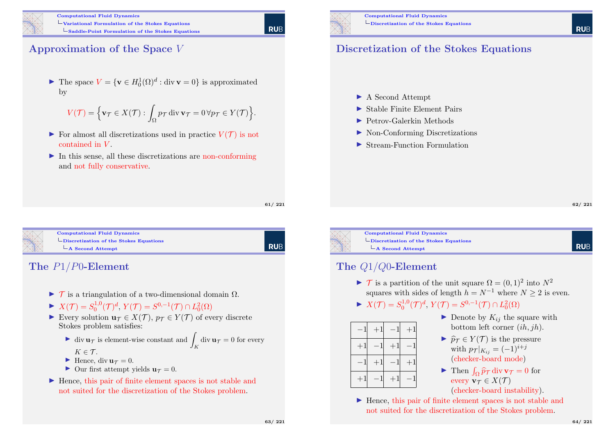

### Approximation of the Space V

▶ The space  $V = \{ \mathbf{v} \in H_0^1(\Omega)^d : \text{div } \mathbf{v} = 0 \}$  is approximated by

$$
V(\mathcal{T}) = \left\{ \mathbf{v}_{\mathcal{T}} \in X(\mathcal{T}) : \int_{\Omega} p_{\mathcal{T}} \operatorname{div} \mathbf{v}_{\mathcal{T}} = 0 \,\forall p_{\mathcal{T}} \in Y(\mathcal{T}) \right\}
$$

- $\triangleright$  For almost all discretizations used in practice  $V(\mathcal{T})$  is not contained in V .
- $\blacktriangleright$  In this sense, all these discretizations are non-conforming and not fully conservative.

61/ 221

.

**RUE** 

<span id="page-15-0"></span>

Computational Fluid Dynamics [Discretization of the S](#page-0-0)tokes Equations  $\mathsf{\mathsf{L}}$  [A Second Attempt](#page-11-0)

RUB

#### The P1/P0-Element

- $\triangleright$  T is a triangulation of a two-dimensional domain  $\Omega$ .
- $\blacktriangleright X(\mathcal{T}) = S_0^{1,0}$  $S^{0,-1}(\mathcal{T})^d$ ,  $Y(\mathcal{T}) = S^{0,-1}(\mathcal{T}) \cap L_0^2(\Omega)$
- Every solution  $\mathbf{u}_{\mathcal{T}} \in X(\mathcal{T}), p_{\mathcal{T}} \in Y(\mathcal{T})$  of every discrete Stokes problem satisfies:
	- ightharpoonup div  $\mathbf{u}_{\mathcal{T}}$  is element-wise constant and  $\int_K \text{div } \mathbf{u}_{\mathcal{T}} = 0$  for every  $K \in \mathcal{T}$ .
	- $\blacktriangleright$  Hence, div  $u_{\tau} = 0$ .
	- $\triangleright$  Our first attempt yields  $\mathbf{u}_{\tau} = 0$ .
- $\blacktriangleright$  Hence, this pair of finite element spaces is not stable and not suited for the discretization of the Stokes problem.



#### Discretization of the Stokes Equations

- ▶ A Second Attempt
- $\blacktriangleright$  Stable Finite Element Pairs
- $\blacktriangleright$  Petrov-Galerkin Methods
- ▶ Non-Conforming Discretizations
- ▶ Stream-Function Formulation

**RUE** 



Computational Fluid Dynamics  $\Box$ Discretization of the Stokes Equations  $\mathsf{\mathsf{L}}$  A Second Attempt

#### The Q1/Q0-Element

- $\triangleright$  T is a partition of the unit square  $\Omega = (0, 1)^2$  into  $N^2$ squares with sides of length  $h = N^{-1}$  where  $N \ge 2$  is even.
- $\blacktriangleright X(\mathcal{T}) = S_0^{1,0}$  $S^{0,-1}(\mathcal{T})^d$ ,  $Y(\mathcal{T}) = S^{0,-1}(\mathcal{T}) \cap L_0^2(\Omega)$



- $\blacktriangleright$  Denote by  $K_{ij}$  the square with bottom left corner (ih, jh).
- $\blacktriangleright \widehat{p}_{\mathcal{T}} \in Y(\mathcal{T})$  is the pressure with  $p_{\mathcal{T}}|_{K_{ij}} = (-1)^{i+j}$ (checker-board mode)
- Then  $\int_{\Omega} \hat{p}_{\mathcal{T}} \operatorname{div} \mathbf{v}_{\mathcal{T}} = 0$  for every  $\mathbf{v}_{\tau} \in X(\mathcal{T})$ (checker-board instability).

 $\blacktriangleright$  Hence, this pair of finite element spaces is not stable and not suited for the discretization of the Stokes problem.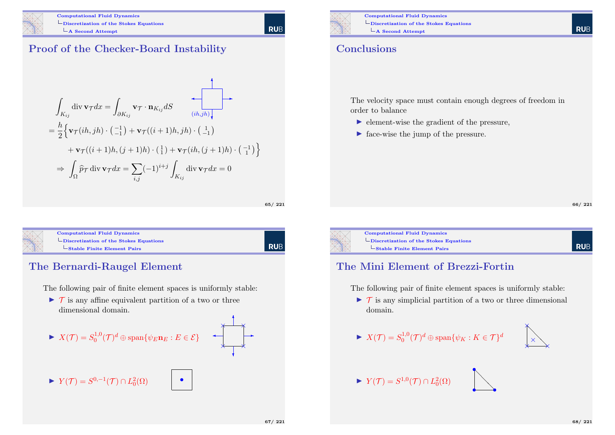

Proof of the Checker-Board Instability

$$
\int_{K_{ij}} \operatorname{div} \mathbf{v}_{\mathcal{T}} dx = \int_{\partial K_{ij}} \mathbf{v}_{\mathcal{T}} \cdot \mathbf{n}_{K_{ij}} dS
$$
\n
$$
= \frac{h}{2} \Big\{ \mathbf{v}_{\mathcal{T}}(ih, jh) \cdot \left( \frac{-1}{-1} \right) + \mathbf{v}_{\mathcal{T}}((i+1)h, jh) \cdot \left( \frac{1}{-1} \right) + \mathbf{v}_{\mathcal{T}}((i+1)h, (j+1)h) \cdot \left( \frac{1}{1} \right) + \mathbf{v}_{\mathcal{T}}(ih, (j+1)h) \cdot \left( \frac{-1}{1} \right) \Big\}
$$
\n
$$
\Rightarrow \int_{\Omega} \widehat{p}_{\mathcal{T}} \operatorname{div} \mathbf{v}_{\mathcal{T}} dx = \sum_{i,j} (-1)^{i+j} \int_{K_{ij}} \operatorname{div} \mathbf{v}_{\mathcal{T}} dx = 0
$$

65/ 221

**RUB** 

**RUE** 

| <b>Computational Fluid Dynamics</b>                             |
|-----------------------------------------------------------------|
| $\overline{\phantom{a}}$ Discretization of the Stokes Equations |
| $-$ Stable Finite Element Pairs                                 |

#### The Bernardi-Raugel Element

The following pair of finite element spaces is uniformly stable:

 $\triangleright$  T is any affine equivalent partition of a two or three dimensional domain.





Computational Fluid Dynamics Discretization of the Stokes Equations  $\mathsf{\mathsf{L}}$  A Second Attempt

#### **Conclusions**

The velocity space must contain enough degrees of freedom in order to balance

- $\blacktriangleright$  element-wise the gradient of the pressure,
- ▶ face-wise the jump of the pressure.

66/ 221



Computational Fluid Dynamics  $\Box$ Discretization of the Stokes Equations Stable Finite Element Pairs

## **RUE**

#### The Mini Element of Brezzi-Fortin

The following pair of finite element spaces is uniformly stable:

- $\triangleright$  T is any simplicial partition of a two or three dimensional domain.
- $\blacktriangleright X(\mathcal{T}) = S_0^{1,0}$  $\mathbb{Q}_0^{1,0}(\mathcal{T})^d\oplus\mathrm{span}\{\psi_K:K\in\mathcal{T}\}^d$



 $\blacktriangleright$   $Y(\mathcal{T}) = S^{1,0}(\mathcal{T}) \cap L_0^2(\Omega)$ 

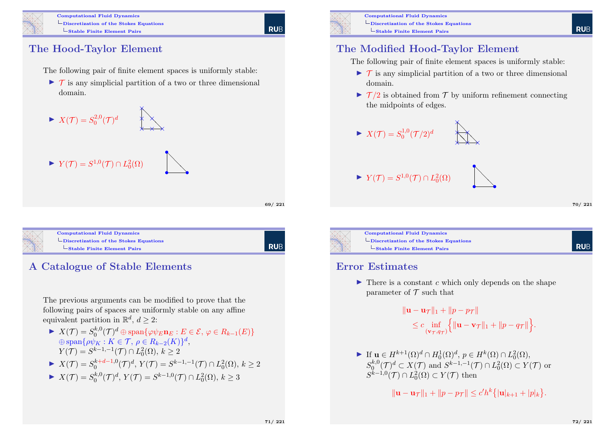

Computational Fluid Dynamics  $\Box$ Discretization of the Stokes Equations Stable Finite Element Pairs

**RUE** 

# The Hood-Taylor Element

The following pair of finite element spaces is uniformly stable:

 $\triangleright$  T is any simplicial partition of a two or three dimensional domain.





Computational Fluid Dynamics  $\Box$ [Discretization of the S](#page-0-0)tokes Equations [Stable Finite Element Pairs](#page-15-0)

**RUB** 

69/ 221

# A Catalogue of Stable Elements

The previous arguments can be modified to prove that the following pairs of spaces are uniformly stable on any affine equivalent partition in  $\mathbb{R}^d$ ,  $d \geq 2$ :

- $\blacktriangleright X(\mathcal{T}) = S_0^{k,0}$  $\mathcal{O}_0^{k,0}(\mathcal{T})^d\oplus\operatorname{span}\{\varphi\psi_E\mathbf{n}_E: E\in\mathcal{E},\,\varphi\in R_{k-1}(E)\}$  $\oplus$  span $\{\rho \psi_K : K \in \mathcal{T}, \, \rho \in R_{k-2}(K)\}^d$ ,  $Y(\mathcal{T}) = S^{k-1,-1}(\mathcal{T}) \cap L_0^2(\Omega), k \ge 2$
- $X(\mathcal{T}) = S_0^{k+d-1,0}$  $S_0^{k+d-1,0}(\mathcal{T})^d$ ,  $Y(\mathcal{T}) = S^{k-1,-1}(\mathcal{T}) \cap L_0^2(\Omega)$ ,  $k \geq 2$
- $\blacktriangleright X(\mathcal{T}) = S_0^{k,0}$  $S_0^{k,0}(\mathcal{T})^d$ ,  $Y(\mathcal{T}) = S^{k-1,0}(\mathcal{T}) \cap L_0^2(\Omega)$ ,  $k \geq 3$



Computational Fluid Dynamics Discretization of the Stokes Equations  $\overline{\phantom{a}}$ Stable Finite Element Pairs

#### The Modified Hood-Taylor Element

The following pair of finite element spaces is uniformly stable:

- $\triangleright$  T is any simplicial partition of a two or three dimensional domain.
- $\triangleright$   $\mathcal{T}/2$  is obtained from  $\mathcal{T}$  by uniform refinement connecting the midpoints of edges.

❅ ❅  $\star\!\!\!\star\!\!\!\star\!\!\!\star$  $\sum$ 

×  $\overleftrightarrow{\phantom{a}}$ 

×

$$
\blacktriangleright X(\mathcal{T}) = S_0^{1,0}(\mathcal{T}/2)^d
$$

 $\blacktriangleright$   $Y(\mathcal{T}) = S^{1,0}(\mathcal{T}) \cap L_0^2(\Omega)$ 



70/ 221

**RUF** 



Computational Fluid Dynamics  $\Box$ Discretization of the Stokes Equations Stable Finite Element Pairs

#### Error Estimates

 $\blacktriangleright$  There is a constant c which only depends on the shape parameter of  $\mathcal T$  such that

> $\|\mathbf{u} - \mathbf{u}\tau\|_1 + \|p - p\tau\|_1$  $\leq c \inf_{(\mathbf{v}_\mathcal{T},q_{\mathcal{T}})}$  $\{|{\bf u}-{\bf v}_{\mathcal{T}}\|_1+ \|p-q_{\mathcal{T}}\|\}.$

► If  $\mathbf{u} \in H^{k+1}(\Omega)^d \cap H_0^1(\Omega)^d$ ,  $p \in H^k(\Omega) \cap L_0^2(\Omega)$ ,  $S_0^{k,0}$  $0^{k,0}(\mathcal{T})^d \subset X(\mathcal{T})$  and  $S^{k-1,-1}(\mathcal{T}) \cap L_0^2(\Omega) \subset Y(\mathcal{T})$  or  $S^{k-1,0}(\mathcal{T}) \cap L_0^2(\Omega) \subset Y(\mathcal{T})$  then

 $\|\mathbf{u} - \mathbf{u}\tau\|_1 + \|p - p\tau\| \le c'h^k \{|\mathbf{u}|_{k+1} + |p|_k\}.$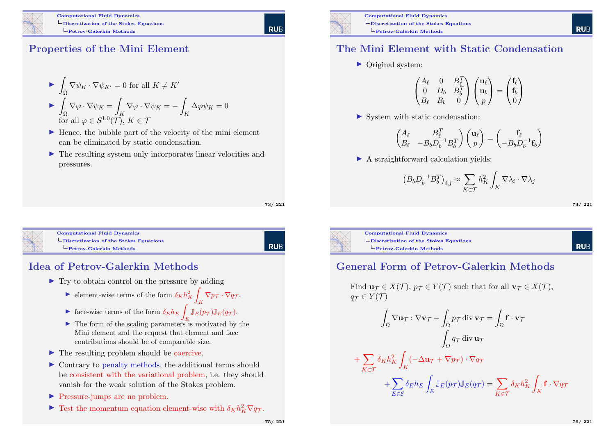

### Properties of the Mini Element

$$
\triangleright \int_{\Omega} \nabla \psi_K \cdot \nabla \psi_{K'} = 0 \text{ for all } K \neq K'
$$
  
\n
$$
\triangleright \int_{\Omega} \nabla \varphi \cdot \nabla \psi_K = \int_K \nabla \varphi \cdot \nabla \psi_K = - \int_K \Delta \varphi \psi_K = 0
$$
  
\nfor all  $\varphi \in S^{1,0}(\mathcal{T}), K \in \mathcal{T}$ 

- $\blacktriangleright$  Hence, the bubble part of the velocity of the mini element can be eliminated by static condensation.
- $\blacktriangleright$  The resulting system only incorporates linear velocities and pressures.

73/ 221

**RUE** 



Computational Fluid Dynamics [Discretization of the S](#page-0-0)tokes Equations [Petrov-Galerkin Methods](#page-15-0)

RUB

## Idea of Petrov-Galerkin Methods

- $\blacktriangleright$  Try to obtain control on the pressure by adding
	- $\blacktriangleright$  element-wise terms of the form  $\delta_K h_K^2$ Z  $\bigwedge_K \nabla p_{\mathcal{T}} \cdot \nabla q_{\mathcal{T}},$
	- ightharpoonup face-wise terms of the form  $\delta_E h_E$  $\int_E \mathbb{J}_E(p_\mathcal{T}) \mathbb{J}_E(q_\mathcal{T}).$
	- $\triangleright$  The form of the scaling parameters is motivated by the Mini element and the request that element and face contributions should be of comparable size.
- $\blacktriangleright$  The resulting problem should be coercive.
- $\triangleright$  Contrary to penalty methods, the additional terms should be consistent with the variational problem, i.e. they should vanish for the weak solution of the Stokes problem.
- **In Pressure-jumps are no problem.**
- Fest the momentum equation element-wise with  $\delta_K h_K^2 \nabla q_T$ .



Computational Fluid Dynamics Discretization of the Stokes Equations Petrov-Galerkin Methods

#### The Mini Element with Static Condensation

 $\triangleright$  Original system:

$$
\begin{pmatrix} A_{\ell} & 0 & B_{\ell}^{T} \\ 0 & D_{b} & B_{b}^{T} \\ B_{\ell} & B_{b} & 0 \end{pmatrix} \begin{pmatrix} \mathbf{u}_{\ell} \\ \mathbf{u}_{b} \\ p \end{pmatrix} = \begin{pmatrix} \mathbf{f}_{\ell} \\ \mathbf{f}_{b} \\ 0 \end{pmatrix}
$$

 $\triangleright$  System with static condensation:

$$
\begin{pmatrix} A_\ell & B_\ell^T \\ B_\ell & -B_bD_b^{-1}B_b^T \end{pmatrix} \begin{pmatrix} \mathbf{u}_\ell \\ p \end{pmatrix} = \begin{pmatrix} \mathbf{f}_\ell \\ -B_bD_b^{-1}\mathbf{f}_b \end{pmatrix}
$$

 $\blacktriangleright$  A straightforward calculation yields:

$$
\left(B_b D_b^{-1} B_b^T\right)_{i,j} \approx \sum_{K\in\mathcal{T}} h_K^2 \int_K \nabla\lambda_i \cdot \nabla\lambda_j
$$

74/ 221

**RUE** 

Computational Fluid Dynamics  $\Box$ Discretization of the Stokes Equations Petrov-Galerkin Methods

#### General Form of Petrov-Galerkin Methods

Find  $\mathbf{u}_{\mathcal{T}} \in X(\mathcal{T}), p_{\mathcal{T}} \in Y(\mathcal{T})$  such that for all  $\mathbf{v}_{\mathcal{T}} \in X(\mathcal{T}),$  $q_{\mathcal{T}} \in Y(\mathcal{T})$ 

$$
\int_{\Omega} \nabla \mathbf{u}_{\mathcal{T}} : \nabla \mathbf{v}_{\mathcal{T}} - \int_{\Omega} p_{\mathcal{T}} \operatorname{div} \mathbf{v}_{\mathcal{T}} = \int_{\Omega} \mathbf{f} \cdot \mathbf{v}_{\mathcal{T}}
$$
\n
$$
\int_{\Omega} q_{\mathcal{T}} \operatorname{div} \mathbf{u}_{\mathcal{T}}
$$
\n
$$
+ \sum_{K \in \mathcal{T}} \delta_K h_K^2 \int_K (-\Delta \mathbf{u}_{\mathcal{T}} + \nabla p_{\mathcal{T}}) \cdot \nabla q_{\mathcal{T}}
$$
\n
$$
+ \sum_{E \in \mathcal{E}} \delta_E h_E \int_E \mathbb{J}_E(p_{\mathcal{T}}) \mathbb{J}_E(q_{\mathcal{T}}) = \sum_{K \in \mathcal{T}} \delta_K h_K^2 \int_K \mathbf{f} \cdot \nabla q_{\mathcal{T}}
$$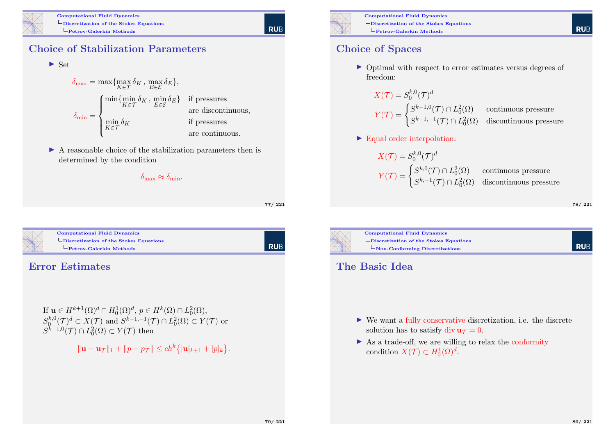

## Choice of Stabilization Parameters

$$
\blacktriangleright
$$
 Set

$$
\delta_{\max} = \max \{ \max_{K \in \mathcal{T}} \delta_K, \max_{E \in \mathcal{E}} \delta_E \},
$$
\n
$$
\delta_{\min} = \begin{cases}\n\min \{ \min_{K \in \mathcal{T}} \delta_K, \min_{E \in \mathcal{E}} \delta_E \} & \text{if pressures} \\
\min_{K \in \mathcal{T}} \delta_K & \text{if pressures} \\
\text{are continuous,} & \text{if pressures} \\
\text{are continuous.} & \text{are continuous.} \n\end{cases}
$$

 $\triangleright$  A reasonable choice of the stabilization parameters then is determined by the condition

 $\delta_{\text{max}} \approx \delta_{\text{min}}$ .

77/ 221

**RUE** 



#### Computational Fluid Dynamics [Discretization of the S](#page-0-0)tokes Equations [Petrov-Galerkin Methods](#page-15-0)

| RUB

#### Error Estimates

If  $\mathbf{u} \in H^{k+1}(\Omega)^d \cap H_0^1(\Omega)^d$ ,  $p \in H^k(\Omega) \cap L_0^2(\Omega)$ ,  $S_0^{k,0}$  $0_0^{k,0}(\mathcal{T})^d \subset X(\mathcal{T})$  and  $S^{k-1,-1}(\mathcal{T}) \cap L_0^2(\Omega) \subset Y(\mathcal{T})$  or  $S^{k-1,0}(\mathcal{T}) \cap L_0^2(\Omega) \subset Y(\mathcal{T})$  then

 $\|\mathbf{u} - \mathbf{u}\tau\|_1 + \|p - p\tau\| \le ch^k \{|\mathbf{u}|_{k+1} + |p|_k\}.$ 



Computational Fluid Dynamics Discretization of the Stokes Equations Petrov-Galerkin Methods

#### Choice of Spaces

▶ Optimal with respect to error estimates versus degrees of freedom:

$$
X(\mathcal{T}) = S_0^{k,0}(\mathcal{T})^d
$$
  
 
$$
Y(\mathcal{T}) = \begin{cases} S^{k-1,0}(\mathcal{T}) \cap L_0^2(\Omega) & \text{continuous pressure} \\ S^{k-1,-1}(\mathcal{T}) \cap L_0^2(\Omega) & \text{discontinuous pressure} \end{cases}
$$

 $\blacktriangleright$  Equal order interpolation:

$$
X(\mathcal{T}) = S_0^{k,0}(\mathcal{T})^d
$$

$$
Y(\mathcal{T}) = \begin{cases} S^{k,0}(\mathcal{T}) \cap L_0^2(\Omega) & \text{cc} \\ S^{k,-1}(\mathcal{T}) \cap L_0^2(\Omega) & \text{di} \end{cases}
$$

ontinuous pressure iscontinuous pressure

78/ 221

**RUE** 



Computational Fluid Dynamics Discretization of the Stokes Equations Non-Conforming Discretizations

#### The Basic Idea

- $\triangleright$  We want a fully conservative discretization, i.e. the discrete solution has to satisfy div  $\mathbf{u}\tau = 0$ .
- $\triangleright$  As a trade-off, we are willing to relax the conformity condition  $X(\mathcal{T}) \subset H_0^1(\Omega)^d$ .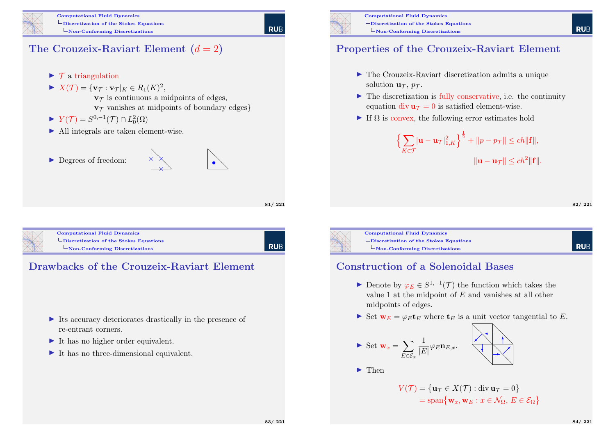

### The Crouzeix-Raviart Element  $(d = 2)$

- $\triangleright$  T a triangulation
- $\blacktriangleright X(\mathcal{T}) = {\mathbf{v}_{\mathcal{T}} : \mathbf{v}_{\mathcal{T}}|_K \in R_1(K)^2},$ 
	- $v_{\tau}$  is continuous a midpoints of edges,  $v_{\mathcal{T}}$  vanishes at midpoints of boundary edges}

 $\diagup$  $\times$ 

××

- $\blacktriangleright$   $Y(\mathcal{T}) = S^{0,-1}(\mathcal{T}) \cap L_0^2(\Omega)$
- I All integrals are taken element-wise.
- ▶ Degrees of freedom:



 $\searrow$  $\diagup$ •

81/ 221



```
Computational Fluid Dynamics
Discretization of the Stokes Equations
  Non-Conforming Discretizations
```
**RUB** 

#### Drawbacks of the Crouzeix-Raviart Element

- $\triangleright$  Its accuracy deteriorates drastically in the presence of re-entrant corners.
- $\blacktriangleright$  It has no higher order equivalent.
- $\blacktriangleright$  It has no three-dimensional equivalent.



Computational Fluid Dynamics Discretization of the Stokes Equations  $\Box$ Non-Conforming Discretizations

### Properties of the Crouzeix-Raviart Element

- $\blacktriangleright$  The Crouzeix-Raviart discretization admits a unique solution  $\mathbf{u}_{\tau}$ ,  $p_{\tau}$ .
- $\blacktriangleright$  The discretization is fully conservative, i.e. the continuity equation div  $\mathbf{u}\tau = 0$  is satisfied element-wise.
- If  $\Omega$  is convex, the following error estimates hold

$$
\left\{\sum_{K\in\mathcal{T}}|\mathbf{u}-\mathbf{u}_{\mathcal{T}}|_{1,K}^2\right\}^{\frac{1}{2}} + \|p - p_{\mathcal{T}}\| \le ch \|\mathbf{f}\|,
$$
  

$$
\|\mathbf{u} - \mathbf{u}_{\mathcal{T}}\| \le ch^2 \|\mathbf{f}\|.
$$

82/ 221

**RUE** 



Computational Fluid Dynamics Discretization of the Stokes Equations Non-Conforming Discretizations

#### **RUE**

#### Construction of a Solenoidal Bases

- ► Denote by  $\varphi_E \in S^{1,-1}(\mathcal{T})$  the function which takes the value 1 at the midpoint of E and vanishes at all other midpoints of edges.
- Set  $\mathbf{w}_E = \varphi_E \mathbf{t}_E$  where  $\mathbf{t}_E$  is a unit vector tangential to E.

$$
\triangleright \text{ Set } \mathbf{w}_x = \sum_{E \in \mathcal{E}_x} \frac{1}{|E|} \varphi_E \mathbf{n}_{E,x}.
$$

 $\blacktriangleright$  Then

$$
V(\mathcal{T}) = \{ \mathbf{u}_{\mathcal{T}} \in X(\mathcal{T}) : \text{div} \mathbf{u}_{\mathcal{T}} = 0 \}
$$
  
= span{ $\mathbf{w}_x, \mathbf{w}_E : x \in \mathcal{N}_{\Omega}, E \in \mathcal{E}_{\Omega} \}$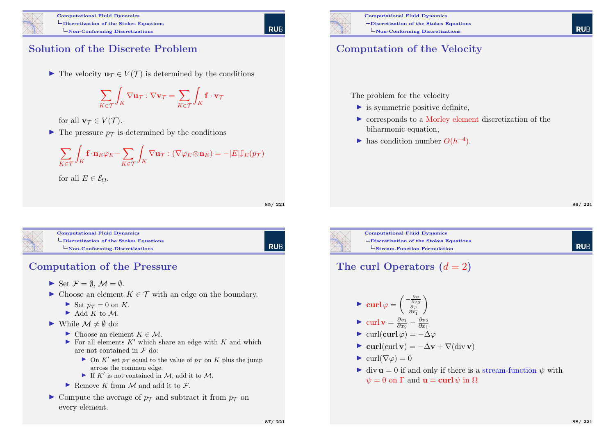

#### Solution of the Discrete Problem

In The velocity  $\mathbf{u}_{\mathcal{T}} \in V(\mathcal{T})$  is determined by the conditions

$$
\sum_{K \in \mathcal{T}} \int_K \nabla \mathbf{u}_{\mathcal{T}} : \nabla \mathbf{v}_{\mathcal{T}} = \sum_{K \in \mathcal{T}} \int_K \mathbf{f} \cdot \mathbf{v}_{\mathcal{T}}
$$

for all  $\mathbf{v}_{\tau} \in V(\mathcal{T})$ .

 $\blacktriangleright$  The pressure  $p_{\tau}$  is determined by the conditions

$$
\sum_{K\in\mathcal{T}}\int_{K} \mathbf{f}\cdot\mathbf{n}_{E}\varphi_{E}-\sum_{K\in\mathcal{T}}\int_{K}\nabla\mathbf{u}_{\mathcal{T}}:(\nabla\varphi_{E}\otimes\mathbf{n}_{E})=-|E|\mathbb{J}_{E}(p_{\mathcal{T}})
$$

for all  $E \in \mathcal{E}_{\Omega}$ .

85/ 221

| Rub

**RUE** 

| <b>Computational Fluid Dynamics</b>                       |
|-----------------------------------------------------------|
| $\mathrel{\sqcup}$ Discretization of the Stokes Equations |
| $\Box$ Non-Conforming Discretizations                     |
|                                                           |

## Computation of the Pressure

- $\blacktriangleright$  Set  $\mathcal{F} = \emptyset$ ,  $\mathcal{M} = \emptyset$ .
- ► Choose an element  $K \in \mathcal{T}$  with an edge on the boundary.
	- $\blacktriangleright$  Set  $p_{\mathcal{T}} = 0$  on K.
	- $\blacktriangleright$  Add K to M.
- ▶ While  $\mathcal{M} \neq \emptyset$  do:
	- $\blacktriangleright$  Choose an element  $K \in \mathcal{M}$ .
	- $\blacktriangleright$  For all elements K' which share an edge with K and which are not contained in  $\mathcal F$  do:
		- $\triangleright$  On K' set  $p_{\mathcal{T}}$  equal to the value of  $p_{\mathcal{T}}$  on K plus the jump across the common edge.
		- If  $K'$  is not contained in M, add it to M.
	- Remove K from M and add it to  $\mathcal{F}$ .
- $\triangleright$  Compute the average of  $p_{\tau}$  and subtract it from  $p_{\tau}$  on every element.



Computational Fluid Dynamics Discretization of the Stokes Equations Non-Conforming Discretizations

# Computation of the Velocity

The problem for the velocity

- $\blacktriangleright$  is symmetric positive definite,
- $\triangleright$  corresponds to a Morley element discretization of the biharmonic equation,
- $\blacktriangleright$  has condition number  $O(h^{-4})$ .

86/ 221

**RUF** 

**RUF** 



Computational Fluid Dynamics Discretization of the Stokes Equations Stream-Function Formulation

## The curl Operators  $(d = 2)$

- $\blacktriangleright \ \operatorname{curl} \varphi = \begin{pmatrix} -\frac{\partial \varphi}{\partial x_2} \\ \frac{\partial \varphi}{\partial x_1} \end{pmatrix}$  $\setminus$
- lacktriangleright values of  $\frac{\partial v_1}{\partial x_2}$  $\frac{\partial v_1}{\partial x_2} - \frac{\partial v_2}{\partial x_1}$  $\partial x_1$
- $\blacktriangleright$  curl(curl  $\varphi$ ) =  $-\Delta\varphi$
- $\triangleright$  curl(curl v) =  $-\Delta v + \nabla$ (div v)
- $\blacktriangleright$  curl( $\nabla \varphi$ ) = 0
- $\bullet$  div  $\mathbf{u} = 0$  if and only if there is a stream-function  $\psi$  with  $\psi = 0$  on  $\Gamma$  and  $\mathbf{u} = \mathbf{curl} \psi$  in  $\Omega$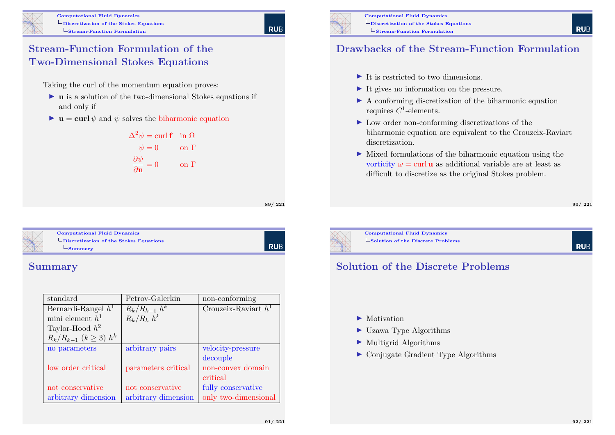#### Stream-Function Formulation of the Two-Dimensional Stokes Equations

Taking the curl of the momentum equation proves:

- $\triangleright$  **u** is a solution of the two-dimensional Stokes equations if and only if
- $\bullet$  **u** = curl  $\psi$  and  $\psi$  solves the biharmonic equation

$$
\Delta^{2} \psi = \text{curl } \mathbf{f} \quad \text{in } \Omega
$$

$$
\psi = 0 \qquad \text{on } \Gamma
$$

$$
\frac{\partial \psi}{\partial \mathbf{n}} = 0 \qquad \text{on } \Gamma
$$

89/ 221

RUB

**RUB** 

<span id="page-22-0"></span>

Computational Fluid Dynamics [Discretization of the S](#page-0-0)tokes Equations  $\mathsf{\mathsf{L}_{Summary}}$  $\mathsf{\mathsf{L}_{Summary}}$  $\mathsf{\mathsf{L}_{Summary}}$ 

# Summary

| standard                         | Petrov-Galerkin     | non-conforming         |
|----------------------------------|---------------------|------------------------|
| Bernardi-Raugel $h^1$            | $R_k/R_{k-1} h^k$   | Crouzeix-Raviart $h^1$ |
| mini element $h^1$               | $R_k/R_k h^k$       |                        |
| Taylor-Hood $h^2$                |                     |                        |
| $R_k/R_{k-1}$ $(k \geq 3)$ $h^k$ |                     |                        |
| no parameters                    | arbitrary pairs     | velocity-pressure      |
|                                  |                     | decouple               |
| low order critical               | parameters critical | non-convex domain      |
|                                  |                     | critical               |
| not conservative                 | not conservative    | fully conservative     |
| arbitrary dimension              | arbitrary dimension | only two-dimensional   |

## Drawbacks of the Stream-Function Formulation

- $\blacktriangleright$  It is restricted to two dimensions.
- $\blacktriangleright$  It gives no information on the pressure.
- $\blacktriangleright$  A conforming discretization of the biharmonic equation requires  $C^1$ -elements.
- $\blacktriangleright$  Low order non-conforming discretizations of the biharmonic equation are equivalent to the Crouzeix-Raviart discretization.
- $\blacktriangleright$  Mixed formulations of the biharmonic equation using the vorticity  $\omega = \text{curl} \mathbf{u}$  as additional variable are at least as difficult to discretize as the original Stokes problem.

#### 90/ 221

Computational Fluid Dynamics

 $\mathsf{\mathsf{L}}$  Solution of the Discrete Problems

#### **RUE**

#### Solution of the Discrete Problems

- $\blacktriangleright$  Motivation
- $\blacktriangleright$  Uzawa Type Algorithms
- $\blacktriangleright$  Multigrid Algorithms
- $\triangleright$  Conjugate Gradient Type Algorithms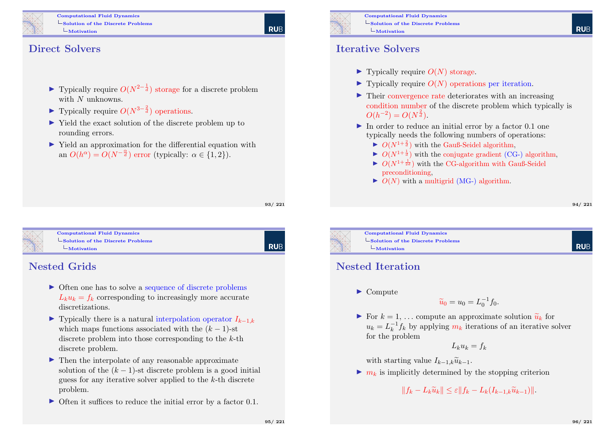

Computational Fluid Dynamics  $\mathsf{\mathsf{L}}$  Solution of the Discrete Problems Motivation

# **RUE**

Direct Solvers

- ► Typically require  $O(N^{2-\frac{1}{d}})$  storage for a discrete problem with N unknowns.
- ▶ Typically require  $O(N^{3-\frac{2}{d}})$  operations.
- In Yield the exact solution of the discrete problem up to rounding errors.
- I Yield an approximation for the differential equation with an  $O(h^{\alpha}) = O(N^{-\frac{\alpha}{d}})$  error (typically:  $\alpha \in \{1, 2\}$ ).

93/ 221

Computational Fluid Dynamics  $\mathsf{\mathsf{L}}$  [Solution of the Discre](#page-0-0)te Problems  $L$ [Motivation](#page-22-0)

# RUB

#### Nested Grids

- Often one has to solve a sequence of discrete problems  $L_k u_k = f_k$  corresponding to increasingly more accurate discretizations.
- $\triangleright$  Typically there is a natural interpolation operator  $I_{k-1,k}$ which maps functions associated with the  $(k-1)$ -st discrete problem into those corresponding to the k-th discrete problem.
- $\blacktriangleright$  Then the interpolate of any reasonable approximate solution of the  $(k-1)$ -st discrete problem is a good initial guess for any iterative solver applied to the k-th discrete problem.
- $\triangleright$  Often it suffices to reduce the initial error by a factor 0.1.



Computational Fluid Dynamics  $\mathsf{\mathsf{L}}$  Solution of the Discrete Problems  $L<sub>Motivation</sub>$ 

#### Iterative Solvers

- $\blacktriangleright$  Typically require  $O(N)$  storage.
- $\blacktriangleright$  Typically require  $O(N)$  operations per iteration.
- $\blacktriangleright$  Their convergence rate deteriorates with an increasing condition number of the discrete problem which typically is  $O(h^{-2}) = O(N^{\frac{2}{d}}).$
- In order to reduce an initial error by a factor  $0.1$  one typically needs the following numbers of operations:
	- $\triangleright$   $O(N^{1+\frac{2}{d}})$  with the Gauß-Seidel algorithm,
	- $\triangleright$   $O(N^{1+\frac{1}{d}})$  with the conjugate gradient (CG-) algorithm,
	- $\triangleright$   $O(N^{1+\frac{1}{2d}})$  with the CG-algorithm with Gauß-Seidel preconditioning,
	- $\triangleright$   $\overline{O(N)}$  with a multigrid (MG-) algorithm.

#### 94/ 221

**RUF** 

Computational Fluid Dynamics  $\mathsf{\mathsf{L}}$  Solution of the Discrete Problems  $L_M$ otivation

#### Nested Iteration

 $\blacktriangleright$  Compute

$$
\widetilde{u}_0 = u_0 = L_0^{-1} f_0.
$$

For  $k = 1, \ldots$  compute an approximate solution  $\tilde{u}_k$  for  $u_k = L_k^{-1}$  $\frac{-1}{k} f_k$  by applying  $m_k$  iterations of an iterative solver for the problem

$$
L_k u_k = f_k
$$

with starting value  $I_{k-1,k}\tilde{u}_{k-1}$ .

 $\blacktriangleright$   $m_k$  is implicitly determined by the stopping criterion

 $||f_k - L_k\widetilde{u}_k|| \leq \varepsilon ||f_k - L_k(I_{k-1,k}\widetilde{u}_{k-1})||.$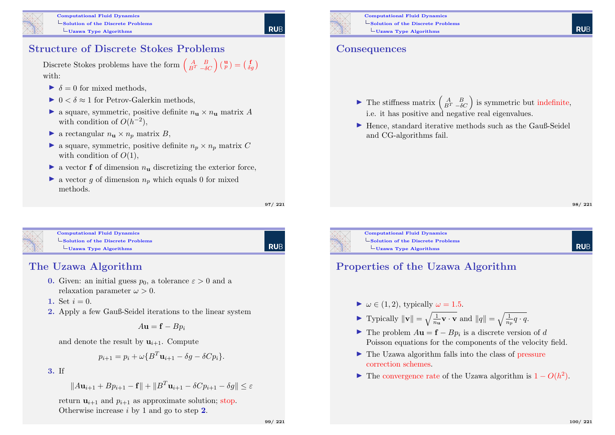

# Structure of Discrete Stokes Problems

Discrete Stokes problems have the form  $\begin{pmatrix} A & B \\ B^T & -\delta C \end{pmatrix} \begin{pmatrix} \mathbf{u} \\ p \end{pmatrix} = \begin{pmatrix} \mathbf{f} \\ \delta g \end{pmatrix}$ with:

- $\triangleright \delta = 0$  for mixed methods.
- $\triangleright$   $0 < \delta \approx 1$  for Petrov-Galerkin methods,
- **a** square, symmetric, positive definite  $n_{\text{u}} \times n_{\text{u}}$  matrix A with condition of  $O(h^{-2})$ ,
- **a** rectangular  $n_{\text{u}} \times n_{\text{n}}$  matrix B,
- **a** square, symmetric, positive definite  $n_p \times n_p$  matrix C with condition of  $O(1)$ ,
- $\triangleright$  a vector **f** of dimension  $n_{\text{u}}$  discretizing the exterior force,
- $\blacktriangleright$  a vector q of dimension  $n_p$  which equals 0 for mixed methods.

97/ 221

Computational Fluid Dynamics  $\mathsf{\mathsf{L}}$  [Solution of the Discre](#page-0-0)te Problems  $L$ [Uzawa Type Algorithms](#page-22-0)

# RUB

#### The Uzawa Algorithm

- **0.** Given: an initial guess  $p_0$ , a tolerance  $\varepsilon > 0$  and a relaxation parameter  $\omega > 0$ .
- 1. Set  $i = 0$ .
- 2. Apply a few Gauß-Seidel iterations to the linear system

$$
A\mathbf{u} = \mathbf{f} - Bp_i
$$

and denote the result by  $\mathbf{u}_{i+1}$ . Compute

$$
p_{i+1} = p_i + \omega \{B^T \mathbf{u}_{i+1} - \delta g - \delta C p_i\}.
$$

3. If

$$
||A\mathbf{u}_{i+1} + Bp_{i+1} - \mathbf{f}|| + ||B^T \mathbf{u}_{i+1} - \delta Cp_{i+1} - \delta g|| \le \varepsilon
$$

return  $\mathbf{u}_{i+1}$  and  $p_{i+1}$  as approximate solution; stop. Otherwise increase i by 1 and go to step 2.

Computational Fluid Dynamics  $\mathsf{\mathsf{L}}$  Solution of the Discrete Problems  $L_{\text{Uzawa Type Algorithms}}$ 

#### **Consequences**

- **►** The stiffness matrix  $\begin{pmatrix} A & B \\ B^T & -\delta C \end{pmatrix}$  is symmetric but indefinite, i.e. it has positive and negative real eigenvalues.
- $\blacktriangleright$  Hence, standard iterative methods such as the Gauß-Seidel and CG-algorithms fail.

**RUF** 



 $\mathsf{\mathsf{L}}$  Solution of the Discrete Problems  $L_{\text{Uzawa Type Algorithms}}$ 

# **RUF**

#### Properties of the Uzawa Algorithm

- $\blacktriangleright \omega \in (1, 2)$ , typically  $\omega = 1.5$ .
- Typically  $\|\mathbf{v}\| = \sqrt{\frac{1}{n_{\mathbf{u}}} \mathbf{v} \cdot \mathbf{v}}$  and  $\|q\| = \sqrt{\frac{1}{n_{p}} q \cdot q}$ .
- **IF** The problem  $A$ **u** = **f** −  $B$  $p_i$  is a discrete version of d Poisson equations for the components of the velocity field.
- $\blacktriangleright$  The Uzawa algorithm falls into the class of pressure correction schemes.
- **I** The convergence rate of the Uzawa algorithm is  $1 O(h^2)$ .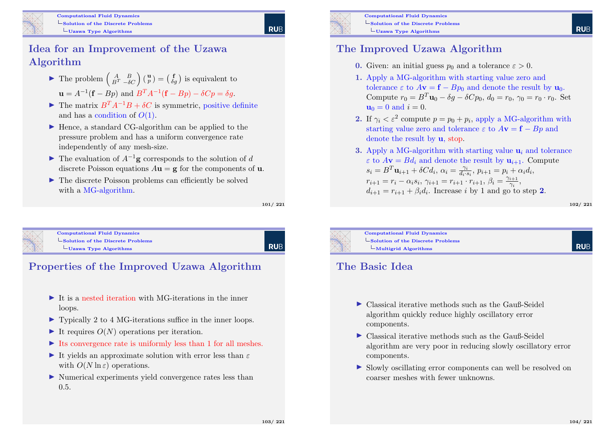

### Idea for an Improvement of the Uzawa Algorithm

- The problem  $\begin{pmatrix} A & B \\ B^T & -\delta C \end{pmatrix} \begin{pmatrix} \mathbf{u} \\ p \end{pmatrix} = \begin{pmatrix} \mathbf{f} \\ \delta g \end{pmatrix}$  is equivalent to  $\mathbf{u} = A^{-1}(\mathbf{f} - Bp)$  and  $B^{T}A^{-1}(\mathbf{f} - Bp) - \delta Cp = \delta g$ .
- $\blacktriangleright$  The matrix  $B^T A^{-1} B + \delta C$  is symmetric, positive definite and has a condition of  $O(1)$ .
- $\blacktriangleright$  Hence, a standard CG-algorithm can be applied to the pressure problem and has a uniform convergence rate independently of any mesh-size.
- $\triangleright$  The evaluation of  $A^{-1}$ **g** corresponds to the solution of d discrete Poisson equations  $A\mathbf{u} = \mathbf{g}$  for the components of **u**.
- $\blacktriangleright$  The discrete Poisson problems can efficiently be solved with a MG-algorithm.

101/ 221

**RUE** 



Computational Fluid Dynamics  $\mathsf{\mathsf{L}}$  [Solution of the Discre](#page-0-0)te Problems  $L_{\text{Uzawa Type Algorithms}}$  $L_{\text{Uzawa Type Algorithms}}$  $L_{\text{Uzawa Type Algorithms}}$ 

**RUB** 

## Properties of the Improved Uzawa Algorithm

- $\blacktriangleright$  It is a nested iteration with MG-iterations in the inner loops.
- ▶ Typically 2 to 4 MG-iterations suffice in the inner loops.
- It requires  $O(N)$  operations per iteration.
- $\blacktriangleright$  Its convergence rate is uniformly less than 1 for all meshes.
- It vields an approximate solution with error less than  $\varepsilon$ with  $O(N \ln \varepsilon)$  operations.
- In Numerical experiments yield convergence rates less than 0.5.



Computational Fluid Dynamics Solution of the Discrete Problems  $L_{\text{Uzawa Type Algorithms}}$ 

#### The Improved Uzawa Algorithm

- **0.** Given: an initial guess  $p_0$  and a tolerance  $\varepsilon > 0$ .
- 1. Apply a MG-algorithm with starting value zero and tolerance  $\varepsilon$  to  $A\mathbf{v} = \mathbf{f} - B\mathbf{p}_0$  and denote the result by  $\mathbf{u}_0$ . Compute  $r_0 = B^T \mathbf{u}_0 - \delta q - \delta C p_0$ ,  $d_0 = r_0$ ,  $\gamma_0 = r_0 \cdot r_0$ . Set  $u_0 = 0$  and  $i = 0$ .
- **2.** If  $\gamma_i < \varepsilon^2$  compute  $p = p_0 + p_i$ , apply a MG-algorithm with starting value zero and tolerance  $\varepsilon$  to  $A\mathbf{v} = \mathbf{f} - B\mathbf{p}$  and denote the result by u, stop.
- 3. Apply a MG-algorithm with starting value  $\mathbf{u}_i$  and tolerance  $\varepsilon$  to  $A$ **v** =  $Bd_i$  and denote the result by  $\mathbf{u}_{i+1}$ . Compute  $s_i = B^T \mathbf{u}_{i+1} + \delta C d_i, \ \alpha_i = \frac{\gamma_i}{d_i}$  $\frac{\gamma_i}{d_i \cdot s_i}, p_{i+1} = p_i + \alpha_i d_i,$  $r_{i+1} = r_i - \alpha_i s_i, \, \gamma_{i+1} = r_{i+1} \cdot r_{i+1}, \, \beta_i = \frac{\gamma_{i+1}}{\gamma_i}$  $\frac{i+1}{\gamma_i},$  $d_{i+1} = r_{i+1} + \beta_i d_i$ . Increase i by 1 and go to step 2.

102/ 221

**RUF** 



Computational Fluid Dynamics  $\mathsf{\mathsf{Solution}}$  of the Discrete Problems  $\mathbf{L}_{\text{Multigrid}$  Algorithms

#### The Basic Idea

- $\triangleright$  Classical iterative methods such as the Gauß-Seidel algorithm quickly reduce highly oscillatory error components.
- $\triangleright$  Classical iterative methods such as the Gauß-Seidel algorithm are very poor in reducing slowly oscillatory error components.
- In Slowly oscillating error components can well be resolved on coarser meshes with fewer unknowns.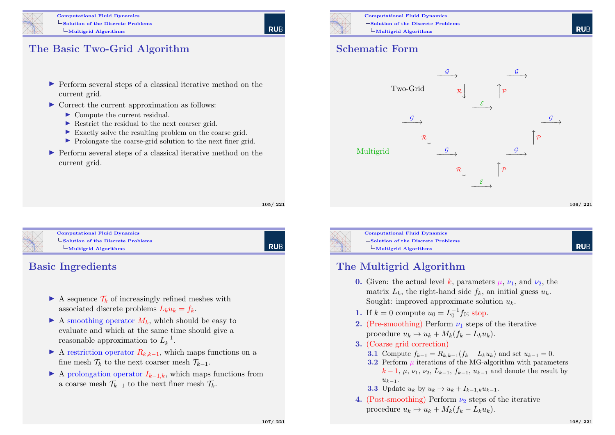

#### The Basic Two-Grid Algorithm

- I Perform several steps of a classical iterative method on the current grid.
- $\triangleright$  Correct the current approximation as follows:
	- ▶ Compute the current residual.
	- ▶ Restrict the residual to the next coarser grid.
	- $\blacktriangleright$  Exactly solve the resulting problem on the coarse grid.
	- I Prolongate the coarse-grid solution to the next finer grid.
- $\triangleright$  Perform several steps of a classical iterative method on the current grid.

105/ 221

**RUE** 



#### Computational Fluid Dynamics [Solution of the Discre](#page-0-0)te Problems  $\mathbf{L}_{\text{Multigrid} }$  Algorithms

**RUB** 

#### Basic Ingredients

- A sequence  $\mathcal{T}_k$  of increasingly refined meshes with associated discrete problems  $L_k u_k = f_k$ .
- $\blacktriangleright$  A smoothing operator  $M_k$ , which should be easy to evaluate and which at the same time should give a reasonable approximation to  $L_k^{-1}$  $\frac{-1}{k}$ .
- A restriction operator  $R_{k,k-1}$ , which maps functions on a fine mesh  $\mathcal{T}_k$  to the next coarser mesh  $\mathcal{T}_{k-1}$ .
- $\blacktriangleright$  A prolongation operator  $I_{k-1,k}$ , which maps functions from a coarse mesh  $\mathcal{T}_{k-1}$  to the next finer mesh  $\mathcal{T}_k$ .



Computational Fluid Dynamics  $\mathsf{\mathsf{L}}$  Solution of the Discrete Problems  $L$ Multigrid Algorithms

#### Schematic Form





Computational Fluid Dynamics  $\mathsf{\mathsf{Solution}}$  of the Discrete Problems  $L$ Multigrid Algorithms

# **RUF**

#### The Multigrid Algorithm

- 0. Given: the actual level k, parameters  $\mu$ ,  $\nu_1$ , and  $\nu_2$ , the matrix  $L_k$ , the right-hand side  $f_k$ , an initial guess  $u_k$ . Sought: improved approximate solution  $u_k$ .
- 1. If  $k = 0$  compute  $u_0 = L_0^{-1} f_0$ ; stop.
- 2. (Pre-smoothing) Perform  $\nu_1$  steps of the iterative procedure  $u_k \mapsto u_k + M_k(f_k - L_ku_k).$
- 3. (Coarse grid correction)
	- 3.1 Compute  $f_{k-1} = R_{k,k-1}(f_k L_k u_k)$  and set  $u_{k-1} = 0$ .
	- 3.2 Perform  $\mu$  iterations of the MG-algorithm with parameters  $k-1, \mu, \nu_1, \nu_2, L_{k-1}, f_{k-1}, u_{k-1}$  and denote the result by  $u_{k-1}$ .
	- 3.3 Update  $u_k$  by  $u_k \mapsto u_k + I_{k-1,k}u_{k-1}$ .
- 4. (Post-smoothing) Perform  $\nu_2$  steps of the iterative procedure  $u_k \mapsto u_k + M_k(f_k - L_ku_k)$ .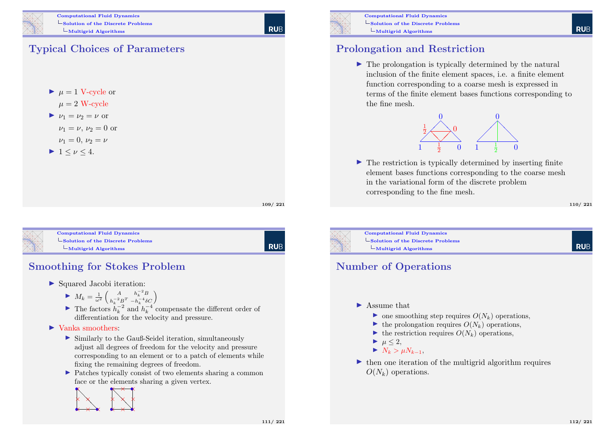

## Typical Choices of Parameters



 $\mu = 2$  W-cycle

$$
\blacktriangleright \nu_1 = \nu_2 = \nu \text{ or }
$$

$$
\nu_1 = \nu, \nu_2 = 0
$$
 or

$$
\nu_1=0,\,\nu_2=\nu
$$

$$
\blacktriangleright 1 \leq \nu \leq 4.
$$

109/ 221

**RUE** 

Computational Fluid Dynamics  $\mathsf{\mathsf{L}}$  [Solution of the Discre](#page-0-0)te Problems  $\mathbf{L}_{\text{Multigrid}$  Algorithms

**RUB** 

## Smoothing for Stokes Problem

- $\blacktriangleright$  Squared Jacobi iteration:
	- $M_k = \frac{1}{\omega^2} \begin{pmatrix} A & h_k^{-2}B \\ h_i^{-2}B^T & -h_i^{-4}\delta \end{pmatrix}$  $h_k^{-2}B^T - h_k^{-4}\delta C$
	- ► The factors  $\hat{h}_k^{-2}$  and  $\hat{h}_k^{-4}$  compensate the different order of differentiation for the velocity and pressure.

#### $\blacktriangleright$  Vanka smoothers:

- $\triangleright$  Similarly to the Gauß-Seidel iteration, simultaneously adjust all degrees of freedom for the velocity and pressure corresponding to an element or to a patch of elements while fixing the remaining degrees of freedom.
- I Patches typically consist of two elements sharing a common face or the elements sharing a given vertex.





Computational Fluid Dynamics Solution of the Discrete Problems  $L$ Multigrid Algorithms

#### Prolongation and Restriction

 $\blacktriangleright$  The prolongation is typically determined by the natural inclusion of the finite element spaces, i.e. a finite element function corresponding to a coarse mesh is expressed in terms of the finite element bases functions corresponding to the fine mesh.



 $\blacktriangleright$  The restriction is typically determined by inserting finite element bases functions corresponding to the coarse mesh in the variational form of the discrete problem corresponding to the fine mesh.

#### 110/ 221

**RUF** 

**RUF** 



Computational Fluid Dynamics  $\mathsf{\mathsf{Solution}}$  of the Discrete Problems  $\mathbf{L}_{\text{Multigrid}$  Algorithms

#### Number of Operations

- $\blacktriangleright$  Assume that
	- $\triangleright$  one smoothing step requires  $O(N_k)$  operations,
	- $\blacktriangleright$  the prolongation requires  $O(N_k)$  operations,
	- $\blacktriangleright$  the restriction requires  $O(N_k)$  operations,
	- $\blacktriangleright$   $\mu$  < 2,
	- $\blacktriangleright N_k > \mu N_{k-1}$
- $\blacktriangleright$  then one iteration of the multigrid algorithm requires  $O(N_k)$  operations.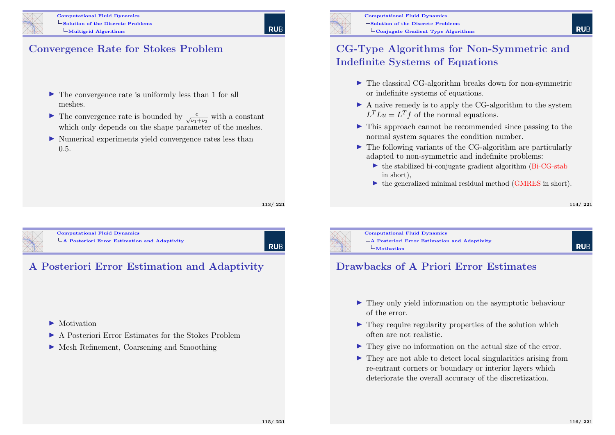

#### Convergence Rate for Stokes Problem

- $\blacktriangleright$  The convergence rate is uniformly less than 1 for all meshes.
- ► The convergence rate is bounded by  $\frac{c}{\sqrt{\nu_1+\nu_2}}$  with a constant which only depends on the shape parameter of the meshes.
- $\triangleright$  Numerical experiments yield convergence rates less than 0.5.

113/ 221

**RUB** 

**RUE** 

<span id="page-28-0"></span>

Computational Fluid Dynamics  $\mathbf{L}$ 

|  | A Posteriori Error Estimation and Adaptivity |  |  |
|--|----------------------------------------------|--|--|
|  |                                              |  |  |

# A Posteriori Error Estimation and Adaptivity

- $\blacktriangleright$  Motivation
- I A Posteriori Error Estimates for the Stokes Problem
- ▶ Mesh Refinement, Coarsening and Smoothing



Computational Fluid Dynamics  $\mathsf{\mathsf{L}}$  Solution of the Discrete Problems  $\overline{\phantom{a}}$ Conjugate Gradient Type Algorithms

#### CG-Type Algorithms for Non-Symmetric and Indefinite Systems of Equations

- $\blacktriangleright$  The classical CG-algorithm breaks down for non-symmetric or indefinite systems of equations.
- $\blacktriangleright$  A naive remedy is to apply the CG-algorithm to the system  $L^T L u = L^T f$  of the normal equations.
- $\triangleright$  This approach cannot be recommended since passing to the normal system squares the condition number.
- $\blacktriangleright$  The following variants of the CG-algorithm are particularly adapted to non-symmetric and indefinite problems:
	- $\triangleright$  the stabilized bi-conjugate gradient algorithm (Bi-CG-stab) in short),
	- $\triangleright$  the generalized minimal residual method (GMRES in short).

**RUE** 



Computational Fluid Dynamics A Posteriori Error Estimation and Adaptivity  $L<sub>Motivation</sub>$ 

**RUF** 

#### Drawbacks of A Priori Error Estimates

- $\blacktriangleright$  They only yield information on the asymptotic behaviour of the error.
- $\blacktriangleright$  They require regularity properties of the solution which often are not realistic.
- $\blacktriangleright$  They give no information on the actual size of the error.
- $\blacktriangleright$  They are not able to detect local singularities arising from re-entrant corners or boundary or interior layers which deteriorate the overall accuracy of the discretization.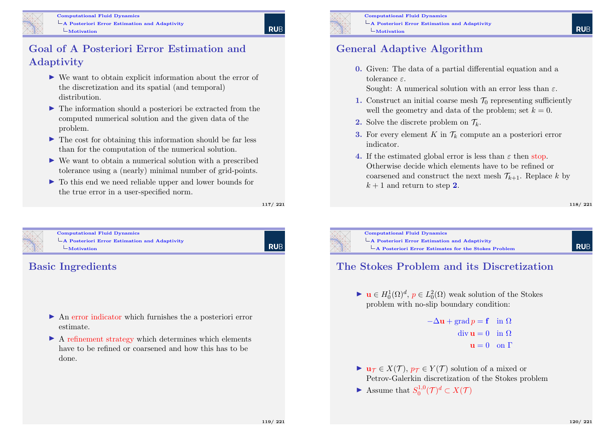#### Goal of A Posteriori Error Estimation and Adaptivity

- $\triangleright$  We want to obtain explicit information about the error of the discretization and its spatial (and temporal) distribution.
- $\blacktriangleright$  The information should a posteriori be extracted from the computed numerical solution and the given data of the problem.
- $\blacktriangleright$  The cost for obtaining this information should be far less than for the computation of the numerical solution.
- $\triangleright$  We want to obtain a numerical solution with a prescribed tolerance using a (nearly) minimal number of grid-points.
- $\triangleright$  To this end we need reliable upper and lower bounds for the true error in a user-specified norm.

117/ 221

**RUE** 



Computational Fluid Dynamics [A Posteriori Error Es](#page-0-0)timation and Adaptivity [Motivation](#page-28-0)

# **RUB**

#### Basic Ingredients

- $\triangleright$  An error indicator which furnishes the a posteriori error estimate.
- $\triangleright$  A refinement strategy which determines which elements have to be refined or coarsened and how this has to be done.



Computational Fluid Dynamics A Posteriori Error Estimation and Adaptivity  $L<sub>Motivation</sub>$ 

#### General Adaptive Algorithm

0. Given: The data of a partial differential equation and a tolerance ε.

Sought: A numerical solution with an error less than  $\varepsilon$ .

- 1. Construct an initial coarse mesh  $\mathcal{T}_0$  representing sufficiently well the geometry and data of the problem; set  $k = 0$ .
- 2. Solve the discrete problem on  $\mathcal{T}_k$ .
- **3.** For every element K in  $\mathcal{T}_k$  compute an a posteriori error indicator.
- 4. If the estimated global error is less than  $\varepsilon$  then stop. Otherwise decide which elements have to be refined or coarsened and construct the next mesh  $\mathcal{T}_{k+1}$ . Replace k by  $k+1$  and return to step 2.

118/ 221



Computational Fluid Dynamics A Posteriori Error Estimation and Adaptivity A Posteriori Error Estimates for the Stokes Problem

## **RUE**

#### The Stokes Problem and its Discretization

 $\blacktriangleright$  **u**  $\in H_0^1(\Omega)^d$ ,  $p \in L_0^2(\Omega)$  weak solution of the Stokes problem with no-slip boundary condition:

```
-\Delta u + \text{grad } n = f \text{ in } \Omega\text{div}\,\mathbf{u}=0 in \Omegau = 0 on \Gamma
```
- $\blacktriangleright \mathbf{u} \tau \in X(\mathcal{T}), \ p \tau \in Y(\mathcal{T})$  solution of a mixed or Petrov-Galerkin discretization of the Stokes problem
- $\blacktriangleright$  Assume that  $S_0^{1,0}$  $\iota^{1,0}_0(\mathcal{T})^d\subset X(\mathcal{T})$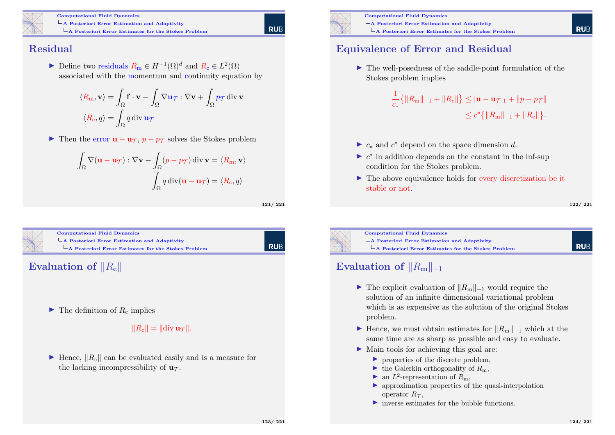

Computational Fluid Dynamics A Posteriori Error Estimation and Adaptivity  $\mathsf{L}_{\mathbf{A}}$  Posteriori Error Estimates for the Stokes Problem

**RUE** 

#### Residual

► Define two residuals  $R_m \in H^{-1}(\Omega)^d$  and  $R_c \in L^2(\Omega)$ associated with the momentum and continuity equation by

$$
\langle R_{\rm m}, \mathbf{v} \rangle = \int_{\Omega} \mathbf{f} \cdot \mathbf{v} - \int_{\Omega} \nabla \mathbf{u}_{\mathcal{T}} : \nabla \mathbf{v} + \int_{\Omega} p_{\mathcal{T}} \operatorname{div} \mathbf{v}
$$

$$
\langle R_{\rm c}, q \rangle = \int_{\Omega} q \operatorname{div} \mathbf{u}_{\mathcal{T}}
$$

 $\triangleright$  Then the error  $\mathbf{u} - \mathbf{u} \tau$ ,  $p - p\tau$  solves the Stokes problem

$$
\int_{\Omega} \nabla (\mathbf{u} - \mathbf{u}_{\mathcal{T}}) : \nabla \mathbf{v} - \int_{\Omega} (p - p_{\mathcal{T}}) \operatorname{div} \mathbf{v} = \langle R_{\mathbf{m}}, \mathbf{v} \rangle
$$

$$
\int_{\Omega} q \operatorname{div} (\mathbf{u} - \mathbf{u}_{\mathcal{T}}) = \langle R_{\mathbf{c}}, q \rangle
$$

121/ 221

**RUB** 



 $\blacktriangleright$  The definition of  $R_c$  implies

 $||R_c|| = ||div \mathbf{u} \tau||.$ 

 $\blacktriangleright$  Hence,  $||R_c||$  can be evaluated easily and is a measure for the lacking incompressibility of  $\mathbf{u}_{\tau}$ .



Computational Fluid Dynamics A Posteriori Error Estimation and Adaptivity  $\mathsf{L}_{\mathbf{A}}$  Posteriori Error Estimates for the Stokes Problem

#### Equivalence of Error and Residual

 $\blacktriangleright$  The well-posedness of the saddle-point formulation of the Stokes problem implies

$$
\frac{1}{c_*} \{ ||R_m||_{-1} + ||R_c|| \} \leq |\mathbf{u} - \mathbf{u}_{\mathcal{T}}|_1 + ||p - p_{\mathcal{T}}||
$$
  

$$
\leq c^* \{ ||R_m||_{-1} + ||R_c|| \}.
$$

- ►  $c_*$  and  $c^*$  depend on the space dimension d.
- $\triangleright$   $c^*$  in addition depends on the constant in the inf-sup condition for the Stokes problem.
- $\blacktriangleright$  The above equivalence holds for every discretization be it stable or not.

**RUE** 

**RUF** 



 $\mathsf{L}_{\mathbf{A}}$  Posteriori Error Estimation and Adaptivity A Posteriori Error Estimates for the Stokes Problem

# Evaluation of  $||R_{\mathbf{m}}||_{-1}$

- $\triangleright$  The explicit evaluation of  $||R_m||_{-1}$  would require the solution of an infinite dimensional variational problem which is as expensive as the solution of the original Stokes problem.
- ► Hence, we must obtain estimates for  $||R_m||_{-1}$  which at the same time are as sharp as possible and easy to evaluate.
- $\blacktriangleright$  Main tools for achieving this goal are:
	- $\triangleright$  properties of the discrete problem.
	- $\blacktriangleright$  the Galerkin orthogonality of  $R_m$ ,
	- an  $L^2$ -representation of  $R_m$ ,
	- $\triangleright$  approximation properties of the quasi-interpolation operator  $R_{\tau}$ ,
	- $\blacktriangleright$  inverse estimates for the bubble functions.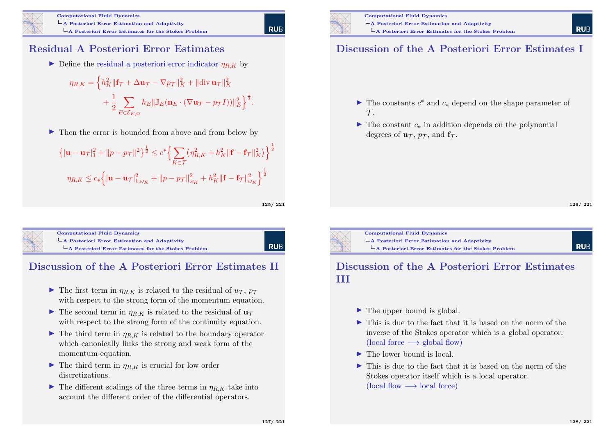

#### Residual A Posteriori Error Estimates

 $\triangleright$  Define the residual a posteriori error indicator  $\eta_{RK}$  by

$$
\eta_{R,K} = \left\{ h_K^2 \|\mathbf{f}_{\mathcal{T}} + \Delta \mathbf{u}_{\mathcal{T}} - \nabla p_{\mathcal{T}}\|_K^2 + \|\text{div}\,\mathbf{u}_{\mathcal{T}}\|_K^2 + \frac{1}{2} \sum_{E \in \mathcal{E}_{K,\Omega}} h_E \|\mathbb{J}_E(\mathbf{n}_E \cdot (\nabla \mathbf{u}_{\mathcal{T}} - p_{\mathcal{T}} I))\|_E^2 \right\}^{\frac{1}{2}}.
$$

 $\blacktriangleright$  Then the error is bounded from above and from below by

$$
\left\{ |\mathbf{u} - \mathbf{u}\tau|_{1}^{2} + ||p - p\tau||^{2} \right\}^{\frac{1}{2}} \leq c^{*} \Big\{ \sum_{K \in \mathcal{T}} \left( \eta_{R,K}^{2} + h_{K}^{2} ||\mathbf{f} - \mathbf{f}\tau||_{K}^{2} \right) \Big\}^{\frac{1}{2}}
$$

$$
\eta_{R,K} \leq c_{*} \Big\{ |\mathbf{u} - \mathbf{u}\tau|_{1,\omega_{K}}^{2} + ||p - p\tau||_{\omega_{K}}^{2} + h_{K}^{2} ||\mathbf{f} - \mathbf{f}\tau||_{\omega_{K}}^{2} \Big\}^{\frac{1}{2}}
$$

125/ 221

Computational Fluid Dynamics  $\mathsf{\mathsf{L}}$  [A Posteriori Error Es](#page-0-0)timation and Adaptivity [A Posteriori Error Estimates for the](#page-28-0) Stokes Problem

**RUB** 

## Discussion of the A Posteriori Error Estimates II

- In The first term in  $\eta_{R,K}$  is related to the residual of  $u_{\mathcal{T}}, p_{\mathcal{T}}$ with respect to the strong form of the momentum equation.
- $\blacktriangleright$  The second term in  $\eta_{RK}$  is related to the residual of  $\mathbf{u}_{\tau}$ with respect to the strong form of the continuity equation.
- $\blacktriangleright$  The third term in  $\eta_{R,K}$  is related to the boundary operator which canonically links the strong and weak form of the momentum equation.
- $\blacktriangleright$  The third term in  $\eta_{R,K}$  is crucial for low order discretizations.
- $\blacktriangleright$  The different scalings of the three terms in  $\eta_{RK}$  take into account the different order of the differential operators.



### Discussion of the A Posteriori Error Estimates I

- $\blacktriangleright$  The constants  $c^*$  and  $c_*$  depend on the shape parameter of  $\tau$ .
- $\triangleright$  The constant  $c_*$  in addition depends on the polynomial degrees of  $\mathbf{u}_{\tau}$ ,  $p_{\tau}$ , and  $\mathbf{f}_{\tau}$ .

126/ 221

**RUE** 

**RUE** 



#### Discussion of the A Posteriori Error Estimates III

- $\blacktriangleright$  The upper bound is global.
- $\blacktriangleright$  This is due to the fact that it is based on the norm of the inverse of the Stokes operator which is a global operator. (local force  $\longrightarrow$  global flow)
- $\blacktriangleright$  The lower bound is local.
- $\triangleright$  This is due to the fact that it is based on the norm of the Stokes operator itself which is a local operator. (local flow  $\longrightarrow$  local force)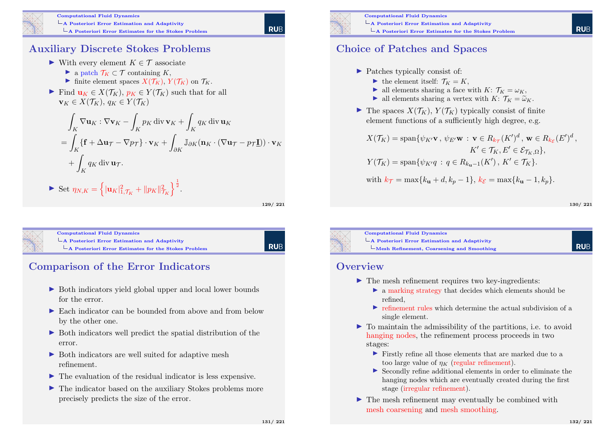

#### Auxiliary Discrete Stokes Problems

- In With every element  $K \in \mathcal{T}$  associate
	- $\blacktriangleright$  a patch  $\mathcal{T}_K \subset \mathcal{T}$  containing K,
	- Inite element spaces  $X(\mathcal{T}_K)$ ,  $Y(\mathcal{T}_K)$  on  $\mathcal{T}_K$ .
- Find  $\mathbf{u}_K \in X(\mathcal{T}_K)$ ,  $p_K \in Y(\mathcal{T}_K)$  such that for all  $\mathbf{v}_K \in X(\mathcal{T}_K), q_K \in Y(\mathcal{T}_K)$

$$
\int_{K} \nabla \mathbf{u}_{K} : \nabla \mathbf{v}_{K} - \int_{K} p_{K} \operatorname{div} \mathbf{v}_{K} + \int_{K} q_{K} \operatorname{div} \mathbf{u}_{K}
$$
\n
$$
= \int_{K} \{ \mathbf{f} + \Delta \mathbf{u}_{\mathcal{T}} - \nabla p_{\mathcal{T}} \} \cdot \mathbf{v}_{K} + \int_{\partial K} \mathbb{J}_{\partial K} (\mathbf{n}_{K} \cdot (\nabla \mathbf{u}_{\mathcal{T}} - p_{\mathcal{T}} \underline{\mathbf{I}})) \cdot \mathbf{v}_{K}
$$
\n
$$
+ \int_{K} q_{K} \operatorname{div} \mathbf{u}_{\mathcal{T}}.
$$
\n
$$
\triangleright \text{ Set } \eta_{N,K} = \left\{ |\mathbf{u}_{K}|_{1,\mathcal{T}_{K}}^{2} + ||p_{K}||_{\mathcal{T}_{K}}^{2} \right\}^{\frac{1}{2}}.
$$

129/ 221

**RUB** 

| <b>Computational Fluid Dynamics</b>                                                                        |
|------------------------------------------------------------------------------------------------------------|
| $\mathsf{\mathord{\hspace{1pt}\text{--}\hspace{1pt}} A}$ Posteriori Error Estimation and Adaptivity        |
| $\mathsf{\mathord{\hspace{1pt}\text{--}\hspace{1pt}} A}$ Posteriori Error Estimates for the Stokes Problem |
|                                                                                                            |

# Comparison of the Error Indicators

- ▶ Both indicators yield global upper and local lower bounds for the error.
- ▶ Each indicator can be bounded from above and from below by the other one.
- $\triangleright$  Both indicators well predict the spatial distribution of the error.
- $\triangleright$  Both indicators are well suited for adaptive mesh refinement.
- $\blacktriangleright$  The evaluation of the residual indicator is less expensive.
- $\triangleright$  The indicator based on the auxiliary Stokes problems more precisely predicts the size of the error.



Computational Fluid Dynamics  $\mathsf{L}_{\mathbf{A}}$  Posteriori Error Estimation and Adaptivity  $L$ A Posteriori Error Estimates for the Stokes Problem

#### Choice of Patches and Spaces

- ▶ Patches typically consist of:
	- $\blacktriangleright$  the element itself:  $\mathcal{T}_K = K$ ,
	- ightharpoonright a larger all elements sharing a face with  $K: \mathcal{T}_K = \omega_K$ ,
	- ightharpoonright a vertex with K:  $\mathcal{T}_K = \widetilde{\omega}_K$ .
- $\blacktriangleright$  The spaces  $X(\mathcal{T}_K)$ ,  $Y(\mathcal{T}_K)$  typically consist of finite element functions of a sufficiently high degree, e.g.

$$
X(\mathcal{T}_K) = \text{span}\{\psi_{K'}\mathbf{v}, \psi_{E'}\mathbf{w} : \mathbf{v} \in R_{k_{\mathcal{T}}}(K')^d, \mathbf{w} \in R_{k_{\mathcal{E}}}(E')^d,
$$
  
\n
$$
K' \in \mathcal{T}_K, E' \in \mathcal{E}_{\mathcal{T}_K, \Omega}\},
$$
  
\n
$$
Y(\mathcal{T}_K) = \text{span}\{\psi_{K'}q : q \in R_{k_{\mathbf{u}}-1}(K'), K' \in \mathcal{T}_K\}.
$$
  
\nwith  $k_{\mathcal{T}} = \max\{k_{\mathbf{u}} + d, k_p - 1\}, k_{\mathcal{E}} = \max\{k_{\mathbf{u}} - 1, k_p\}.$ 

130/ 221

**RUF** 

**RUF** 



Computational Fluid Dynamics A Posteriori Error Estimation and Adaptivity  $L$ Mesh Refinement, Coarsening and Smoothing

#### **Overview**

- $\blacktriangleright$  The mesh refinement requires two key-ingredients:
	- $\triangleright$  a marking strategy that decides which elements should be refined,
	- $\blacktriangleright$  refinement rules which determine the actual subdivision of a single element.
- $\triangleright$  To maintain the admissibility of the partitions, i.e. to avoid hanging nodes, the refinement process proceeds in two stages:
	- I Firstly refine all those elements that are marked due to a too large value of  $n_K$  (regular refinement).
	- $\triangleright$  Secondly refine additional elements in order to eliminate the hanging nodes which are eventually created during the first stage (irregular refinement).
- $\blacktriangleright$  The mesh refinement may eventually be combined with mesh coarsening and mesh smoothing.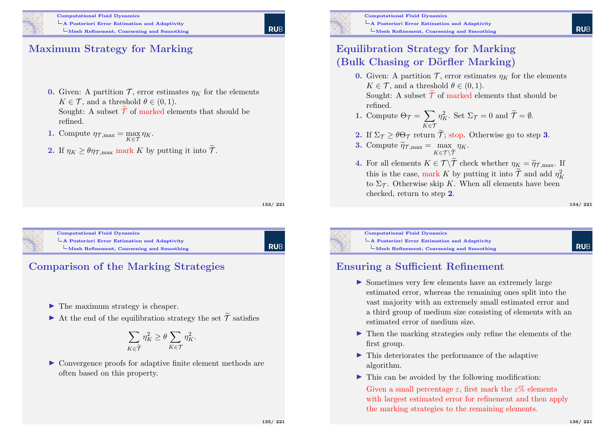# **RUE**

#### Maximum Strategy for Marking

- 0. Given: A partition  $\mathcal{T}$ , error estimates  $n_K$  for the elements  $K \in \mathcal{T}$ , and a threshold  $\theta \in (0,1)$ . Sought: A subset  $\tilde{\mathcal{T}}$  of marked elements that should be refined.
- **1.** Compute  $\eta_{\mathcal{T},\text{max}} = \max_{K \in \mathcal{T}} \eta_K$ .
- **2.** If  $\eta_K \geq \theta \eta_{\text{T,max}}$  mark K by putting it into  $\widetilde{\mathcal{T}}$ .

133/ 221

**RUE** 



Computational Fluid Dynamics [A Posteriori Error Es](#page-0-0)timation and Adaptivity [Mesh Refinement, Coarsening and S](#page-28-0)moothing



- $\blacktriangleright$  The maximum strategy is cheaper.
- In At the end of the equilibration strategy the set  $\widetilde{\mathcal{T}}$  satisfies

$$
\sum_{K \in \widetilde{\mathcal{T}}} \eta_K^2 \ge \theta \sum_{K \in \mathcal{T}} \eta_K^2.
$$

 $\triangleright$  Convergence proofs for adaptive finite element methods are often based on this property.



Computational Fluid Dynamics A Posteriori Error Estimation and Adaptivity  $L$ Mesh Refinement, Coarsening and Smoothing

### Equilibration Strategy for Marking (Bulk Chasing or Dörfler Marking)

0. Given: A partition  $\mathcal{T}$ , error estimates  $\eta_K$  for the elements  $K \in \mathcal{T}$ , and a threshold  $\theta \in (0, 1)$ . Sought: A subset  $\widetilde{\mathcal{T}}$  of marked elements that should be

refined.

- 1. Compute  $\Theta_{\mathcal{T}} = \sum$ K∈T  $\eta_K^2$ . Set  $\Sigma_{\mathcal{T}} = 0$  and  $\widetilde{\mathcal{T}} = \emptyset$ .
- **2.** If  $\Sigma_{\mathcal{T}} \geq \theta \Theta_{\mathcal{T}}$  return  $\widetilde{\mathcal{T}}$ ; stop. Otherwise go to step **3**.
- **3.** Compute  $\widetilde{\eta}_{\mathcal{T},\text{max}} = \max_{K \in \mathcal{T} \setminus \widetilde{\mathcal{T}}}$  $\eta_K$ .
- 4. For all elements  $K \in \mathcal{T} \backslash \mathcal{T}$  check whether  $\eta_K = \widetilde{\eta}_{\mathcal{T},\text{max}}$ . If this is the case, mark K by putting it into  $\mathcal{T}$  and add  $\eta_K^2$ to  $\Sigma_{\mathcal{T}}$ . Otherwise skip K. When all elements have been checked, return to step 2.

134/ 221



Computational Fluid Dynamics A Posteriori Error Estimation and Adaptivity Mesh Refinement, Coarsening and Smoothing

**RUE** 

#### Ensuring a Sufficient Refinement

- $\triangleright$  Sometimes very few elements have an extremely large estimated error, whereas the remaining ones split into the vast majority with an extremely small estimated error and a third group of medium size consisting of elements with an estimated error of medium size.
- $\blacktriangleright$  Then the marking strategies only refine the elements of the first group.
- $\blacktriangleright$  This deteriorates the performance of the adaptive algorithm.
- $\triangleright$  This can be avoided by the following modification:

Given a small percentage  $\varepsilon$ , first mark the  $\varepsilon\%$  elements with largest estimated error for refinement and then apply the marking strategies to the remaining elements.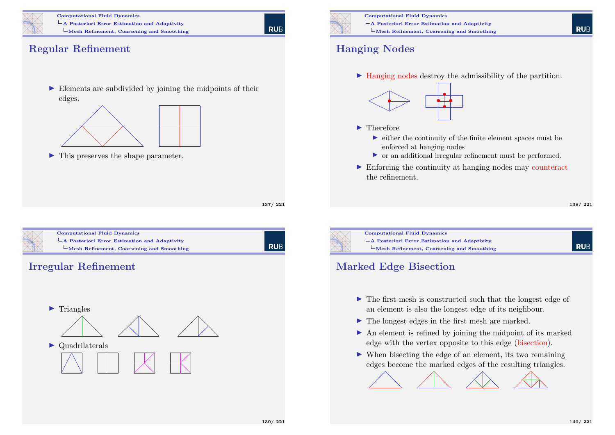

**RUE** 

#### Regular Refinement

 $\blacktriangleright$  Elements are subdivided by joining the midpoints of their edges.



 $\blacktriangleright$  This preserves the shape parameter.

137/ 221





Computational Fluid Dynamics A Posteriori Error Estimation and Adaptivity Mesh Refinement, Coarsening and Smoothing

#### Hanging Nodes

 $\blacktriangleright$  Hanging nodes destroy the admissibility of the partition.



#### $\blacktriangleright$  Therefore

- $\triangleright$  either the continuity of the finite element spaces must be enforced at hanging nodes
- $\triangleright$  or an additional irregular refinement must be performed.
- $\triangleright$  Enforcing the continuity at hanging nodes may counteract the refinement.

#### 138/ 221

**RUE** 



#### Marked Edge Bisection

- $\blacktriangleright$  The first mesh is constructed such that the longest edge of an element is also the longest edge of its neighbour.
- $\blacktriangleright$  The longest edges in the first mesh are marked.
- $\blacktriangleright$  An element is refined by joining the midpoint of its marked edge with the vertex opposite to this edge (bisection).
- $\blacktriangleright$  When bisecting the edge of an element, its two remaining edges become the marked edges of the resulting triangles.

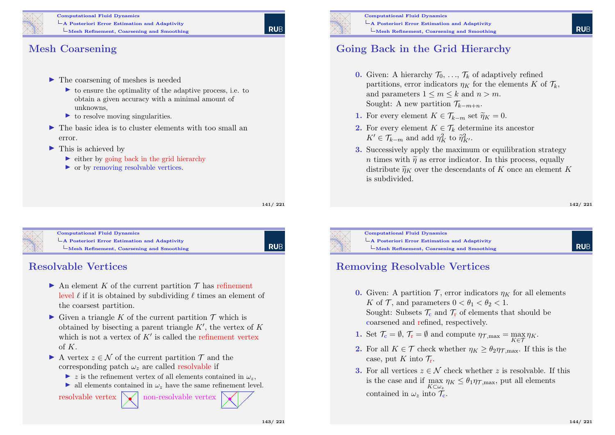

#### Computational Fluid Dynamics  $\mathsf{\mathsf{L}}$  A Posteriori Error Estimation and Adaptivity  $L$ Mesh Refinement, Coarsening and Smoothing

#### Mesh Coarsening

- $\blacktriangleright$  The coarsening of meshes is needed
	- $\triangleright$  to ensure the optimality of the adaptive process, i.e. to obtain a given accuracy with a minimal amount of unknowns,
	- $\triangleright$  to resolve moving singularities.
- $\blacktriangleright$  The basic idea is to cluster elements with too small an error.
- $\blacktriangleright$  This is achieved by
	- $\triangleright$  either by going back in the grid hierarchy
	- $\triangleright$  or by removing resolvable vertices.

141/ 221



Computational Fluid Dynamics [A Posteriori Error Es](#page-0-0)timation and Adaptivity [Mesh Refinement, Coarsening and S](#page-28-0)moothing

# **RUB**

#### Resolvable Vertices

- $\blacktriangleright$  An element K of the current partition T has refinement level  $\ell$  if it is obtained by subdividing  $\ell$  times an element of the coarsest partition.
- $\triangleright$  Given a triangle K of the current partition  $\mathcal T$  which is obtained by bisecting a parent triangle  $K'$ , the vertex of  $K$ which is not a vertex of  $K'$  is called the refinement vertex of  $K$ .
- A vertex  $z \in \mathcal{N}$  of the current partition  $\mathcal{T}$  and the corresponding patch  $\omega_z$  are called resolvable if
	- $\triangleright$  z is the refinement vertex of all elements contained in  $\omega$ .
	- ightharpoontain in  $\omega_z$  have the same refinement level.

resolvable vertex  $\mathcal{A}$ non-resolvable vertex



Computational Fluid Dynamics A Posteriori Error Estimation and Adaptivity  $L$ Mesh Refinement, Coarsening and Smoothing

## Going Back in the Grid Hierarchy

- **0.** Given: A hierarchy  $\mathcal{T}_0, \ldots, \mathcal{T}_k$  of adaptively refined partitions, error indicators  $\eta_K$  for the elements K of  $\mathcal{T}_k$ , and parameters  $1 \leq m \leq k$  and  $n > m$ . Sought: A new partition  $\mathcal{T}_{k-m+n}$ .
- 1. For every element  $K \in \mathcal{T}_{k-m}$  set  $\widetilde{\eta}_K = 0$ .
- 2. For every element  $K \in \mathcal{T}_k$  determine its ancestor  $K' \in \mathcal{T}_{k-m}$  and add  $\eta_K^2$  to  $\widetilde{\eta}_{K'}^2$ .
- 3. Successively apply the maximum or equilibration strategy n times with  $\tilde{\eta}$  as error indicator. In this process, equally distribute  $\widetilde{\eta}_K$  over the descendants of K once an element K is subdivided.

142/ 221

**RUF** 



Computational Fluid Dynamics  $\mathsf{\mathsf{L}}$  A Posteriori Error Estimation and Adaptivity Mesh Refinement, Coarsening and Smoothing

## Removing Resolvable Vertices

- 0. Given: A partition  $\mathcal{T}$ , error indicators  $\eta_K$  for all elements K of T, and parameters  $0 < \theta_1 < \theta_2 < 1$ . Sought: Subsets  $\mathcal{T}_c$  and  $\mathcal{T}_r$  of elements that should be coarsened and refined, respectively.
- 1. Set  $\mathcal{T}_{c} = \emptyset$ ,  $\mathcal{T}_{r} = \emptyset$  and compute  $\eta_{\mathcal{T}, \max} = \max_{K \in \mathcal{T}} \eta_{K}$ .
- **2.** For all  $K \in \mathcal{T}$  check whether  $\eta_K > \theta_{2} \eta_{\mathcal{T} \text{ max}}$ . If this is the case, put K into  $\mathcal{T}_r$ .
- **3.** For all vertices  $z \in \mathcal{N}$  check whether z is resolvable. If this is the case and if  $\max_{K \subseteq \mathcal{F}} \eta_K \leq \theta_1 \eta_{\mathcal{F},\text{max}}$ , put all elements  $K\mathsf{C}\omega_z$ contained in  $\omega_z$  into  $\mathcal{T}_{c}$ .

❅❅

 $\diagup$ •  $\overline{\phantom{a}}$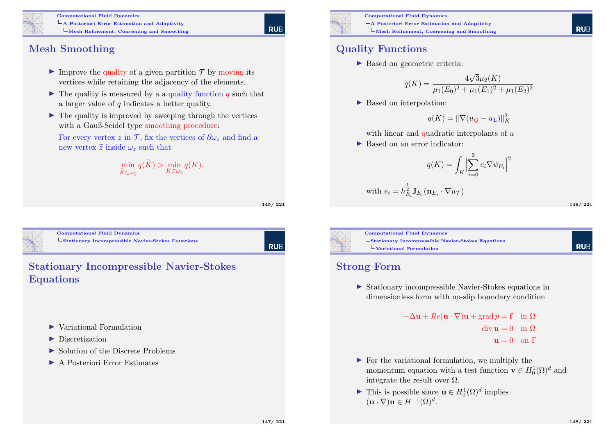

#### Computational Fluid Dynamics

A Posteriori Error Estimation and Adaptivity

Mesh Refinement, Coarsening and Smoothing

#### Mesh Smoothing

- Improve the quality of a given partition  $\mathcal T$  by moving its vertices while retaining the adjacency of the elements.
- $\blacktriangleright$  The quality is measured by a a quality function q such that a larger value of  $q$  indicates a better quality.
- $\blacktriangleright$  The quality is improved by sweeping through the vertices with a Gauß-Seidel type smoothing procedure:

For every vertex z in T, fix the vertices of  $\partial \omega_z$  and find a new vertex  $\widetilde{z}$  inside  $\omega_z$  such that

$$
\min_{\widetilde{K}\subset\omega_{\widetilde{z}}} q(\widetilde{K}) > \min_{K\subset\omega_{z}} q(K).
$$

145/ 221

**RUE** 

<span id="page-36-0"></span>

Computational Fluid Dynamics L [Stationary Incompres](#page-0-0)sible Navier-Stokes Equations

| RUB

#### Stationary Incompressible Navier-Stokes Equations

- $\blacktriangleright$  Variational Formulation
- $\blacktriangleright$  Discretization
- $\triangleright$  Solution of the Discrete Problems
- ▶ A Posteriori Error Estimates



Computational Fluid Dynamics A Posteriori Error Estimation and Adaptivity Mesh Refinement, Coarsening and Smoothing

### Quality Functions

▶ Based on geometric criteria:

$$
q(K) = \frac{4\sqrt{3}\mu_2(K)}{\mu_1(E_0)^2 + \mu_1(E_1)^2 + \mu_1(E_2)^2}
$$

▶ Based on interpolation:

$$
q(K) = \|\nabla(u_Q - u_L)\|_K^2
$$

with linear and quadratic interpolants of  $u$ 

▶ Based on an error indicator:

$$
q(K) = \int_K \Bigl| \sum_{i=0}^2 e_i \nabla \psi_{E_i} \Bigr|^2
$$

with 
$$
e_i = h_{E_i}^{\frac{1}{2}} \mathbb{J}_{E_i}(\mathbf{n}_{E_i} \cdot \nabla u_{\mathcal{T}})
$$

146/ 221

**RUE** 



Computational Fluid Dynamics Stationary Incompressible Navier-Stokes Equations Variational Formulation

#### Strong Form

 $\triangleright$  Stationary incompressible Navier-Stokes equations in dimensionless form with no-slip boundary condition

```
-\Delta u + Re(u \cdot \nabla)u + grad n = f in \Omega\text{div}\,\mathbf{u}=0 in \Omegau = 0 on \Gamma
```
- $\triangleright$  For the variational formulation, we multiply the momentum equation with a test function  $\mathbf{v} \in H_0^1(\Omega)^d$  and integrate the result over  $\Omega$ .
- ► This is possible since  $\mathbf{u} \in H_0^1(\Omega)^d$  implies  $(\mathbf{u} \cdot \nabla) \mathbf{u} \in H^{-1}(\Omega)^d.$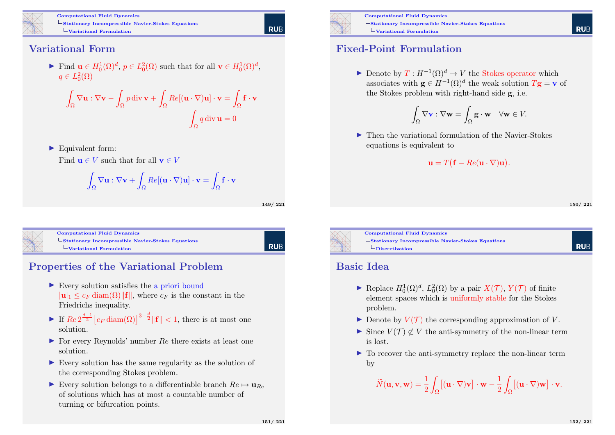

#### Variational Form

Find  $\mathbf{u} \in H_0^1(\Omega)^d$ ,  $p \in L_0^2(\Omega)$  such that for all  $\mathbf{v} \in H_0^1(\Omega)^d$ ,  $q \in L_0^2(\Omega)$ 

$$
\int_{\Omega} \nabla \mathbf{u} : \nabla \mathbf{v} - \int_{\Omega} p \operatorname{div} \mathbf{v} + \int_{\Omega} Re[(\mathbf{u} \cdot \nabla) \mathbf{u}] \cdot \mathbf{v} = \int_{\Omega} \mathbf{f} \cdot \mathbf{v}
$$

$$
\int_{\Omega} q \operatorname{div} \mathbf{u} = 0
$$

 $\blacktriangleright$  Equivalent form:

Find  $\mathbf{u} \in V$  such that for all  $\mathbf{v} \in V$ 

$$
\int_{\Omega} \nabla \mathbf{u} : \nabla \mathbf{v} + \int_{\Omega} Re[(\mathbf{u} \cdot \nabla)\mathbf{u}] \cdot \mathbf{v} = \int_{\Omega} \mathbf{f} \cdot \mathbf{v}
$$

149/ 221

**RUE** 

Computational Fluid Dynamics L [Stationary Incompres](#page-0-0)sible Navier-Stokes Equations  $L_{\text{Variational Formula}$ 

RUB

# Properties of the Variational Problem

- $\triangleright$  Every solution satisfies the a priori bound  $|\mathbf{u}|_1 \leq c_F \operatorname{diam}(\Omega) ||\mathbf{f}||$ , where  $c_F$  is the constant in the Friedrichs inequality.
- If  $\text{Re } 2^{\frac{d-1}{2}} \left[ c_F \operatorname{diam}(\Omega) \right]^{3-\frac{d}{2}} \|\mathbf{f}\| < 1$ , there is at most one solution.
- $\triangleright$  For every Reynolds' number Re there exists at least one solution.
- $\triangleright$  Every solution has the same regularity as the solution of the corresponding Stokes problem.
- Every solution belongs to a differentiable branch  $Re \mapsto \mathbf{u}_{Re}$ of solutions which has at most a countable number of turning or bifurcation points.



Computational Fluid Dynamics Stationary Incompressible Navier-Stokes Equations  $L_{\text{Variational Formulation}}$ 

#### Fixed-Point Formulation

 $\blacktriangleright$  Denote by  $T: H^{-1}(\Omega)^d \to V$  the Stokes operator which associates with  $\mathbf{g} \in H^{-1}(\Omega)^d$  the weak solution  $T\mathbf{g} = \mathbf{v}$  of the Stokes problem with right-hand side g, i.e.

$$
\int_{\Omega} \nabla \mathbf{v} : \nabla \mathbf{w} = \int_{\Omega} \mathbf{g} \cdot \mathbf{w} \quad \forall \mathbf{w} \in V.
$$

 $\triangleright$  Then the variational formulation of the Navier-Stokes equations is equivalent to

$$
\mathbf{u} = T(\mathbf{f} - Re(\mathbf{u} \cdot \nabla)\mathbf{u}).
$$

150/ 221

**RUF** 

**RUF** 



Computational Fluid Dynamics Stationary Incompressible Navier-Stokes Equations  $\Box$ Discretization

#### Basic Idea

- ► Replace  $H_0^1(\Omega)^d$ ,  $L_0^2(\Omega)$  by a pair  $X(\mathcal{T})$ ,  $Y(\mathcal{T})$  of finite element spaces which is uniformly stable for the Stokes problem.
- $\blacktriangleright$  Denote by  $V(\mathcal{T})$  the corresponding approximation of V.
- $\triangleright$  Since  $V(\mathcal{T}) \not\subset V$  the anti-symmetry of the non-linear term is lost.
- $\blacktriangleright$  To recover the anti-symmetry replace the non-linear term by

$$
\widetilde{N}(\mathbf{u}, \mathbf{v}, \mathbf{w}) = \frac{1}{2} \int_{\Omega} \left[ (\mathbf{u} \cdot \nabla) \mathbf{v} \right] \cdot \mathbf{w} - \frac{1}{2} \int_{\Omega} \left[ (\mathbf{u} \cdot \nabla) \mathbf{w} \right] \cdot \mathbf{v}.
$$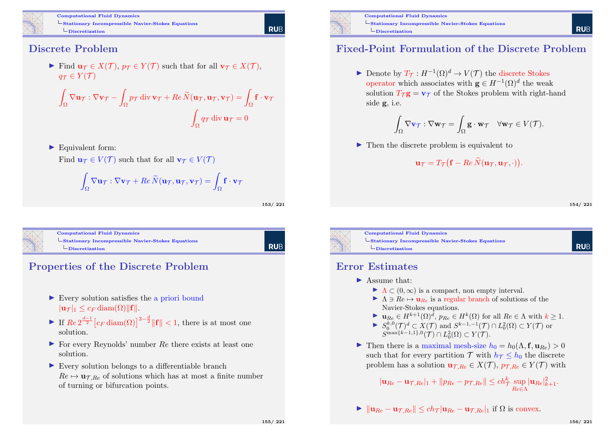

#### Discrete Problem

Find  $\mathbf{u}_{\mathcal{T}} \in X(\mathcal{T}), p_{\mathcal{T}} \in Y(\mathcal{T})$  such that for all  $\mathbf{v}_{\mathcal{T}} \in X(\mathcal{T}),$  $q_{\mathcal{T}} \in Y(\mathcal{T})$ 

$$
\int_{\Omega} \nabla \mathbf{u}_{\mathcal{T}} : \nabla \mathbf{v}_{\mathcal{T}} - \int_{\Omega} p_{\mathcal{T}} \operatorname{div} \mathbf{v}_{\mathcal{T}} + \operatorname{Re} \widetilde{N}(\mathbf{u}_{\mathcal{T}}, \mathbf{u}_{\mathcal{T}}, \mathbf{v}_{\mathcal{T}}) = \int_{\Omega} \mathbf{f} \cdot \mathbf{v}_{\mathcal{T}}
$$

$$
\int_{\Omega} q_{\mathcal{T}} \operatorname{div} \mathbf{u}_{\mathcal{T}} = 0
$$

 $\blacktriangleright$  Equivalent form:

Find  $\mathbf{u}_{\tau} \in V(\mathcal{T})$  such that for all  $\mathbf{v}_{\tau} \in V(\mathcal{T})$ 

$$
\int_{\Omega} \nabla \mathbf{u}_{\mathcal{T}} : \nabla \mathbf{v}_{\mathcal{T}} + Re \, \widetilde{N}(\mathbf{u}_{\mathcal{T}}, \mathbf{u}_{\mathcal{T}}, \mathbf{v}_{\mathcal{T}}) = \int_{\Omega} \mathbf{f} \cdot \mathbf{v}_{\mathcal{T}}
$$

153/ 221

**RUE** 

Computational Fluid Dynamics  $\mathsf{L}_{\text{Stationary Incompressible Navier-Stokes Equations}}$  $\mathsf{L}_{\text{Stationary Incompressible Navier-Stokes Equations}}$  $\mathsf{L}_{\text{Stationary Incompressible Navier-Stokes Equations}}$  $L$ [Discretization](#page-36-0)

**RUB** 

# Properties of the Discrete Problem

- $\blacktriangleright$  Every solution satisfies the a priori bound  $|\mathbf{u}\tau|_1 \leq c_F \operatorname{diam}(\Omega) ||\mathbf{f}||.$
- If  $\text{Re } 2^{\frac{d-1}{2}} \left[ c_F \operatorname{diam}(\Omega) \right]^{3-\frac{d}{2}} \|\mathbf{f}\| < 1$ , there is at most one solution.
- $\triangleright$  For every Reynolds' number Re there exists at least one solution.
- $\triangleright$  Every solution belongs to a differentiable branch  $Re \mapsto \mathbf{u}_{\tau,Re}$  of solutions which has at most a finite number of turning or bifurcation points.





Computational Fluid Dynamics Stationary Incompressible Navier-Stokes Equations  $L$ Discretization

#### Fixed-Point Formulation of the Discrete Problem

► Denote by  $T_{\mathcal{T}}: H^{-1}(\Omega)^d \to V(\mathcal{T})$  the discrete Stokes operator which associates with  $\mathbf{g} \in H^{-1}(\Omega)^d$  the weak solution  $T_{\tau}\mathbf{g} = \mathbf{v}_{\tau}$  of the Stokes problem with right-hand side g, i.e.

$$
\int_{\Omega} \nabla \mathbf{v}_{\mathcal{T}} : \nabla \mathbf{w}_{\mathcal{T}} = \int_{\Omega} \mathbf{g} \cdot \mathbf{w}_{\mathcal{T}} \quad \forall \mathbf{w}_{\mathcal{T}} \in V(\mathcal{T}).
$$

 $\blacktriangleright$  Then the discrete problem is equivalent to

$$
\mathbf{u}_{\mathcal{T}}=T_{\mathcal{T}}\big(\mathbf{f}-Re\,\widetilde{N}(\mathbf{u}_{\mathcal{T}},\mathbf{u}_{\mathcal{T}},\cdot)\big).
$$

154/ 221

**RUF** 

**RUE** 



#### Error Estimates

#### $\blacktriangleright$  Assume that:

- $\blacktriangleright \Lambda \subset (0,\infty)$  is a compact, non empty interval.
- $\blacktriangleright \Lambda \ni Re \mapsto \mathbf{u}_{Re}$  is a regular branch of solutions of the Navier-Stokes equations.
- $\blacktriangleright \mathbf{u}_{Re} \in H^{k+1}(\Omega)^{\tilde{d}}, p_{Re} \in H^{k}(\Omega)$  for all  $Re \in \Lambda$  with  $k \geq 1$ .
- $\blacktriangleright S_0^{k,0}(\mathcal{T})^d \subset X(\mathcal{T})$  and  $S^{k-1,-1}(\mathcal{T}) \cap L_0^2(\Omega) \subset Y(\mathcal{T})$  or  $S^{\max\{k-1,1\},0}(\mathcal{T}) \cap L_0^2(\Omega) \subset Y(\mathcal{T}).$
- In The there is a maximal mesh-size  $h_0 = h_0(\Lambda, \mathbf{f}, \mathbf{u}_{R_e}) > 0$ such that for every partition  $\mathcal{T}$  with  $h_{\mathcal{T}} < h_0$  the discrete problem has a solution  $\mathbf{u}_{\mathcal{T},Re} \in X(\mathcal{T}), p_{\mathcal{T},Re} \in Y(\mathcal{T})$  with

$$
|\mathbf{u}_{Re} - \mathbf{u}_{\mathcal{T},Re}|_1 + ||p_{Re} - p_{\mathcal{T},Re}|| \le ch_{\mathcal{T}}^k \sup_{Re \in \Lambda} |\mathbf{u}_{Re}|_{k+1}^2.
$$

$$
\blacktriangleright \|\mathbf{u}_{Re} - \mathbf{u}_{\mathcal{T},Re}\| \le ch_{\mathcal{T}} |\mathbf{u}_{Re} - \mathbf{u}_{\mathcal{T},Re}|_1 \text{ if } \Omega \text{ is convex.}
$$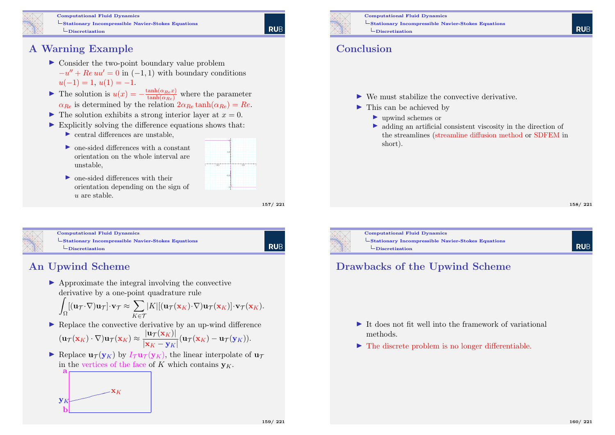

# A Warning Example

- $\triangleright$  Consider the two-point boundary value problem  $-u'' + Re$   $uu' = 0$  in  $(-1, 1)$  with boundary conditions  $u(-1) = 1, u(1) = -1.$
- **►** The solution is  $u(x) = -\frac{\tanh(\alpha_{Re}x)}{\tanh(\alpha_{Re})}$  where the parameter  $\alpha_{Be}$  is determined by the relation  $2\alpha_{Be}$  tanh $(\alpha_{Be}) = Re$ .
- $\blacktriangleright$  The solution exhibits a strong interior layer at  $x = 0$ .
- $\triangleright$  Explicitly solving the difference equations shows that:
	- $\triangleright$  central differences are unstable.
	- $\triangleright$  one-sided differences with a constant orientation on the whole interval are unstable,
	- $\triangleright$  one-sided differences with their orientation depending on the sign of u are stable.

157/ 221

**RUE** 



Computational Fluid Dynamics L [Stationary Incompres](#page-0-0)sible Navier-Stokes Equations  $\Box$ [Discretization](#page-36-0)

| Rub

# An Upwind Scheme

 $\blacktriangleright$  Approximate the integral involving the convective derivative by a one-point quadrature rule

$$
\int_{\Omega} [( \mathbf{u}_{\mathcal{T}} \cdot \nabla ) \mathbf{u}_{\mathcal{T}} ] \cdot \mathbf{v}_{\mathcal{T}} \approx \sum_{K \in \mathcal{T}} |K| [ (\mathbf{u}_{\mathcal{T}} (\mathbf{x}_K) \cdot \nabla ) \mathbf{u}_{\mathcal{T}} (\mathbf{x}_K) ] \cdot \mathbf{v}_{\mathcal{T}} (\mathbf{x}_K).
$$

 $\blacktriangleright$  Replace the convective derivative by an up-wind difference

$$
(\mathbf{u}_{\mathcal{T}}(\mathbf{x}_K)\cdot\nabla)\mathbf{u}_{\mathcal{T}}(\mathbf{x}_K)\approx\frac{|\mathbf{u}_{\mathcal{T}}(\mathbf{x}_K)|}{|\mathbf{x}_K-\mathbf{y}_K|}(\mathbf{u}_{\mathcal{T}}(\mathbf{x}_K)-\mathbf{u}_{\mathcal{T}}(\mathbf{y}_K)).
$$

Replace  $\mathbf{u}_{\tau}(\mathbf{y}_K)$  by  $I_{\tau}\mathbf{u}_{\tau}(\mathbf{y}_K)$ , the linear interpolate of  $\mathbf{u}_{\tau}$ in the vertices of the face of K which contains  $\mathbf{v}_K$ .





Computational Fluid Dynamics Stationary Incompressible Navier-Stokes Equations  $L$ Discretization

#### Conclusion

- $\blacktriangleright$  We must stabilize the convective derivative.
- $\blacktriangleright$  This can be achieved by
	- ▶ upwind schemes or
	- $\triangleright$  adding an artificial consistent viscosity in the direction of the streamlines (streamline diffusion method or SDFEM in short).

158/ 221



Computational Fluid Dynamics Stationary Incompressible Navier-Stokes Equations  $\Box$ Discretization

**RUF** 

# Drawbacks of the Upwind Scheme

- $\blacktriangleright$  It does not fit well into the framework of variational methods.
- $\blacktriangleright$  The discrete problem is no longer differentiable.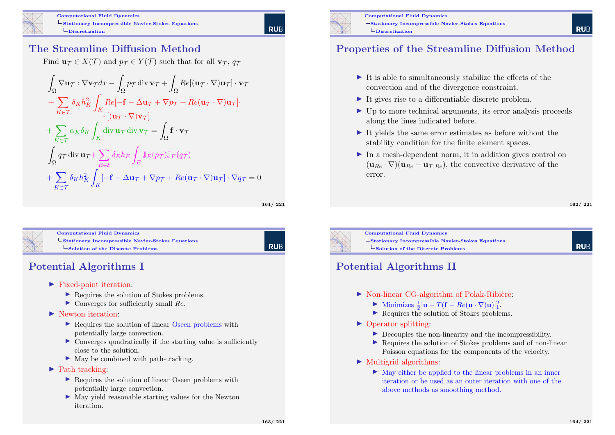

#### The Streamline Diffusion Method

Find  $\mathbf{u}_{\mathcal{T}} \in X(\mathcal{T})$  and  $p_{\mathcal{T}} \in Y(\mathcal{T})$  such that for all  $\mathbf{v}_{\mathcal{T}}$ ,  $q_{\mathcal{T}}$ 

$$
\int_{\Omega} \nabla \mathbf{u}_{\mathcal{T}} : \nabla \mathbf{v}_{\mathcal{T}} dx - \int_{\Omega} p_{\mathcal{T}} \operatorname{div} \mathbf{v}_{\mathcal{T}} + \int_{\Omega} Re[(\mathbf{u}_{\mathcal{T}} \cdot \nabla) \mathbf{u}_{\mathcal{T}}] \cdot \mathbf{v}_{\mathcal{T}} \n+ \sum_{K \in \mathcal{T}} \delta_K h_K^2 \int_K Re[-\mathbf{f} - \Delta \mathbf{u}_{\mathcal{T}} + \nabla p_{\mathcal{T}} + Re(\mathbf{u}_{\mathcal{T}} \cdot \nabla) \mathbf{u}_{\mathcal{T}}] \cdot \n+ \sum_{K \in \mathcal{T}} \alpha_K \delta_K \int_K \operatorname{div} \mathbf{u}_{\mathcal{T}} \operatorname{div} \mathbf{v}_{\mathcal{T}} = \int_{\Omega} \mathbf{f} \cdot \mathbf{v}_{\mathcal{T}} \n+ \sum_{K \in \mathcal{T}} \alpha_K \delta_K \int_K \operatorname{div} \mathbf{u}_{\mathcal{T}} \operatorname{div} \mathbf{v}_{\mathcal{T}} = \int_{\Omega} \mathbf{f} \cdot \mathbf{v}_{\mathcal{T}} \n+ \sum_{E \in \mathcal{E}} \delta_K h_K^2 \int_K [-\mathbf{f} - \Delta \mathbf{u}_{\mathcal{T}} + \nabla p_{\mathcal{T}} + Re(\mathbf{u}_{\mathcal{T}} \cdot \nabla) \mathbf{u}_{\mathcal{T}}] \cdot \nabla q_{\mathcal{T}} = 0
$$

161/ 221

**RUE** 



Computational Fluid Dynamics  $\mathsf{L}_{\text{Stationary Incompressible Navier-Stokes Equations}}$  $\mathsf{L}_{\text{Stationary Incompressible Navier-Stokes Equations}}$  $\mathsf{L}_{\text{Stationary Incompressible Navier-Stokes Equations}}$ [Solution of the Discrete Problems](#page-36-0)

**RUB** 

163/ 221

# Potential Algorithms I

- $\blacktriangleright$  Fixed-point iteration:
	- ▶ Requires the solution of Stokes problems.
	- $\triangleright$  Converges for sufficiently small  $Re$ .

#### $\blacktriangleright$  Newton iteration.

- $\triangleright$  Requires the solution of linear Oseen problems with potentially large convection.
- $\triangleright$  Converges quadratically if the starting value is sufficiently close to the solution.
- $\blacktriangleright$  May be combined with path-tracking.

#### $\blacktriangleright$  Path tracking:

- ▶ Requires the solution of linear Oseen problems with potentially large convection.
- $\triangleright$  May yield reasonable starting values for the Newton iteration.



Computational Fluid Dynamics Stationary Incompressible Navier-Stokes Equations  $\Box$ Discretization

## Properties of the Streamline Diffusion Method

- $\blacktriangleright$  It is able to simultaneously stabilize the effects of the convection and of the divergence constraint.
- $\blacktriangleright$  It gives rise to a differentiable discrete problem.
- $\triangleright$  Up to more technical arguments, its error analysis proceeds along the lines indicated before.
- It yields the same error estimates as before without the stability condition for the finite element spaces.
- $\blacktriangleright$  In a mesh-dependent norm, it in addition gives control on  $(\mathbf{u}_{Be} \cdot \nabla)(\mathbf{u}_{Be} - \mathbf{u}_{\text{TR}})$ , the convective derivative of the error.

162/ 221

**RUF** 

**RUE** 



Computational Fluid Dynamics Stationary Incompressible Navier-Stokes Equations Solution of the Discrete Problems

## Potential Algorithms II

- $\triangleright$  Non-linear CG-algorithm of Polak-Ribière:
	- ► Minimizes  $\frac{1}{2}|\mathbf{u} T(\mathbf{f} Re(\mathbf{u} \cdot \nabla)\mathbf{u})|^2_1$ .
	- ▶ Requires the solution of Stokes problems.
- $\triangleright$  Operator splitting:
	- $\triangleright$  Decouples the non-linearity and the incompressibility.
	- ▶ Requires the solution of Stokes problems and of non-linear Poisson equations for the components of the velocity.
- $\blacktriangleright$  Multigrid algorithms:
	- $\blacktriangleright$  May either be applied to the linear problems in an inner iteration or be used as an outer iteration with one of the above methods as smoothing method.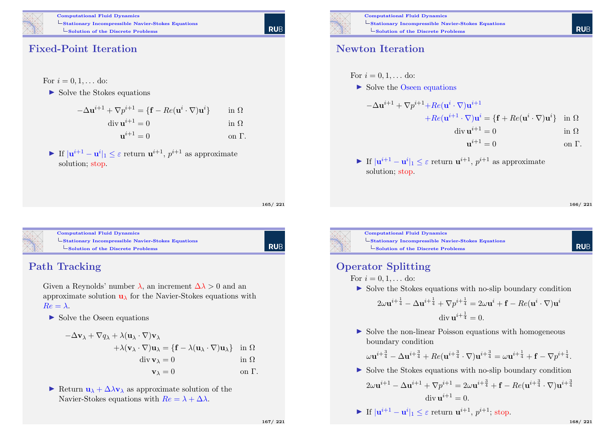

Computational Fluid Dynamics L Stationary Incompressible Navier-Stokes Equations  $\mathsf{\mathsf{L}}$  Solution of the Discrete Problems

#### Fixed-Point Iteration

 $\triangleright$  Solve the Stokes equations

| $-\Delta \mathbf{u}^{i+1} + \nabla p^{i+1} = \{ \mathbf{f} - Re(\mathbf{u}^i \cdot \nabla) \mathbf{u}^i \}$ | in $\Omega$   |
|-------------------------------------------------------------------------------------------------------------|---------------|
| $\operatorname{div} \mathbf{u}^{i+1} = 0$                                                                   | in $\Omega$   |
| $\mathbf{u}^{i+1} = 0$                                                                                      | on $\Gamma$ . |

If  $|\mathbf{u}^{i+1} - \mathbf{u}^i|_1 \leq \varepsilon$  return  $\mathbf{u}^{i+1}$ ,  $p^{i+1}$  as approximate solution; stop.

165/ 221

| Rub

**RUE** 



Computational Fluid Dynamics L [Stationary Incompres](#page-0-0)sible Navier-Stokes Equations [Solution of the Discrete Problems](#page-36-0)

#### Path Tracking

Given a Reynolds' number  $\lambda$ , an increment  $\Delta\lambda > 0$  and an approximate solution  $\mathbf{u}_{\lambda}$  for the Navier-Stokes equations with  $Re = \lambda$ .

 $\triangleright$  Solve the Oseen equations

$$
-\Delta \mathbf{v}_{\lambda} + \nabla q_{\lambda} + \lambda (\mathbf{u}_{\lambda} \cdot \nabla) \mathbf{v}_{\lambda} \n+ \lambda (\mathbf{v}_{\lambda} \cdot \nabla) \mathbf{u}_{\lambda} = \{ \mathbf{f} - \lambda (\mathbf{u}_{\lambda} \cdot \nabla) \mathbf{u}_{\lambda} \} \text{ in } \Omega \n\text{div } \mathbf{v}_{\lambda} = 0 \text{ in } \Omega \n\mathbf{v}_{\lambda} = 0 \text{ on } \Gamma.
$$

Return  $\mathbf{u}_{\lambda} + \Delta \lambda \mathbf{v}_{\lambda}$  as approximate solution of the Navier-Stokes equations with  $Re = \lambda + \Delta\lambda$ .



For

Computational Fluid Dynamics Stationary Incompressible Navier-Stokes Equations  $\mathsf{L}_{\mathbf{Solution}}$  of the Discrete Problems

#### Newton Iteration

or 
$$
i = 0, 1, ...
$$
 do:  
\nSolve the Oseen equations  
\n
$$
-\Delta \mathbf{u}^{i+1} + \nabla p^{i+1} + Re(\mathbf{u}^i \cdot \nabla) \mathbf{u}^{i+1}
$$
\n
$$
+ Re(\mathbf{u}^{i+1} \cdot \nabla) \mathbf{u}^i = \{ \mathbf{f} + Re(\mathbf{u}^i \cdot \nabla) \mathbf{u}^i \} \text{ in } \Omega
$$
\n
$$
\text{div } \mathbf{u}^{i+1} = 0 \text{ in } \Omega
$$
\n
$$
\mathbf{u}^{i+1} = 0 \text{ on } \Gamma.
$$

 $\blacktriangleright$  If  $|\mathbf{u}^{i+1} - \mathbf{u}^i|_1 \leq \varepsilon$  return  $\mathbf{u}^{i+1}$ ,  $p^{i+1}$  as approximate solution; stop.

166/ 221

**RUE** 

**RUF** 



Computational Fluid Dynamics Stationary Incompressible Navier-Stokes Equations  $\mathsf{\mathsf{L}}$  Solution of the Discrete Problems

#### Operator Splitting

- For  $i = 0, 1, \ldots$  do:
- $\triangleright$  Solve the Stokes equations with no-slip boundary condition

$$
2\omega \mathbf{u}^{i+\frac{1}{4}} - \Delta \mathbf{u}^{i+\frac{1}{4}} + \nabla p^{i+\frac{1}{4}} = 2\omega \mathbf{u}^i + \mathbf{f} - Re(\mathbf{u}^i \cdot \nabla) \mathbf{u}^i
$$
  
div  $\mathbf{u}^{i+\frac{1}{4}} = 0$ .

 $\triangleright$  Solve the non-linear Poisson equations with homogeneous boundary condition

$$
\omega \mathbf{u}^{i+\frac{3}{4}} - \Delta \mathbf{u}^{i+\frac{3}{4}} + Re(\mathbf{u}^{i+\frac{3}{4}} \cdot \nabla) \mathbf{u}^{i+\frac{3}{4}} = \omega \mathbf{u}^{i+\frac{1}{4}} + \mathbf{f} - \nabla p^{i+\frac{1}{4}}.
$$

 $\triangleright$  Solve the Stokes equations with no-slip boundary condition

$$
2\omega \mathbf{u}^{i+1} - \Delta \mathbf{u}^{i+1} + \nabla p^{i+1} = 2\omega \mathbf{u}^{i+\frac{3}{4}} + \mathbf{f} - Re(\mathbf{u}^{i+\frac{3}{4}} \cdot \nabla) \mathbf{u}^{i+\frac{3}{4}}
$$
  
div  $\mathbf{u}^{i+1} = 0$ .

$$
\blacktriangleright \text{ If } |\mathbf{u}^{i+1} - \mathbf{u}^i|_1 \leq \varepsilon \text{ return } \mathbf{u}^{i+1}, \ p^{i+1}; \text{ stop.}
$$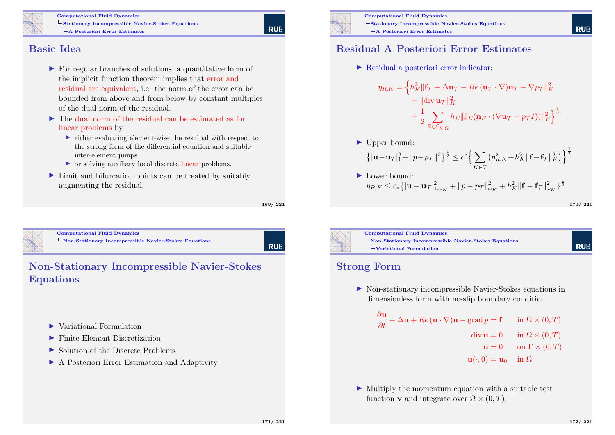

Computational Fluid Dynamics L Stationary Incompressible Navier-Stokes Equations  $\overline{\phantom{a}}$ A Posteriori Error Estimates

**RUE** 

#### Basic Idea

- $\triangleright$  For regular branches of solutions, a quantitative form of the implicit function theorem implies that error and residual are equivalent, i.e. the norm of the error can be bounded from above and from below by constant multiples of the dual norm of the residual.
- $\blacktriangleright$  The dual norm of the residual can be estimated as for linear problems by
	- $\triangleright$  either evaluating element-wise the residual with respect to the strong form of the differential equation and suitable inter-element jumps
	- $\triangleright$  or solving auxiliary local discrete linear problems.
- $\blacktriangleright$  Limit and bifurcation points can be treated by suitably augmenting the residual.

169/ 221

<span id="page-42-0"></span>

Computational Fluid Dynamics [Non-Stationary Incom](#page-0-0)pressible Navier-Stokes Equations

**RUE** 

#### Non-Stationary Incompressible Navier-Stokes Equations

- $\blacktriangleright$  Variational Formulation
- $\blacktriangleright$  Finite Element Discretization
- $\triangleright$  Solution of the Discrete Problems
- **In A Posteriori Error Estimation and Adaptivity**



Computational Fluid Dynamics Stationary Incompressible Navier-Stokes Equations  $\overline{\phantom{a}}$ A Posteriori Error Estimates

#### Residual A Posteriori Error Estimates

I Residual a posteriori error indicator:

$$
\eta_{R,K} = \left\{ h_K^2 \|\mathbf{f}_{\mathcal{T}} + \Delta \mathbf{u}_{\mathcal{T}} - Re \left( \mathbf{u}_{\mathcal{T}} \cdot \nabla \right) \mathbf{u}_{\mathcal{T}} - \nabla p_{\mathcal{T}} \|^2_K \right.+ \|\text{div } \mathbf{u}_{\mathcal{T}} \|^2_K+ \frac{1}{2} \sum_{E \in \mathcal{E}_{K,\Omega}} h_E \|\mathbb{J}_E (\mathbf{n}_E \cdot (\nabla \mathbf{u}_{\mathcal{T}} - p_{\mathcal{T}} I)) \|^2_E \right\}^{\frac{1}{2}}
$$

 $\blacktriangleright$  Upper bound:

$$
\left\{ |\mathbf{u} - \mathbf{u}\tau|_1^2 + ||p - p\tau||^2 \right\}^{\frac{1}{2}} \le c^* \left\{ \sum_{K \in \mathcal{T}} \left( \eta_{R,K}^2 + h_K^2 ||\mathbf{f} - \mathbf{f}\tau||_K^2 \right) \right\}^{\frac{1}{2}}
$$

 $\blacktriangleright$  Lower bound:  $\eta_{R,K} \leq c_* \big\{ |\mathbf{u} - \mathbf{u}_\mathcal{T}|_{1,\omega_K}^2 + \|p - p_\mathcal{T}\|_{\omega_K}^2 + h_K^2 \| \mathbf{f} - \mathbf{f}_\mathcal{T}\|_{\omega_K}^2 \big\}^\frac{1}{2}$ 

```
170/ 221
```
**RUE** 



Computational Fluid Dynamics Non-Stationary Incompressible Navier-Stokes Equations Variational Formulation

#### Strong Form

I Non-stationary incompressible Navier-Stokes equations in dimensionless form with no-slip boundary condition

$$
\frac{\partial \mathbf{u}}{\partial t} - \Delta \mathbf{u} + Re (\mathbf{u} \cdot \nabla) \mathbf{u} - \text{grad } p = \mathbf{f} \quad \text{in } \Omega \times (0, T)
$$
  
div  $\mathbf{u} = 0$  in  $\Omega \times (0, T)$   
 $\mathbf{u} = 0$  on  $\Gamma \times (0, T)$   
 $\mathbf{u}(\cdot, 0) = \mathbf{u}_0$  in  $\Omega$ 

 $\triangleright$  Multiply the momentum equation with a suitable test function **v** and integrate over  $\Omega \times (0, T)$ .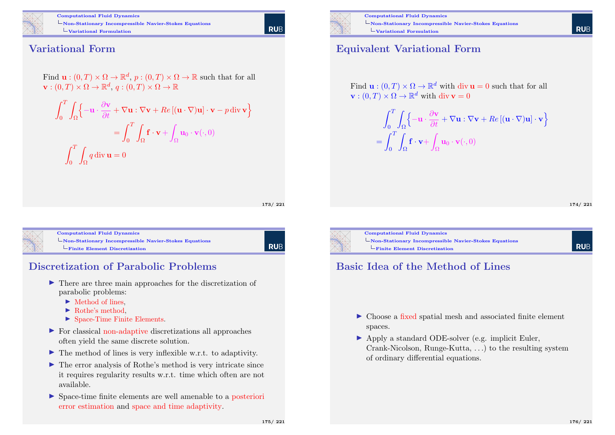

Computational Fluid Dynamics Non-Stationary Incompressible Navier-Stokes Equations Variational Formulation

# **RUE**

#### Variational Form

Find  $\mathbf{u}:(0,T)\times\Omega\to\mathbb{R}^d$ ,  $p:(0,T)\times\Omega\to\mathbb{R}$  such that for all  $\mathbf{v}: (0,T) \times \Omega \rightarrow \mathbb{R}^d, q: (0,T) \times \Omega \rightarrow \mathbb{R}$ 

$$
\int_0^T \int_{\Omega} \left\{ -\mathbf{u} \cdot \frac{\partial \mathbf{v}}{\partial t} + \nabla \mathbf{u} : \nabla \mathbf{v} + Re\left[ (\mathbf{u} \cdot \nabla) \mathbf{u} \right] \cdot \mathbf{v} - p \operatorname{div} \mathbf{v} \right\}
$$

$$
= \int_0^T \int_{\Omega} \mathbf{f} \cdot \mathbf{v} + \int_{\Omega} \mathbf{u}_0 \cdot \mathbf{v} (\cdot, 0)
$$

$$
\int_0^T \int_{\Omega} q \operatorname{div} \mathbf{u} = 0
$$

173/ 221



Computational Fluid Dynamics [Non-Stationary Incom](#page-0-0)pressible Navier-Stokes Equations [Finite Element Discretization](#page-42-0)

**RUB** 

#### Discretization of Parabolic Problems

- $\triangleright$  There are three main approaches for the discretization of parabolic problems:
	- $\blacktriangleright$  Method of lines.
	- $\blacktriangleright$  Rothe's method,
	- $\blacktriangleright$  Space-Time Finite Elements.
- $\triangleright$  For classical non-adaptive discretizations all approaches often yield the same discrete solution.
- $\blacktriangleright$  The method of lines is very inflexible w.r.t. to adaptivity.
- $\blacktriangleright$  The error analysis of Rothe's method is very intricate since it requires regularity results w.r.t. time which often are not available.
- $\triangleright$  Space-time finite elements are well amenable to a posteriori error estimation and space and time adaptivity.



Computational Fluid Dynamics Non-Stationary Incompressible Navier-Stokes Equations Variational Formulation

#### Equivalent Variational Form

Find  $\mathbf{u}:(0,T)\times\Omega\to\mathbb{R}^d$  with div  $\mathbf{u}=0$  such that for all  $\mathbf{v}: (0,T) \times \Omega \to \mathbb{R}^d$  with div  $\mathbf{v} = 0$ 

> $\int_0^T$  $\boldsymbol{0}$ Z  $\Omega$  $\left\{-\mathbf{u}\cdot\frac{\partial \mathbf{v}}{\partial t}+\nabla\mathbf{u}:\nabla\mathbf{v}+Re\left[(\mathbf{u}\cdot\nabla)\mathbf{u}\right]\cdot\mathbf{v}\right\}$  $=$  $\int_1^T$ 0 Z  $\Omega$  $f \cdot v +$  $\Omega$  $\mathbf{u}_0 \cdot \mathbf{v}(\cdot,0)$

> > 174/ 221

**RUF** 



Computational Fluid Dynamics Non-Stationary Incompressible Navier-Stokes Equations Finite Element Discretization

**RUF** 

#### Basic Idea of the Method of Lines

- $\blacktriangleright$  Choose a fixed spatial mesh and associated finite element spaces.
- ▶ Apply a standard ODE-solver (e.g. implicit Euler, Crank-Nicolson, Runge-Kutta, . . .) to the resulting system of ordinary differential equations.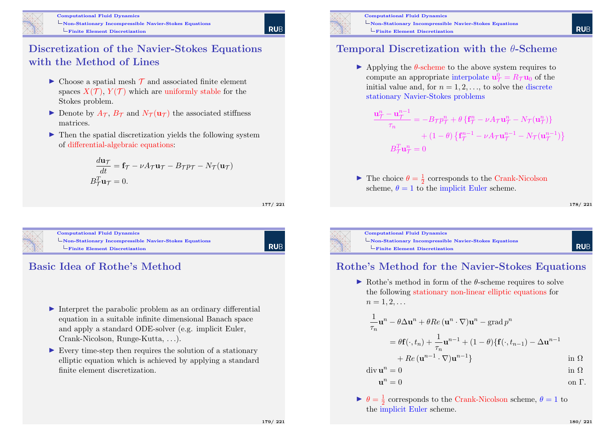

**RUE** 

## Discretization of the Navier-Stokes Equations with the Method of Lines

- $\triangleright$  Choose a spatial mesh  $\mathcal T$  and associated finite element spaces  $X(\mathcal{T})$ ,  $Y(\mathcal{T})$  which are uniformly stable for the Stokes problem.
- Denote by  $A_{\mathcal{T}}$ ,  $B_{\mathcal{T}}$  and  $N_{\mathcal{T}}(\mathbf{u}_{\mathcal{T}})$  the associated stiffness matrices.
- $\blacktriangleright$  Then the spatial discretization yields the following system of differential-algebraic equations:

$$
\frac{d\mathbf{u}\tau}{dt} = \mathbf{f}\tau - \nu A\tau \mathbf{u}\tau - B\tau p\tau - N\tau(\mathbf{u}\tau)
$$

$$
B_T^T \mathbf{u}\tau = 0.
$$

177/ 221



Computational Fluid Dynamics [Non-Stationary Incom](#page-0-0)pressible Navier-Stokes Equations [Finite Element Discretization](#page-42-0)

**RUB** 

## Basic Idea of Rothe's Method

- $\triangleright$  Interpret the parabolic problem as an ordinary differential equation in a suitable infinite dimensional Banach space and apply a standard ODE-solver (e.g. implicit Euler, Crank-Nicolson, Runge-Kutta, . . .).
- $\triangleright$  Every time-step then requires the solution of a stationary elliptic equation which is achieved by applying a standard finite element discretization.



Computational Fluid Dynamics Non-Stationary Incompressible Navier-Stokes Equations  $L$ Finite Element Discretization

#### Temporal Discretization with the θ-Scheme

 $\blacktriangleright$  Applying the  $\theta$ -scheme to the above system requires to compute an appropriate interpolate  $\mathbf{u}_{\mathcal{T}}^0 = R_{\mathcal{T}} \mathbf{u}_0$  of the initial value and, for  $n = 1, 2, \ldots$ , to solve the discrete stationary Navier-Stokes problems

$$
\frac{\mathbf{u}_{\mathcal{T}}^{n} - \mathbf{u}_{\mathcal{T}}^{n-1}}{\tau_n} = -B_{\mathcal{T}} p_{\mathcal{T}}^{n} + \theta \left\{ \mathbf{f}_{\mathcal{T}}^{n} - \nu A_{\mathcal{T}} \mathbf{u}_{\mathcal{T}}^{n} - N_{\mathcal{T}} (\mathbf{u}_{\mathcal{T}}^{n}) \right\} + (1 - \theta) \left\{ \mathbf{f}_{\mathcal{T}}^{n-1} - \nu A_{\mathcal{T}} \mathbf{u}_{\mathcal{T}}^{n-1} - N_{\mathcal{T}} (\mathbf{u}_{\mathcal{T}}^{n-1}) \right\} B_{\mathcal{T}}^{T} \mathbf{u}_{\mathcal{T}}^{n} = 0
$$

 $\blacktriangleright$  The choice  $\theta = \frac{1}{2}$  corresponds to the Crank-Nicolson scheme,  $\theta = 1$  to the implicit Euler scheme.

178/ 221

**RUE** 

**RUF** 



Computational Fluid Dynamics Non-Stationary Incompressible Navier-Stokes Equations  $l$ Finite Element Discretization

#### Rothe's Method for the Navier-Stokes Equations

 $\blacktriangleright$  Rothe's method in form of the  $\theta$ -scheme requires to solve the following stationary non-linear elliptic equations for  $n = 1, 2, \ldots$ 

$$
\frac{1}{\tau_n} \mathbf{u}^n - \theta \Delta \mathbf{u}^n + \theta Re (\mathbf{u}^n \cdot \nabla) \mathbf{u}^n - \operatorname{grad} p^n
$$
  
=  $\theta \mathbf{f}(\cdot, t_n) + \frac{1}{\tau_n} \mathbf{u}^{n-1} + (1 - \theta) \{ \mathbf{f}(\cdot, t_{n-1}) - \Delta \mathbf{u}^{n-1} + Re (\mathbf{u}^{n-1} \cdot \nabla) \mathbf{u}^{n-1} \}$  in  $\Omega$ 

$$
\operatorname{div} \mathbf{u}^n = 0 \qquad \qquad \text{in } \Omega
$$

$$
\mathbf{u}^n = 0 \qquad \text{on } \Gamma.
$$

 $\blacktriangleright$   $\theta = \frac{1}{2}$  corresponds to the Crank-Nicolson scheme,  $\theta = 1$  to the implicit Euler scheme.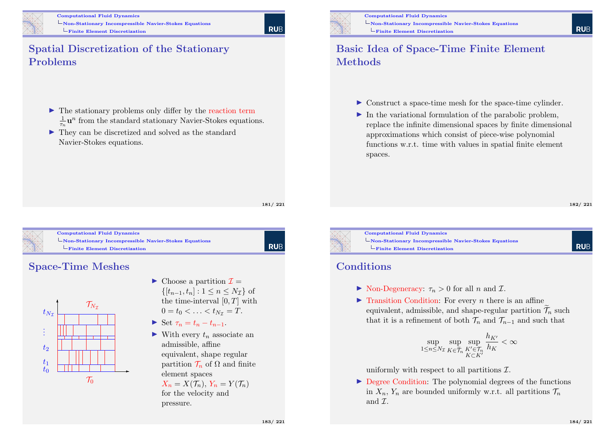

# **RUE**

#### Spatial Discretization of the Stationary Problems

- $\triangleright$  The stationary problems only differ by the reaction term  $\frac{1}{\tau_n}$ **u**<sup>n</sup> from the standard stationary Navier-Stokes equations.
- $\blacktriangleright$  They can be discretized and solved as the standard Navier-Stokes equations.

181/ 221

**RUB** 



Computational Fluid Dynamics [Non-Stationary Incom](#page-0-0)pressible Navier-Stokes Equations [Finite Element Discretization](#page-42-0)

#### Space-Time Meshes



- $\triangleright$  Choose a partition  $\mathcal{I} =$  $\{[t_{n-1}, t_n] : 1 \leq n \leq N_\tau\}$  of the time-interval  $[0, T]$  with  $0 = t_0 < \ldots < t_{N_{\tau}} = T$ .
- $\triangleright$  Set  $\tau_n = t_n t_{n-1}$ .
- $\blacktriangleright$  With every  $t_n$  associate an admissible, affine equivalent, shape regular partition  $\mathcal{T}_n$  of  $\Omega$  and finite element spaces

 $X_n = X(\mathcal{T}_n), Y_n = Y(\mathcal{T}_n)$ for the velocity and pressure.

Computational Fluid Dynamics Non-Stationary Incompressible Navier-Stokes Equations Finite Element Discretization

#### Basic Idea of Space-Time Finite Element Methods

- $\triangleright$  Construct a space-time mesh for the space-time cylinder.
- $\blacktriangleright$  In the variational formulation of the parabolic problem, replace the infinite dimensional spaces by finite dimensional approximations which consist of piece-wise polynomial functions w.r.t. time with values in spatial finite element spaces.

182/ 221

**RUF** 

**RUF** 

Computational Fluid Dynamics Non-Stationary Incompressible Navier-Stokes Equations  $L$ Finite Element Discretization

#### **Conditions**

- $\triangleright$  Non-Degeneracy:  $\tau_n > 0$  for all n and  $\mathcal{I}$ .
- $\blacktriangleright$  Transition Condition: For every *n* there is an affine equivalent, admissible, and shape-regular partition  $\widetilde{\mathcal{T}}_n$  such that it is a refinement of both  $\mathcal{T}_n$  and  $\mathcal{T}_{n-1}$  and such that

$$
\sup_{1\leq n\leq N_{\mathcal{I}}} \sup_{K\in\widetilde{\mathcal{T}}_n} \sup_{\substack{K'\in\mathcal{T}_n\\K\subset K'}} \frac{h_{K'}}{h_K} <\infty
$$

uniformly with respect to all partitions  $\mathcal{I}$ .

 $\triangleright$  Degree Condition: The polynomial degrees of the functions in  $X_n$ ,  $Y_n$  are bounded uniformly w.r.t. all partitions  $\mathcal{T}_n$ and  $\mathcal{T}$ .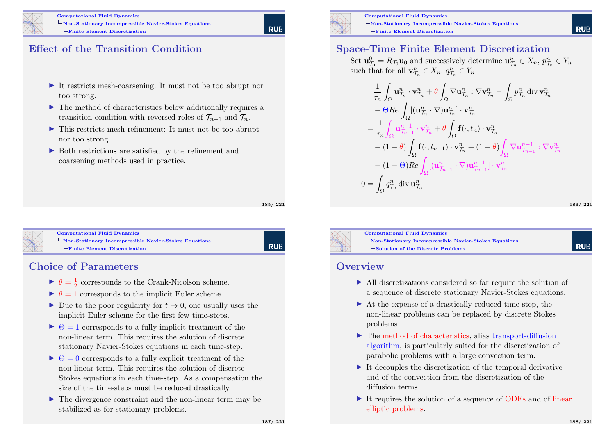

### Effect of the Transition Condition

- $\blacktriangleright$  It restricts mesh-coarsening: It must not be too abrupt nor too strong.
- $\blacktriangleright$  The method of characteristics below additionally requires a transition condition with reversed roles of  $\mathcal{T}_{n-1}$  and  $\mathcal{T}_n$ .
- $\blacktriangleright$  This restricts mesh-refinement: It must not be too abrupt nor too strong.
- $\triangleright$  Both restrictions are satisfied by the refinement and coarsening methods used in practice.

185/ 221



Computational Fluid Dynamics [Non-Stationary Incom](#page-0-0)pressible Navier-Stokes Equations [Finite Element Discretization](#page-42-0)

# **RUB**

#### Choice of Parameters

- $\blacktriangleright$   $\theta = \frac{1}{2}$  corresponds to the Crank-Nicolson scheme.
- $\blacktriangleright \theta = 1$  corresponds to the implicit Euler scheme.
- Due to the poor regularity for  $t \to 0$ , one usually uses the implicit Euler scheme for the first few time-steps.
- $\triangleright \Theta = 1$  corresponds to a fully implicit treatment of the non-linear term. This requires the solution of discrete stationary Navier-Stokes equations in each time-step.
- $\triangleright \Theta = 0$  corresponds to a fully explicit treatment of the non-linear term. This requires the solution of discrete Stokes equations in each time-step. As a compensation the size of the time-steps must be reduced drastically.
- $\blacktriangleright$  The divergence constraint and the non-linear term may be stabilized as for stationary problems.



Computational Fluid Dynamics Non-Stationary Incompressible Navier-Stokes Equations  $L$ Finite Element Discretization

#### Space-Time Finite Element Discretization

Set  $\mathbf{u}_{\mathcal{T}_0}^0 = R_{\mathcal{T}_0}\mathbf{u}_0$  and successively determine  $\mathbf{u}_{\mathcal{T}_n}^n \in X_n$ ,  $p_{\mathcal{T}_n}^n \in Y_n$ such that for all  $\mathbf{v}_{\mathcal{T}_n}^n \in X_n$ ,  $q_{\mathcal{T}_n}^n \in Y_n$ 

$$
\frac{1}{\tau_n} \int_{\Omega} \mathbf{u}_{\mathcal{T}_n}^n \cdot \mathbf{v}_{\mathcal{T}_n}^n + \theta \int_{\Omega} \nabla \mathbf{u}_{\mathcal{T}_n}^n : \nabla \mathbf{v}_{\mathcal{T}_n}^n - \int_{\Omega} p_{\mathcal{T}_n}^n \operatorname{div} \mathbf{v}_{\mathcal{T}_n}^n \n+ \Theta Re \int_{\Omega} [(\mathbf{u}_{\mathcal{T}_n}^n \cdot \nabla) \mathbf{u}_{\mathcal{T}_n}^n] \cdot \mathbf{v}_{\mathcal{T}_n}^n \n= \frac{1}{\tau_n} \int_{\Omega} \mathbf{u}_{\mathcal{T}_{n-1}}^{n-1} \cdot \mathbf{v}_{\mathcal{T}_n}^n + \theta \int_{\Omega} \mathbf{f}(\cdot, t_n) \cdot \mathbf{v}_{\mathcal{T}_n}^n \n+ (1 - \theta) \int_{\Omega} \mathbf{f}(\cdot, t_{n-1}) \cdot \mathbf{v}_{\mathcal{T}_n}^n + (1 - \theta) \int_{\Omega} \nabla \mathbf{u}_{\mathcal{T}_{n-1}}^{n-1} : \nabla \mathbf{v}_{\mathcal{T}_n}^n \n+ (1 - \Theta) Re \int_{\Omega} [(\mathbf{u}_{\mathcal{T}_{n-1}}^{n-1} \cdot \nabla) \mathbf{u}_{\mathcal{T}_{n-1}}^{n-1}] \cdot \mathbf{v}_{\mathcal{T}_n}^n \n0 = \int_{\Omega} q_{\mathcal{T}_n}^n \operatorname{div} \mathbf{u}_{\mathcal{T}_n}^n
$$

186/ 221

**RUE** 

**RUF** 



Computational Fluid Dynamics Non-Stationary Incompressible Navier-Stokes Equations  $\mathsf{\mathsf{L}}$  Solution of the Discrete Problems

#### **Overview**

- I All discretizations considered so far require the solution of a sequence of discrete stationary Navier-Stokes equations.
- $\triangleright$  At the expense of a drastically reduced time-step, the non-linear problems can be replaced by discrete Stokes problems.
- $\blacktriangleright$  The method of characteristics, alias transport-diffusion algorithm, is particularly suited for the discretization of parabolic problems with a large convection term.
- $\blacktriangleright$  It decouples the discretization of the temporal derivative and of the convection from the discretization of the diffusion terms.
- It requires the solution of a sequence of ODEs and of linear elliptic problems.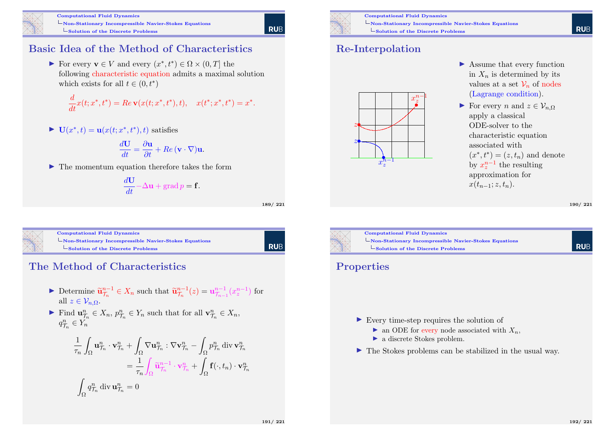

#### Basic Idea of the Method of Characteristics

For every  $\mathbf{v} \in V$  and every  $(x^*, t^*) \in \Omega \times (0, T]$  the following characteristic equation admits a maximal solution which exists for all  $t \in (0, t^*)$ 

$$
\frac{d}{dt}x(t; x^*, t^*) = Re \mathbf{v}(x(t; x^*, t^*), t), \quad x(t^*; x^*, t^*) = x^*.
$$

 $\blacktriangleright$   $\mathbf{U}(x^*, t) = \mathbf{u}(x(t; x^*, t^*), t)$  satisfies

$$
\frac{d\mathbf{U}}{dt} = \frac{\partial \mathbf{u}}{\partial t} + Re(\mathbf{v} \cdot \nabla)\mathbf{u}.
$$

 $\blacktriangleright$  The momentum equation therefore takes the form

$$
\frac{d\mathbf{U}}{dt} - \Delta \mathbf{u} + \operatorname{grad} p = \mathbf{f}.
$$

189/ 221

**RUE** 

| <b>Computational Fluid Dynamics</b>                                          |  |
|------------------------------------------------------------------------------|--|
| $\Box$ Non-Stationary Incompressible Navier-Stokes Equations                 |  |
| $\mathsf{\mathord{\hspace{1pt}\textbf{-}}Solution}$ of the Discrete Problems |  |

#### The Method of Characteristics

- ► Determine  $\tilde{\mathbf{u}}_{\mathcal{T}_n}^{n-1} \in X_n$  such that  $\tilde{\mathbf{u}}_{\mathcal{T}_n}^{n-1}(z) = \mathbf{u}_{\mathcal{T}_{n-1}}^{n-1}(x_z^{n-1})$  for all  $z \in \mathcal{V}_{n,\Omega}$ .
- Find  $\mathbf{u}_{\mathcal{T}_n}^n \in X_n$ ,  $p_{\mathcal{T}_n}^n \in Y_n$  such that for all  $\mathbf{v}_{\mathcal{T}_n}^n \in X_n$ ,  $q_{\mathcal{T}_n}^n \in Y_n$

$$
\frac{1}{\tau_n} \int_{\Omega} \mathbf{u}_{\mathcal{T}_n}^n \cdot \mathbf{v}_{\mathcal{T}_n}^n + \int_{\Omega} \nabla \mathbf{u}_{\mathcal{T}_n}^n : \nabla \mathbf{v}_{\mathcal{T}_n}^n - \int_{\Omega} p_{\mathcal{T}_n}^n \operatorname{div} \mathbf{v}_{\mathcal{T}_n}^n
$$
\n
$$
= \frac{1}{\tau_n} \int_{\Omega} \widetilde{\mathbf{u}}_{\mathcal{T}_n}^{n-1} \cdot \mathbf{v}_{\mathcal{T}_n}^n + \int_{\Omega} \mathbf{f}(\cdot, t_n) \cdot \mathbf{v}_{\mathcal{T}_n}^n
$$
\n
$$
\int_{\Omega} q_{\mathcal{T}_n}^n \operatorname{div} \mathbf{u}_{\mathcal{T}_n}^n = 0
$$



Computational Fluid Dynamics Non-Stationary Incompressible Navier-Stokes Equations  $\mathsf{\mathsf{L}}$  Solution of the Discrete Problems

### Re-Interpolation



- $\blacktriangleright$  Assume that every function in  $X_n$  is determined by its values at a set  $\mathcal{V}_n$  of nodes (Lagrange condition).
- For every n and  $z \in \mathcal{V}_{n}$ apply a classical ODE-solver to the characteristic equation associated with  $(x^*, t^*) = (z, t_n)$  and denote by  $x_z^{n-1}$  the resulting approximation for  $x(t_{n-1}; z, t_n)$ .

190/ 221



#### Properties

- $\triangleright$  Every time-step requires the solution of
	- ightharpoonup associated with  $X_n$ ,
	- $\blacktriangleright$  a discrete Stokes problem.
- $\blacktriangleright$  The Stokes problems can be stabilized in the usual way.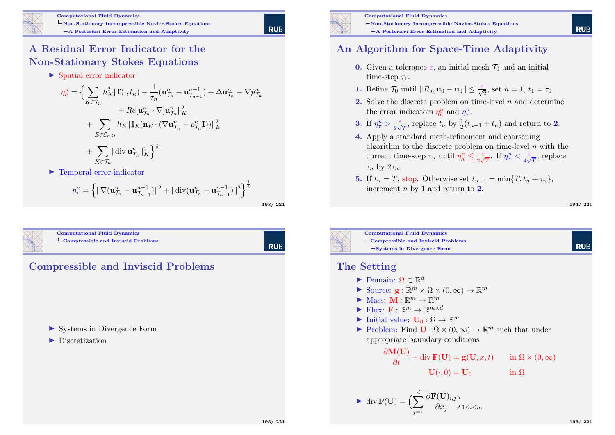

# **RUE**

 $\frac{n}{\mathcal{T}_n}$ 

### A Residual Error Indicator for the Non-Stationary Stokes Equations

 $\blacktriangleright$  Spatial error indicator

$$
\eta_h^n = \Big\{ \sum_{K \in \mathcal{T}_n} h_K^2 \|\mathbf{f}(\cdot, t_n) - \frac{1}{\tau_n} (\mathbf{u}_{\mathcal{T}_n}^n - \mathbf{u}_{\mathcal{T}_{n-1}}^{n-1}) + \Delta \mathbf{u}_{\mathcal{T}_n}^n - \nabla p \n+ Re[\mathbf{u}_{\mathcal{T}_n}^n \cdot \nabla] \mathbf{u}_{\mathcal{T}_n}^n\|_K^2 \n+ \sum_{E \in \mathcal{E}_{n,\Omega}} h_E \|\mathbb{J}_E(\mathbf{n}_E \cdot (\nabla \mathbf{u}_{\mathcal{T}_n}^n - p_{\mathcal{T}_n}^n \mathbf{I}))\|_E^2 \n+ \sum_{K \in \mathcal{T}_n} \|\text{div } \mathbf{u}_{\mathcal{T}_n}^n\|_K^2 \Big\}^{\frac{1}{2}}
$$

 $\blacktriangleright$  Temporal error indicator

$$
\eta_{\tau}^{n} = \left\{ \|\nabla(\mathbf{u}_{\mathcal{T}_n}^{n} - \mathbf{u}_{\mathcal{T}_{n-1}}^{n-1})\|^2 + \|\text{div}(\mathbf{u}_{\mathcal{T}_n}^{n} - \mathbf{u}_{\mathcal{T}_{n-1}}^{n-1})\|^2 \right\}^{\frac{1}{2}}
$$

<span id="page-48-0"></span>

| <b>Computational Fluid 1</b>     |
|----------------------------------|
| $\mathbf{C}$ Compressible and In |
|                                  |

**Dynamics** nviscid Problems

**RUB** 

193/ 221

# Compressible and Inviscid Problems

▶ Systems in Divergence Form

#### $\blacktriangleright$  Discretization



Computational Fluid Dynamics Non-Stationary Incompressible Navier-Stokes Equations  $\mathcal{L}_{\mathbf{A}}$  Posteriori Error Estimation and Adaptivity

#### An Algorithm for Space-Time Adaptivity

- **0.** Given a tolerance  $\varepsilon$ , an initial mesh  $\mathcal{T}_0$  and an initial time-step  $\tau_1$ .
- **1.** Refine  $\mathcal{T}_0$  until  $||R_{\mathcal{T}_0}\mathbf{u}_0 \mathbf{u}_0|| \le \frac{\varepsilon}{\sqrt{2}}$ , set  $n = 1$ ,  $t_1 = \tau_1$ .
- 2. Solve the discrete problem on time-level  $n$  and determine the error indicators  $\eta_h^n$  and  $\eta_\tau^n$ .
- 3. If  $\eta_{\tau}^n > \frac{\varepsilon}{2\sqrt{n}}$  $\frac{\varepsilon}{2\sqrt{T}}$ , replace  $t_n$  by  $\frac{1}{2}(t_{n-1} + t_n)$  and return to 2.
- 4. Apply a standard mesh-refinement and coarsening algorithm to the discrete problem on time-level  $n$  with the current time-step  $\tau_n$  until  $\eta_h^n \leq \frac{\varepsilon}{2\sqrt{n}}$  $\frac{\varepsilon}{2\sqrt{T}}$ . If  $\eta_{\tau}^{n} < \frac{\varepsilon}{4\sqrt{T}}$  $\frac{\varepsilon}{4\sqrt{T}},$  replace  $\tau_n$  by  $2\tau_n$ .
- 5. If  $t_n = T$ , stop. Otherwise set  $t_{n+1} = \min\{T, t_n + \tau_n\},\$ increment  $n$  by 1 and return to 2.

194/ 221

**RUE** 

**RUE** 



#### The Setting

- $\blacktriangleright$  Domain: Ω ⊂  $\mathbb{R}^d$
- Source:  $\mathbf{g} : \mathbb{R}^m \times \Omega \times (0, \infty) \to \mathbb{R}^m$
- $\blacktriangleright$  Mass:  $\mathbf{M}: \mathbb{R}^m \to \mathbb{R}^m$
- $\blacktriangleright$  Flux:  $\underline{\mathbf{F}} : \mathbb{R}^m \to \mathbb{R}^{m \times d}$
- $\blacktriangleright$  Initial value:  $\mathbf{U}_0 : \Omega \to \mathbb{R}^m$
- Problem: Find  $\mathbf{U}: \Omega \times (0, \infty) \to \mathbb{R}^m$  such that under appropriate boundary conditions

$$
\frac{\partial \mathbf{M}(\mathbf{U})}{\partial t} + \text{div }\mathbf{F}(\mathbf{U}) = \mathbf{g}(\mathbf{U}, x, t) \quad \text{in } \Omega \times (0, \infty)
$$

$$
\mathbf{U}(\cdot, 0) = \mathbf{U}_0 \quad \text{in } \Omega
$$

$$
\blacktriangleright \operatorname{div} \underline{\mathbf{F}}(\mathbf{U}) = \Big(\sum_{j=1}^{d} \frac{\partial \underline{\mathbf{F}}(\mathbf{U})_{i,j}}{\partial x_j}\Big)_{1 \le i \le m}
$$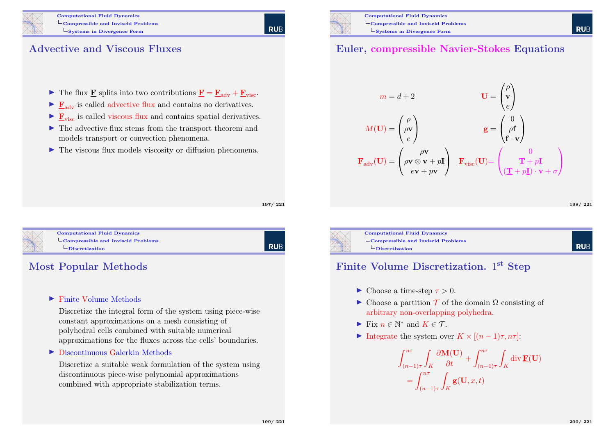- In The flux **F** splits into two contributions  $\mathbf{F} = \mathbf{F}_{adv} + \mathbf{F}_{visc}$ .
- $\blacktriangleright$   $\mathbf{F}_{adv}$  is called advective flux and contains no derivatives.
- $\blacktriangleright$   $\mathbf{F}_{\text{visc}}$  is called viscous flux and contains spatial derivatives.
- $\blacktriangleright$  The advective flux stems from the transport theorem and models transport or convection phenomena.
- $\blacktriangleright$  The viscous flux models viscosity or diffusion phenomena.

197/ 221

**RUE** 



Computational Fluid Dynamics  $\mathsf{L}_{\mathsf{Compressible}}$  and Inviscid Problems  $L$ [Discretization](#page-48-0)

**RUB** 

## Most Popular Methods

#### $\blacktriangleright$  Finite Volume Methods

Discretize the integral form of the system using piece-wise constant approximations on a mesh consisting of polyhedral cells combined with suitable numerical approximations for the fluxes across the cells' boundaries.

#### $\triangleright$  Discontinuous Galerkin Methods

Discretize a suitable weak formulation of the system using discontinuous piece-wise polynomial approximations combined with appropriate stabilization terms.

#### Euler, compressible Navier-Stokes Equations

$$
m = d + 2 \qquad \qquad \mathbf{U} = \begin{pmatrix} \rho \\ \mathbf{v} \\ e \end{pmatrix}
$$

$$
M(\mathbf{U}) = \begin{pmatrix} \rho \\ \rho \mathbf{v} \\ e \end{pmatrix} \qquad \qquad \mathbf{g} = \begin{pmatrix} 0 \\ \rho \mathbf{f} \\ \mathbf{f} \cdot \mathbf{v} \end{pmatrix}
$$

$$
\mathbf{E}_{adv}(\mathbf{U}) = \begin{pmatrix} \rho \mathbf{v} \\ \rho \mathbf{v} \otimes \mathbf{v} + p\mathbf{I} \\ e\mathbf{v} + p\mathbf{v} \end{pmatrix} \quad \mathbf{E}_{visc}(\mathbf{U}) = \begin{pmatrix} 0 \\ \frac{\mathbf{T} + p\mathbf{I}}{(\mathbf{T} + p\mathbf{I}) \cdot \mathbf{v} + \sigma} \end{pmatrix}
$$

198/ 221

**RUF** 



Computational Fluid Dynamics  $\mathsf{L}_{\mathsf{Compressible}}$  and Inviscid Problems  $\Box$ Discretization

#### Finite Volume Discretization. 1<sup>st</sup> Step

- $\blacktriangleright$  Choose a time-step  $\tau > 0$ .
- $\triangleright$  Choose a partition T of the domain  $\Omega$  consisting of arbitrary non-overlapping polyhedra.
- Fix  $n \in \mathbb{N}^*$  and  $K \in \mathcal{T}$ .
- Integrate the system over  $K \times [(n-1)\tau, n\tau]$ :

$$
\int_{(n-1)\tau}^{n\tau} \int_K \frac{\partial \mathbf{M}(\mathbf{U})}{\partial t} + \int_{(n-1)\tau}^{n\tau} \int_K \operatorname{div} \underline{\mathbf{F}}(\mathbf{U})
$$
  
= 
$$
\int_{(n-1)\tau}^{n\tau} \int_K \mathbf{g}(\mathbf{U}, x, t)
$$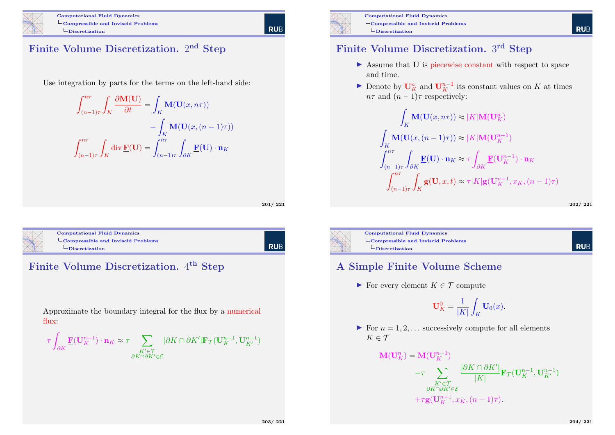

### Finite Volume Discretization. 2<sup>nd</sup> Step

Use integration by parts for the terms on the left-hand side:

$$
\int_{(n-1)\tau}^{n\tau} \int_{K} \frac{\partial \mathbf{M}(\mathbf{U})}{\partial t} = \int_{K} \mathbf{M}(\mathbf{U}(x, n\tau))
$$

$$
- \int_{K} \mathbf{M}(\mathbf{U}(x, (n-1)\tau))
$$

$$
\int_{(n-1)\tau}^{n\tau} \int_{K} \text{div } \underline{\mathbf{F}}(\mathbf{U}) = \int_{(n-1)\tau}^{n\tau} \int_{\partial K} \underline{\mathbf{F}}(\mathbf{U}) \cdot \mathbf{n}_{K}
$$

201/ 221



Computational Fluid Dynamics L[Compressible and Inv](#page-0-0)iscid Problems  $\Box$ [Discretization](#page-48-0)





Approximate the boundary integral for the flux by a numerical flux:

$$
\tau\int_{\partial K} \underline{\mathbf{F}}(\mathbf{U}^{n-1}_K) \cdot \mathbf{n}_K \approx \tau \sum_{\substack{K' \in \mathcal{T} \\ \partial K \cap \partial K' \in \mathcal{E}}} |\partial K \cap \partial K'|\mathbf{F}_{\mathcal{T}}(\mathbf{U}^{n-1}_K,\mathbf{U}^{n-1}_{K'})
$$



Computational Fluid Dynamics LCompressible and Inviscid Problems  $\Box$ Discretization

#### Finite Volume Discretization. 3rd Step

- $\triangleright$  Assume that **U** is piecewise constant with respect to space and time.
- Denote by  $\mathbf{U}_K^n$  and  $\mathbf{U}_K^{n-1}$  its constant values on K at times  $n\tau$  and  $(n-1)\tau$  respectively:

$$
\int_{K} \mathbf{M}(\mathbf{U}(x, n\tau)) \approx |K| \mathbf{M}(\mathbf{U}_{K}^{n})
$$
\n
$$
\int_{K} \mathbf{M}(\mathbf{U}(x, (n-1)\tau)) \approx |K| \mathbf{M}(\mathbf{U}_{K}^{n-1})
$$
\n
$$
\int_{(n-1)\tau}^{n\tau} \int_{\partial K} \mathbf{F}(\mathbf{U}) \cdot \mathbf{n}_{K} \approx \tau \int_{\partial K} \mathbf{F}(\mathbf{U}_{K}^{n-1}) \cdot \mathbf{n}_{K}
$$
\n
$$
\int_{(n-1)\tau}^{n\tau} \int_{K} \mathbf{g}(\mathbf{U}, x, t) \approx \tau |K| \mathbf{g}(\mathbf{U}_{K}^{n-1}, x_{K}, (n-1)\tau)
$$

202/ 221

**RUE** 



Computational Fluid Dynamics  $\mathcal{L}_{\text{Compressible and Inviscid Problems}}$  $\Box$ Discretization

#### **RUE**

#### A Simple Finite Volume Scheme

For every element  $K \in \mathcal{T}$  compute

 $\mathbf{M}$ 

$$
\mathbf{U}_K^0 = \frac{1}{|K|} \int_K \mathbf{U}_0(x).
$$

For  $n = 1, 2, \ldots$  successively compute for all elements  $K \in \mathcal{T}$ 

$$
I(\mathbf{U}_{K}^{n}) = \mathbf{M}(\mathbf{U}_{K}^{n-1})
$$
  
\n
$$
-\tau \sum_{\substack{K' \in \mathcal{T} \\ \partial K \cap \partial K' \in \mathcal{E}}} \frac{|\partial K \cap \partial K'|}{|K|} \mathbf{F}_{\mathcal{T}}(\mathbf{U}_{K}^{n-1}, \mathbf{U}_{K'}^{n-1})
$$
  
\n
$$
+\tau \mathbf{g}(\mathbf{U}_{K}^{n-1}, x_{K}, (n-1)\tau).
$$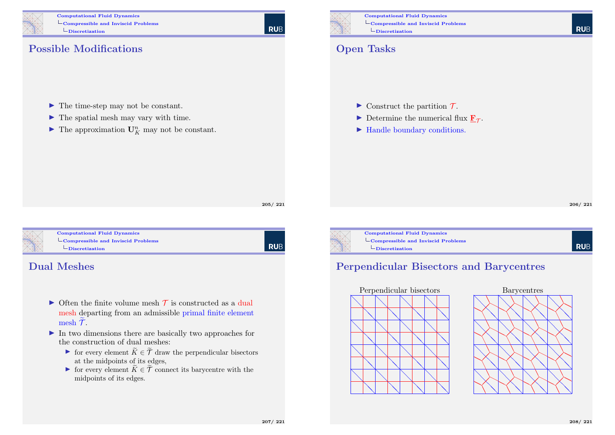

Computational Fluid Dynamics LCompressible and Inviscid Problems  $\Box$ Discretization

**RUB** 

## Possible Modifications

- $\blacktriangleright$  The time-step may not be constant.
- $\blacktriangleright$  The spatial mesh may vary with time.
- $\blacktriangleright$  The approximation  $\mathbf{U}_K^n$  may not be constant.

Computational Fluid Dynamics LCompressible and Inviscid Problems  $\Box$ Discretization

## Open Tasks

- $\triangleright$  Construct the partition  $\mathcal{T}$ .
- Determine the numerical flux  $\underline{\mathbf{F}}_{\mathcal{T}}$ .
- $\blacktriangleright$  Handle boundary conditions.

206/ 221

**RUB** 

**RUE** 





Computational Fluid Dynamics  $\mathcal{L}_{\text{Compressible and Inviscid Problems}}$  $\mathcal{L}_{\text{Compressible and Inviscid Problems}}$  $\mathcal{L}_{\text{Compressible and Inviscid Problems}}$  $\Box$ [Discretization](#page-48-0)

l rub

#### Dual Meshes

- $\triangleright$  Often the finite volume mesh  $\tau$  is constructed as a dual mesh departing from an admissible primal finite element mesh  $\mathcal{T}$ .
- $\triangleright$  In two dimensions there are basically two approaches for the construction of dual meshes:
	- In for every element  $\widetilde{K} \in \widetilde{\mathcal{T}}$  draw the perpendicular bisectors at the midpoints of its edges,
	- In for every element  $\widetilde{K} \in \widetilde{\mathcal{T}}$  connect its barycentre with the midpoints of its edges.



Computational Fluid Dynamics LCompressible and Inviscid Problems  $\Box$ Discretization

# Perpendicular Bisectors and Barycentres



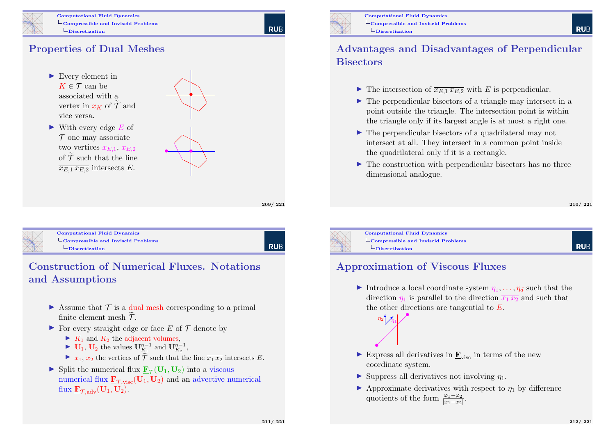

Computational Fluid Dynamics  $\mathsf{L}_{\mathsf{Compressible}}$  and Inviscid Problems  $\Box$ Discretization

**RUE** 

#### Properties of Dual Meshes

- $\blacktriangleright$  Every element in  $K \in \mathcal{T}$  can be associated with a vertex in  $x_k$  of  $\widetilde{\mathcal{T}}$  and vice versa.
- $\blacktriangleright$  With every edge E of  $\mathcal T$  one may associate two vertices  $x_{E,1}$ ,  $x_{E,2}$ of  $\widetilde{\mathcal{T}}$  such that the line  $\overline{x_{E1} x_{E2}}$  intersects E.



209/ 221



Computational Fluid Dynamics  $\mathsf{L}_{\mathsf{Compressible}}$  and Inviscid Problems  $\Box$ [Discretization](#page-48-0)

**RUB** 

## Construction of Numerical Fluxes. Notations and Assumptions

- $\triangleright$  Assume that  $\mathcal T$  is a dual mesh corresponding to a primal finite element mesh  $\tilde{\mathcal{T}}$ .
- $\triangleright$  For every straight edge or face E of T denote by
	- $\blacktriangleright$   $K_1$  and  $K_2$  the adjacent volumes,
	- $\blacktriangleright$  **U<sub>1</sub>**, **U<sub>2</sub>** the values  $\mathbf{U}_{K_1}^{n-1}$  and  $\mathbf{U}_{K_2}^{n-1}$ ,
	- $\triangleright$   $x_1, x_2$  the vertices of  $\widetilde{\mathcal{T}}$  such that the line  $\overline{x_1 x_2}$  intersects E.
- Split the numerical flux  $\underline{\mathbf{F}}_{\mathcal{T}}(\mathbf{U}_1, \mathbf{U}_2)$  into a viscous numerical flux  $\underline{\mathbf{F}}_{\mathcal{T},\text{visc}}(\mathbf{U}_1,\mathbf{U}_2)$  and an advective numerical flux  $\mathbf{F}_{\mathcal{T} \text{adv}}(\mathbf{U}_1, \mathbf{U}_2)$ .



Computational Fluid Dynamics  $\mathcal{L}_{\text{Compressible and Inviscid Problems}}$ Discretization

#### Advantages and Disadvantages of Perpendicular **Bisectors**

- In The intersection of  $\overline{x_{E,1} x_{E,2}}$  with E is perpendicular.
- $\blacktriangleright$  The perpendicular bisectors of a triangle may intersect in a point outside the triangle. The intersection point is within the triangle only if its largest angle is at most a right one.
- $\triangleright$  The perpendicular bisectors of a quadrilateral may not intersect at all. They intersect in a common point inside the quadrilateral only if it is a rectangle.
- $\blacktriangleright$  The construction with perpendicular bisectors has no three dimensional analogue.

#### 210/ 221

**RUE** 

Computational Fluid Dynamics  $\mathsf{L}_{\mathsf{Compressible}}$  and Inviscid Problems  $\Box$ Discretization

> ╱ Ϊ Λ  $\diagup$

 $\eta_1$  $n_2 \bigvee$ 

#### **RUF**

#### Approximation of Viscous Fluxes

- Introduce a local coordinate system  $\eta_1, \ldots, \eta_d$  such that the direction  $\eta_1$  is parallel to the direction  $\overline{x_1 x_2}$  and such that the other directions are tangential to E. •
- Express all derivatives in  $\mathbf{F}_{\text{visc}}$  in terms of the new coordinate system.
- $\blacktriangleright$  Suppress all derivatives not involving  $\eta_1$ .
- $\blacktriangleright$  Approximate derivatives with respect to  $\eta_1$  by difference quotients of the form  $\frac{\varphi_1-\varphi_2}{|x_1-x_2|}$ .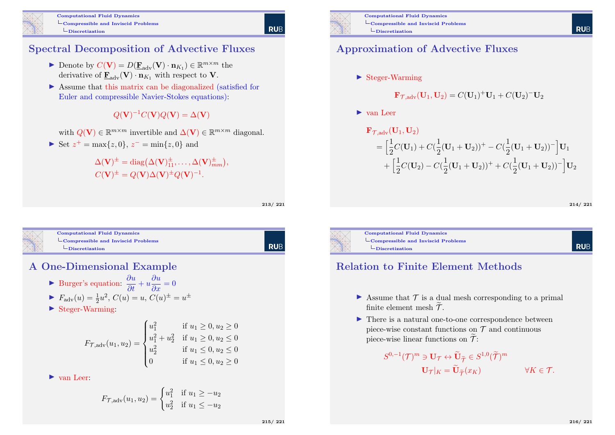

#### Spectral Decomposition of Advective Fluxes

- Denote by  $C(\mathbf{V}) = D(\underline{\mathbf{F}}_{adv}(\mathbf{V}) \cdot \mathbf{n}_{K_1}) \in \mathbb{R}^{m \times m}$  the derivative of  $\mathbf{F}_{adv}(\mathbf{V}) \cdot \mathbf{n}_{K_1}$  with respect to **V**.
- $\triangleright$  Assume that this matrix can be diagonalized (satisfied for Euler and compressible Navier-Stokes equations):

 $Q(\mathbf{V})^{-1}C(\mathbf{V})Q(\mathbf{V})=\Delta(\mathbf{V})$ 

with  $Q(V) \in \mathbb{R}^{m \times m}$  invertible and  $\Delta(V) \in \mathbb{R}^{m \times m}$  diagonal.

► Set  $z^+ = \max\{z, 0\}, z^- = \min\{z, 0\}$  and

 $\Delta(\mathbf{V})^{\pm} = \text{diag}(\Delta(\mathbf{V})^{\pm}_{11}, \dots, \Delta(\mathbf{V})^{\pm}_{mm}),$  $C(\mathbf{V})^{\pm} = Q(\mathbf{V})\Delta(\mathbf{V})^{\pm}Q(\mathbf{V})^{-1}.$ 

213/ 221

**RUB** 



#### Computational Fluid Dynamics  $\mathsf{L}_{\mathsf{Compressible}}$  and Inviscid Problems  $\Box$ [Discretization](#page-48-0)

RUB

#### A One-Dimensional Example

- ► Burger's equation:  $\frac{\partial u}{\partial t} + u \frac{\partial u}{\partial x} = 0$
- $\blacktriangleright$   $F_{\text{adv}}(u) = \frac{1}{2}u^2$ ,  $C(u) = u$ ,  $C(u)^{\pm} = u^{\pm}$
- $\blacktriangleright$  Steger-Warming:

$$
F_{\mathcal{T},\text{adv}}(u_1, u_2) = \begin{cases} u_1^2 & \text{if } u_1 \ge 0, u_2 \ge 0\\ u_1^2 + u_2^2 & \text{if } u_1 \ge 0, u_2 \le 0\\ u_2^2 & \text{if } u_1 \le 0, u_2 \le 0\\ 0 & \text{if } u_1 \le 0, u_2 \ge 0 \end{cases}
$$

 $\blacktriangleright$  van Leer:

$$
F_{\mathcal{T},\text{adv}}(u_1, u_2) = \begin{cases} u_1^2 & \text{if } u_1 \ge -u_2 \\ u_2^2 & \text{if } u_1 \le -u_2 \end{cases}
$$



Computational Fluid Dynamics  $\mathcal{L}_{\text{Compressible and Inviscid Problems}}$  $\Box$ Discretization

#### Approximation of Advective Fluxes

 $\blacktriangleright$  Steger-Warming

$$
\mathbf{F}_{\mathcal{T},adv}(\mathbf{U}_1, \mathbf{U}_2) = C(\mathbf{U}_1)^+ \mathbf{U}_1 + C(\mathbf{U}_2)^- \mathbf{U}_2
$$

 $\blacktriangleright$  van Leer

$$
\mathbf{F}_{\mathcal{T},\text{adv}}(\mathbf{U}_1, \mathbf{U}_2)
$$
\n
$$
= \left[ \frac{1}{2} C(\mathbf{U}_1) + C(\frac{1}{2} (\mathbf{U}_1 + \mathbf{U}_2))^+ - C(\frac{1}{2} (\mathbf{U}_1 + \mathbf{U}_2))^-\right] \mathbf{U}_1
$$
\n
$$
+ \left[ \frac{1}{2} C(\mathbf{U}_2) - C(\frac{1}{2} (\mathbf{U}_1 + \mathbf{U}_2))^+ + C(\frac{1}{2} (\mathbf{U}_1 + \mathbf{U}_2))^-\right] \mathbf{U}_2
$$

214/ 221

**RUE** 

**RUF** 



Computational Fluid Dynamics  $\mathsf{L}_{\mathsf{Compressible}}$  and Inviscid Problems  $\Box$ Discretization

#### Relation to Finite Element Methods

- $\triangleright$  Assume that  $\mathcal T$  is a dual mesh corresponding to a primal finite element mesh  $\widetilde{\mathcal{T}}$ .
- $\blacktriangleright$  There is a natural one-to-one correspondence between piece-wise constant functions on  $\mathcal T$  and continuous piece-wise linear functions on  $\widetilde{\mathcal{T}}$ :

$$
S^{0,-1}(\mathcal{T})^m \ni \mathbf{U}_{\mathcal{T}} \leftrightarrow \widetilde{\mathbf{U}}_{\widetilde{\mathcal{T}}} \in S^{1,0}(\widetilde{\mathcal{T}})^m
$$

$$
\mathbf{U}_{\mathcal{T}}|_K = \widetilde{\mathbf{U}}_{\widetilde{\mathcal{T}}}(\mathcal{X}_K) \qquad \forall K \in \mathcal{T}.
$$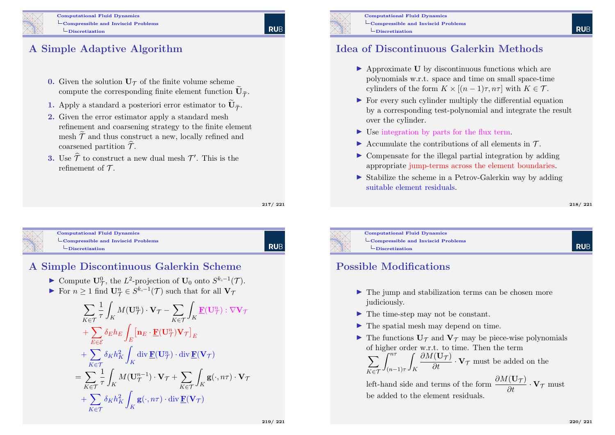Computational Fluid Dynamics  $\mathsf{L}_{\mathsf{Compressible}}$  and Inviscid Problems  $\Box$ Discretization

### A Simple Adaptive Algorithm

- 0. Given the solution  $U_{\mathcal{T}}$  of the finite volume scheme compute the corresponding finite element function  $\mathbf{U}_{\widetilde{\mathcal{T}}}$ .
- 1. Apply a standard a posteriori error estimator to  $\mathbf{U}_{\tilde{\mathcal{T}}}$ .
- 2. Given the error estimator apply a standard mesh refinement and coarsening strategy to the finite element mesh  $\widetilde{\mathcal{T}}$  and thus construct a new, locally refined and coarsened partition  $\hat{\mathcal{T}}$ .
- **3.** Use  $\widehat{\mathcal{T}}$  to construct a new dual mesh  $\mathcal{T}'$ . This is the refinement of  $\mathcal{T}$ .

217/ 221

Computational Fluid Dynamics  $\mathsf{L}_{\mathsf{Compressible}}$  and Inviscid Problems  $L$ [Discretization](#page-48-0)

**RUB** 

#### A Simple Discontinuous Galerkin Scheme

- ► Compute  $\mathbf{U}_{\mathcal{T}}^0$ , the  $L^2$ -projection of  $\mathbf{U}_0$  onto  $S^{k,-1}(\mathcal{T})$ .
- For  $n \geq 1$  find  $\mathbf{U}_{\mathcal{T}}^n \in S^{k,-1}(\mathcal{T})$  such that for all  $\mathbf{V}_{\mathcal{T}}$

$$
\sum_{K \in \mathcal{T}} \frac{1}{\tau} \int_{K} M(\mathbf{U}_{\mathcal{T}}^{n}) \cdot \mathbf{V}_{\mathcal{T}} - \sum_{K \in \mathcal{T}} \int_{K} \mathbf{F}(\mathbf{U}_{\mathcal{T}}^{n}) : \nabla \mathbf{V}_{\mathcal{T}} \n+ \sum_{E \in \mathcal{E}} \delta_{E} h_{E} \int_{E} [\mathbf{n}_{E} \cdot \mathbf{F}(\mathbf{U}_{\mathcal{T}}^{n}) \mathbf{V}_{\mathcal{T}}]_{E} \n+ \sum_{K \in \mathcal{T}} \delta_{K} h_{K}^{2} \int_{K} \text{div } \mathbf{F}(\mathbf{U}_{\mathcal{T}}^{n}) \cdot \text{div } \mathbf{F}(\mathbf{V}_{\mathcal{T}}) \n= \sum_{K \in \mathcal{T}} \frac{1}{\tau} \int_{K} M(\mathbf{U}_{\mathcal{T}}^{n-1}) \cdot \mathbf{V}_{\mathcal{T}} + \sum_{K \in \mathcal{T}} \int_{K} \mathbf{g}(\cdot, n\tau) \cdot \mathbf{V}_{\mathcal{T}} \n+ \sum_{K \in \mathcal{T}} \delta_{K} h_{K}^{2} \int_{K} \mathbf{g}(\cdot, n\tau) \cdot \text{div } \mathbf{F}(\mathbf{V}_{\mathcal{T}})
$$



Computational Fluid Dynamics  $\mathsf{L}_{\mathsf{Compressible}}$  and Inviscid Problems Discretization

#### Idea of Discontinuous Galerkin Methods

- $\triangleright$  Approximate U by discontinuous functions which are polynomials w.r.t. space and time on small space-time cylinders of the form  $K \times [(n-1)\tau, n\tau]$  with  $K \in \mathcal{T}$ .
- $\triangleright$  For every such cylinder multiply the differential equation by a corresponding test-polynomial and integrate the result over the cylinder.
- $\triangleright$  Use integration by parts for the flux term.
- $\triangleright$  Accumulate the contributions of all elements in T.
- $\triangleright$  Compensate for the illegal partial integration by adding appropriate jump-terms across the element boundaries.
- $\triangleright$  Stabilize the scheme in a Petrov-Galerkin way by adding suitable element residuals.

#### 218/ 221

**RUF** 

Computational Fluid Dynamics  $\mathsf{L}_{\mathsf{Compressible}}$  and Inviscid Problems  $L$ Discretization

#### Possible Modifications

- $\blacktriangleright$  The jump and stabilization terms can be chosen more judiciously.
- $\blacktriangleright$  The time-step may not be constant.
- $\blacktriangleright$  The spatial mesh may depend on time.
- $\blacktriangleright$  The functions  $U_{\mathcal{T}}$  and  $V_{\mathcal{T}}$  may be piece-wise polynomials of higher order w.r.t. to time. Then the term

 $\sum$ K∈T  $\int^{n\tau}$  $(n-1)\tau$ Z K  $\frac{\partial M(\mathbf{U}_{\mathcal{T}})}{\partial t} \cdot \mathbf{V}_{\mathcal{T}}$  must be added on the

left-hand side and terms of the form  $\frac{\partial M(\mathbf{U}_{\mathcal{T}})}{\partial t} \cdot \mathbf{V}_{\mathcal{T}}$  must be added to the element residuals.